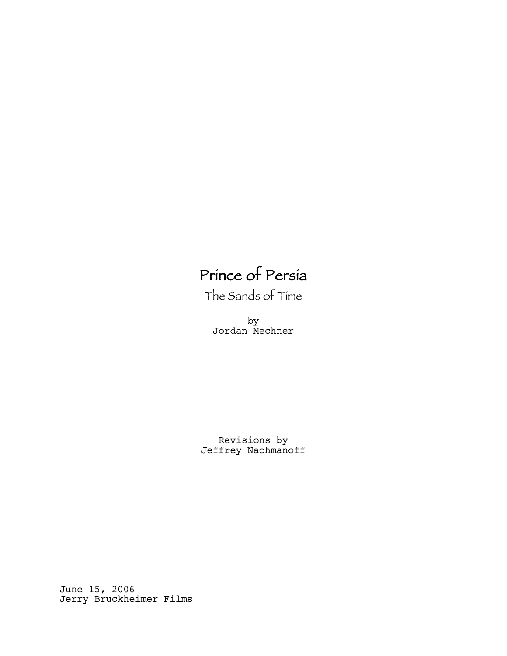# Prince of Persia

The Sands of Time

by Jordan Mechner

Revisions by Jeffrey Nachmanoff

June 15, 2006 Jerry Bruckheimer Films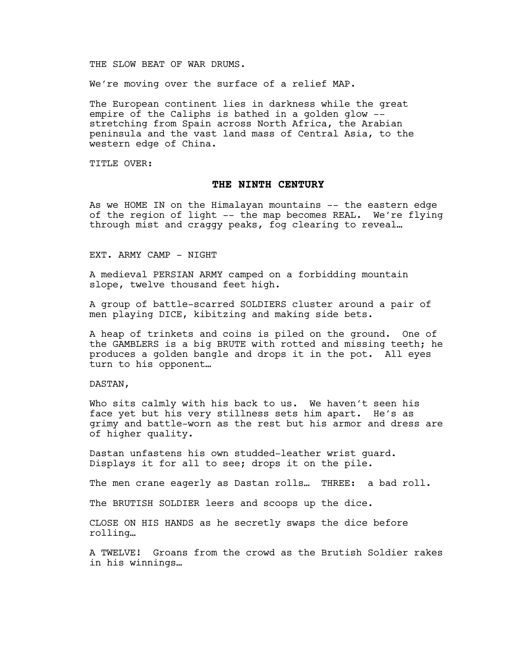THE SLOW BEAT OF WAR DRUMS.

We're moving over the surface of a relief MAP.

The European continent lies in darkness while the great empire of the Caliphs is bathed in a golden glow - stretching from Spain across North Africa, the Arabian peninsula and the vast land mass of Central Asia, to the western edge of China.

TITLE OVER:

### **THE NINTH CENTURY**

As we HOME IN on the Himalayan mountains -- the eastern edge of the region of light -- the map becomes REAL. We're flying through mist and craggy peaks, fog clearing to reveal…

EXT. ARMY CAMP - NIGHT

A medieval PERSIAN ARMY camped on a forbidding mountain slope, twelve thousand feet high.

A group of battle-scarred SOLDIERS cluster around a pair of men playing DICE, kibitzing and making side bets.

A heap of trinkets and coins is piled on the ground. One of the GAMBLERS is a big BRUTE with rotted and missing teeth; he produces a golden bangle and drops it in the pot. All eyes turn to his opponent…

DASTAN,

Who sits calmly with his back to us. We haven't seen his face yet but his very stillness sets him apart. He's as grimy and battle-worn as the rest but his armor and dress are of higher quality.

Dastan unfastens his own studded-leather wrist guard. Displays it for all to see; drops it on the pile.

The men crane eagerly as Dastan rolls… THREE: a bad roll.

The BRUTISH SOLDIER leers and scoops up the dice.

CLOSE ON HIS HANDS as he secretly swaps the dice before rolling…

A TWELVE! Groans from the crowd as the Brutish Soldier rakes in his winnings…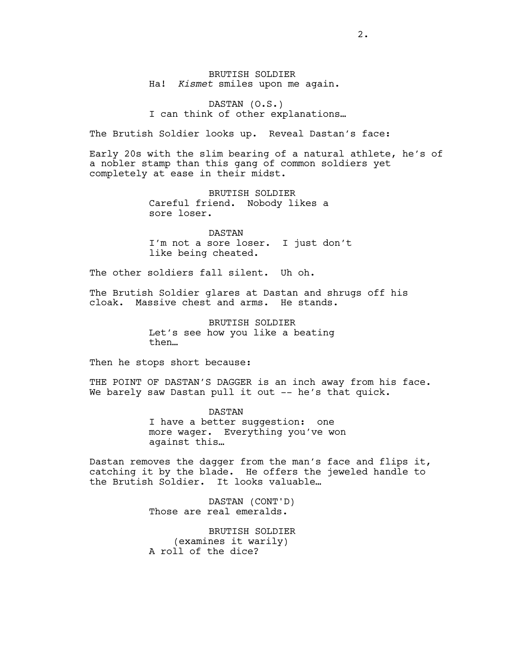BRUTISH SOLDIER Ha! *Kismet* smiles upon me again.

DASTAN (O.S.) I can think of other explanations…

The Brutish Soldier looks up. Reveal Dastan's face:

Early 20s with the slim bearing of a natural athlete, he's of a nobler stamp than this gang of common soldiers yet completely at ease in their midst.

> BRUTISH SOLDIER Careful friend. Nobody likes a sore loser.

DASTAN I'm not a sore loser. I just don't like being cheated.

The other soldiers fall silent. Uh oh.

The Brutish Soldier glares at Dastan and shrugs off his cloak. Massive chest and arms. He stands.

> BRUTISH SOLDIER Let's see how you like a beating then…

Then he stops short because:

THE POINT OF DASTAN'S DAGGER is an inch away from his face. We barely saw Dastan pull it out -- he's that quick.

> DASTAN I have a better suggestion: one more wager. Everything you've won against this…

Dastan removes the dagger from the man's face and flips it, catching it by the blade. He offers the jeweled handle to the Brutish Soldier. It looks valuable…

> DASTAN (CONT'D) Those are real emeralds.

BRUTISH SOLDIER (examines it warily) A roll of the dice?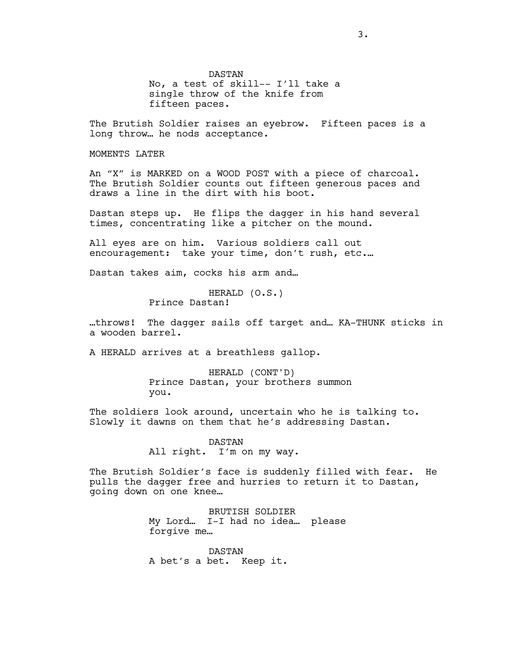DASTAN No, a test of skill-- I'll take a single throw of the knife from fifteen paces.

The Brutish Soldier raises an eyebrow. Fifteen paces is a long throw… he nods acceptance.

MOMENTS LATER

An "X" is MARKED on a WOOD POST with a piece of charcoal. The Brutish Soldier counts out fifteen generous paces and draws a line in the dirt with his boot.

Dastan steps up. He flips the dagger in his hand several times, concentrating like a pitcher on the mound.

All eyes are on him. Various soldiers call out encouragement: take your time, don't rush, etc.…

Dastan takes aim, cocks his arm and…

HERALD (O.S.) Prince Dastan!

…throws! The dagger sails off target and… KA-THUNK sticks in a wooden barrel.

A HERALD arrives at a breathless gallop.

HERALD (CONT'D) Prince Dastan, your brothers summon you.

The soldiers look around, uncertain who he is talking to. Slowly it dawns on them that he's addressing Dastan.

> DASTAN All right. I'm on my way.

The Brutish Soldier's face is suddenly filled with fear. He pulls the dagger free and hurries to return it to Dastan, going down on one knee…

> BRUTISH SOLDIER My Lord… I-I had no idea… please forgive me…

DASTAN A bet's a bet. Keep it.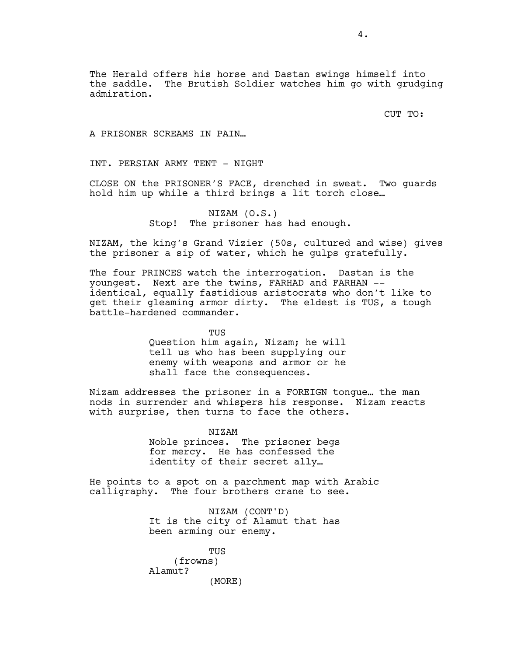The Herald offers his horse and Dastan swings himself into the saddle. The Brutish Soldier watches him go with grudging admiration.

CUT TO:

A PRISONER SCREAMS IN PAIN…

INT. PERSIAN ARMY TENT - NIGHT

CLOSE ON the PRISONER'S FACE, drenched in sweat. Two guards hold him up while a third brings a lit torch close…

> NIZAM (O.S.) Stop! The prisoner has had enough.

NIZAM, the king's Grand Vizier (50s, cultured and wise) gives the prisoner a sip of water, which he gulps gratefully.

The four PRINCES watch the interrogation. Dastan is the youngest. Next are the twins, FARHAD and FARHAN - identical, equally fastidious aristocrats who don't like to get their gleaming armor dirty. The eldest is TUS, a tough battle-hardened commander.

> **TUS** Question him again, Nizam; he will tell us who has been supplying our enemy with weapons and armor or he shall face the consequences.

Nizam addresses the prisoner in a FOREIGN tongue… the man nods in surrender and whispers his response. Nizam reacts with surprise, then turns to face the others.

> NIZAM Noble princes. The prisoner begs for mercy. He has confessed the identity of their secret ally…

He points to a spot on a parchment map with Arabic calligraphy. The four brothers crane to see.

> NIZAM (CONT'D) It is the city of Alamut that has been arming our enemy.

TUS (frowns) Alamut? (MORE)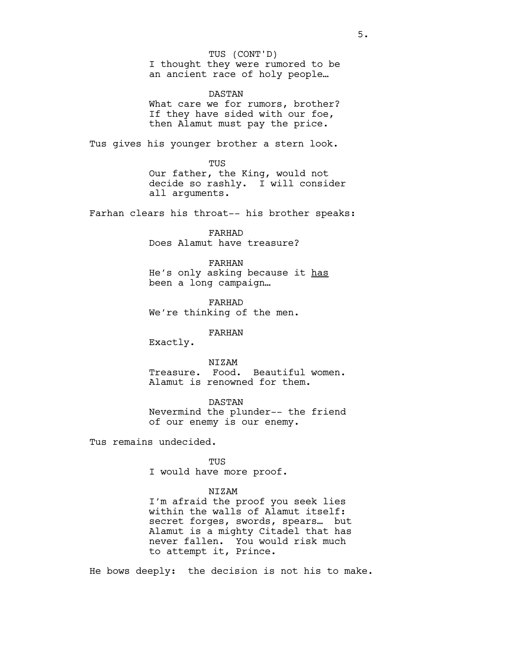I thought they were rumored to be an ancient race of holy people… TUS (CONT'D)

DASTAN What care we for rumors, brother? If they have sided with our foe, then Alamut must pay the price.

Tus gives his younger brother a stern look.

TUS Our father, the King, would not decide so rashly. I will consider all arguments.

Farhan clears his throat-- his brother speaks:

FARHAD Does Alamut have treasure?

FARHAN He's only asking because it has been a long campaign…

FARHAD We're thinking of the men.

FARHAN

Exactly.

NIZAM Treasure. Food. Beautiful women. Alamut is renowned for them.

DASTAN Nevermind the plunder-- the friend of our enemy is our enemy.

Tus remains undecided.

TUS I would have more proof.

#### NIZAM

I'm afraid the proof you seek lies within the walls of Alamut itself: secret forges, swords, spears… but Alamut is a mighty Citadel that has never fallen. You would risk much to attempt it, Prince.

He bows deeply: the decision is not his to make.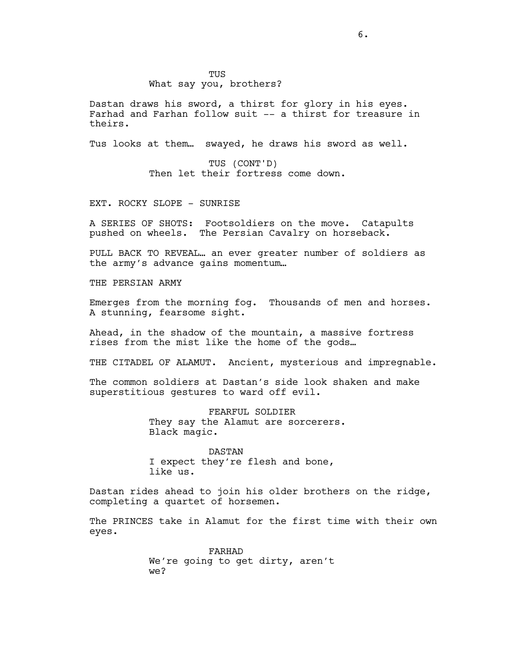TUS What say you, brothers?

Dastan draws his sword, a thirst for glory in his eyes. Farhad and Farhan follow suit -- a thirst for treasure in theirs.

Tus looks at them… swayed, he draws his sword as well.

TUS (CONT'D) Then let their fortress come down.

EXT. ROCKY SLOPE - SUNRISE

A SERIES OF SHOTS: Footsoldiers on the move. Catapults pushed on wheels. The Persian Cavalry on horseback.

PULL BACK TO REVEAL… an ever greater number of soldiers as the army's advance gains momentum…

THE PERSIAN ARMY

Emerges from the morning fog. Thousands of men and horses. A stunning, fearsome sight.

Ahead, in the shadow of the mountain, a massive fortress rises from the mist like the home of the gods…

THE CITADEL OF ALAMUT. Ancient, mysterious and impregnable.

The common soldiers at Dastan's side look shaken and make superstitious gestures to ward off evil.

> FEARFUL SOLDIER They say the Alamut are sorcerers. Black magic.

DASTAN I expect they're flesh and bone, like us.

Dastan rides ahead to join his older brothers on the ridge, completing a quartet of horsemen.

The PRINCES take in Alamut for the first time with their own eyes.

> FARHAD We're going to get dirty, aren't we?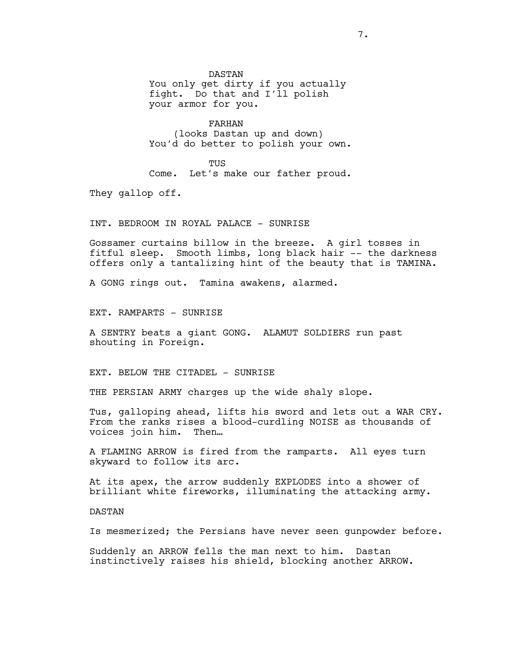DASTAN You only get dirty if you actually fight. Do that and I'll polish your armor for you.

FARHAN (looks Dastan up and down) You'd do better to polish your own.

TUS Come. Let's make our father proud.

They gallop off.

INT. BEDROOM IN ROYAL PALACE - SUNRISE

Gossamer curtains billow in the breeze. A girl tosses in fitful sleep. Smooth limbs, long black hair -- the darkness offers only a tantalizing hint of the beauty that is TAMINA.

A GONG rings out. Tamina awakens, alarmed.

EXT. RAMPARTS - SUNRISE

A SENTRY beats a giant GONG. ALAMUT SOLDIERS run past shouting in Foreign.

EXT. BELOW THE CITADEL - SUNRISE

THE PERSIAN ARMY charges up the wide shaly slope.

Tus, galloping ahead, lifts his sword and lets out a WAR CRY. From the ranks rises a blood-curdling NOISE as thousands of voices join him. Then…

A FLAMING ARROW is fired from the ramparts. All eyes turn skyward to follow its arc.

At its apex, the arrow suddenly EXPLODES into a shower of brilliant white fireworks, illuminating the attacking army.

DASTAN

Is mesmerized; the Persians have never seen gunpowder before.

Suddenly an ARROW fells the man next to him. Dastan instinctively raises his shield, blocking another ARROW.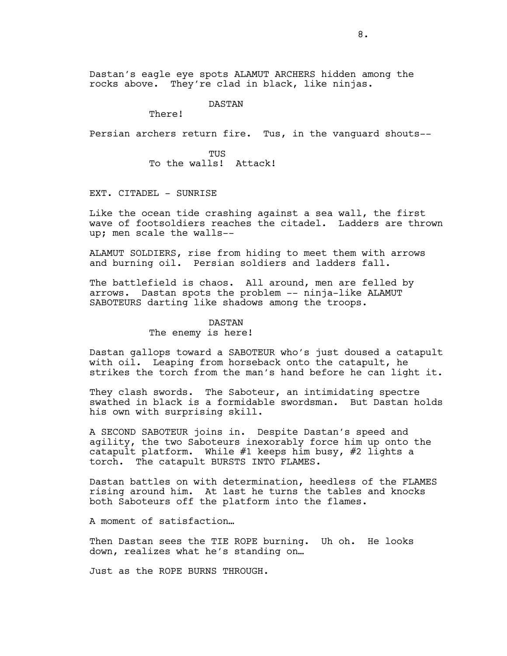Dastan's eagle eye spots ALAMUT ARCHERS hidden among the rocks above. They're clad in black, like ninjas.

DASTAN

There!

Persian archers return fire. Tus, in the vanguard shouts--

TUS To the walls! Attack!

EXT. CITADEL - SUNRISE

Like the ocean tide crashing against a sea wall, the first wave of footsoldiers reaches the citadel. Ladders are thrown up; men scale the walls--

ALAMUT SOLDIERS, rise from hiding to meet them with arrows and burning oil. Persian soldiers and ladders fall.

The battlefield is chaos. All around, men are felled by arrows. Dastan spots the problem -- ninja-like ALAMUT SABOTEURS darting like shadows among the troops.

### DASTAN

The enemy is here!

Dastan gallops toward a SABOTEUR who's just doused a catapult with oil. Leaping from horseback onto the catapult, he strikes the torch from the man's hand before he can light it.

They clash swords. The Saboteur, an intimidating spectre swathed in black is a formidable swordsman. But Dastan holds his own with surprising skill.

A SECOND SABOTEUR joins in. Despite Dastan's speed and agility, the two Saboteurs inexorably force him up onto the catapult platform. While #1 keeps him busy, #2 lights a torch. The catapult BURSTS INTO FLAMES.

Dastan battles on with determination, heedless of the FLAMES rising around him. At last he turns the tables and knocks both Saboteurs off the platform into the flames.

A moment of satisfaction…

Then Dastan sees the TIE ROPE burning. Uh oh. He looks down, realizes what he's standing on…

Just as the ROPE BURNS THROUGH.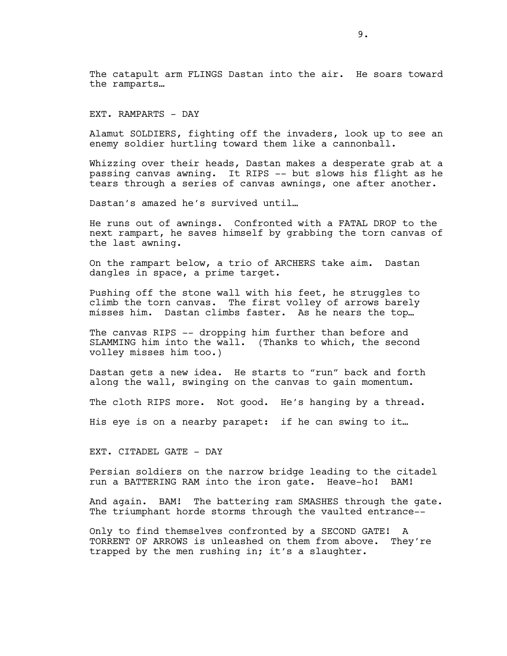The catapult arm FLINGS Dastan into the air. He soars toward the ramparts…

EXT. RAMPARTS - DAY

Alamut SOLDIERS, fighting off the invaders, look up to see an enemy soldier hurtling toward them like a cannonball.

Whizzing over their heads, Dastan makes a desperate grab at a passing canvas awning. It RIPS -- but slows his flight as he tears through a series of canvas awnings, one after another.

Dastan's amazed he's survived until…

He runs out of awnings. Confronted with a FATAL DROP to the next rampart, he saves himself by grabbing the torn canvas of the last awning.

On the rampart below, a trio of ARCHERS take aim. Dastan dangles in space, a prime target.

Pushing off the stone wall with his feet, he struggles to climb the torn canvas. The first volley of arrows barely misses him. Dastan climbs faster. As he nears the top…

The canvas RIPS -- dropping him further than before and SLAMMING him into the wall. (Thanks to which, the second volley misses him too.)

Dastan gets a new idea. He starts to "run" back and forth along the wall, swinging on the canvas to gain momentum.

The cloth RIPS more. Not good. He's hanging by a thread.

His eye is on a nearby parapet: if he can swing to it…

EXT. CITADEL GATE - DAY

Persian soldiers on the narrow bridge leading to the citadel run a BATTERING RAM into the iron gate. Heave-ho! BAM!

And again. BAM! The battering ram SMASHES through the gate. The triumphant horde storms through the vaulted entrance--

Only to find themselves confronted by a SECOND GATE! A TORRENT OF ARROWS is unleashed on them from above. They're trapped by the men rushing in; it's a slaughter.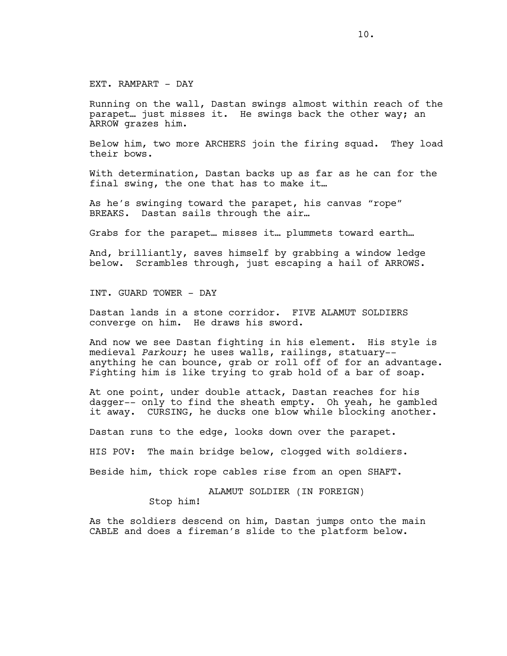EXT. RAMPART - DAY

Running on the wall, Dastan swings almost within reach of the parapet… just misses it. He swings back the other way; an ARROW grazes him.

Below him, two more ARCHERS join the firing squad. They load their bows.

With determination, Dastan backs up as far as he can for the final swing, the one that has to make it…

As he's swinging toward the parapet, his canvas "rope" BREAKS. Dastan sails through the air…

Grabs for the parapet… misses it… plummets toward earth…

And, brilliantly, saves himself by grabbing a window ledge below. Scrambles through, just escaping a hail of ARROWS.

INT. GUARD TOWER - DAY

Dastan lands in a stone corridor. FIVE ALAMUT SOLDIERS converge on him. He draws his sword.

And now we see Dastan fighting in his element. His style is medieval *Parkour*; he uses walls, railings, statuary- anything he can bounce, grab or roll off of for an advantage. Fighting him is like trying to grab hold of a bar of soap.

At one point, under double attack, Dastan reaches for his dagger-- only to find the sheath empty. Oh yeah, he gambled it away. CURSING, he ducks one blow while blocking another.

Dastan runs to the edge, looks down over the parapet.

HIS POV: The main bridge below, clogged with soldiers.

Beside him, thick rope cables rise from an open SHAFT.

ALAMUT SOLDIER (IN FOREIGN) Stop him!

As the soldiers descend on him, Dastan jumps onto the main CABLE and does a fireman's slide to the platform below.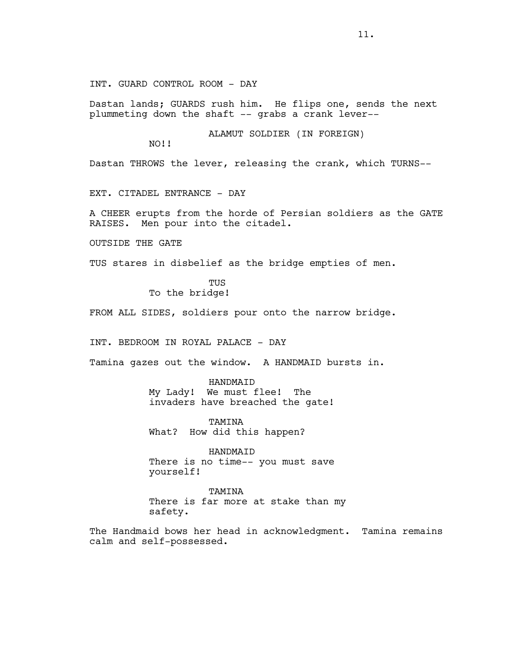INT. GUARD CONTROL ROOM - DAY

Dastan lands; GUARDS rush him. He flips one, sends the next plummeting down the shaft -- grabs a crank lever--

ALAMUT SOLDIER (IN FOREIGN)

NO!!

Dastan THROWS the lever, releasing the crank, which TURNS--

EXT. CITADEL ENTRANCE - DAY

A CHEER erupts from the horde of Persian soldiers as the GATE RAISES. Men pour into the citadel.

OUTSIDE THE GATE

TUS stares in disbelief as the bridge empties of men.

**TUS** To the bridge!

FROM ALL SIDES, soldiers pour onto the narrow bridge.

INT. BEDROOM IN ROYAL PALACE - DAY

Tamina gazes out the window. A HANDMAID bursts in.

HANDMAID

My Lady! We must flee! The invaders have breached the gate!

TAMINA What? How did this happen?

HANDMAID There is no time-- you must save yourself!

TAMINA There is far more at stake than my safety.

The Handmaid bows her head in acknowledgment. Tamina remains calm and self-possessed.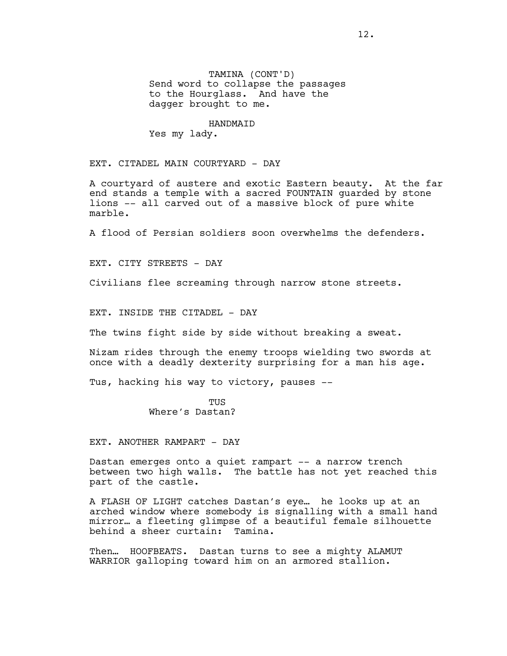### HANDMAID

Yes my lady.

EXT. CITADEL MAIN COURTYARD - DAY

A courtyard of austere and exotic Eastern beauty. At the far end stands a temple with a sacred FOUNTAIN guarded by stone lions -- all carved out of a massive block of pure white marble.

A flood of Persian soldiers soon overwhelms the defenders.

EXT. CITY STREETS - DAY

Civilians flee screaming through narrow stone streets.

EXT. INSIDE THE CITADEL - DAY

The twins fight side by side without breaking a sweat.

Nizam rides through the enemy troops wielding two swords at once with a deadly dexterity surprising for a man his age.

Tus, hacking his way to victory, pauses --

TUS Where's Dastan?

EXT. ANOTHER RAMPART - DAY

Dastan emerges onto a quiet rampart -- a narrow trench between two high walls. The battle has not yet reached this part of the castle.

A FLASH OF LIGHT catches Dastan's eye… he looks up at an arched window where somebody is signalling with a small hand mirror… a fleeting glimpse of a beautiful female silhouette behind a sheer curtain: Tamina.

Then… HOOFBEATS. Dastan turns to see a mighty ALAMUT WARRIOR galloping toward him on an armored stallion.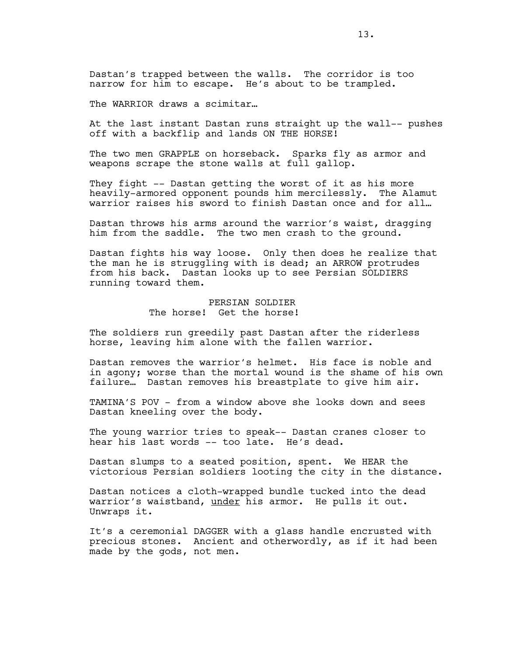Dastan's trapped between the walls. The corridor is too narrow for him to escape. He's about to be trampled.

The WARRIOR draws a scimitar…

At the last instant Dastan runs straight up the wall-- pushes off with a backflip and lands ON THE HORSE!

The two men GRAPPLE on horseback. Sparks fly as armor and weapons scrape the stone walls at full gallop.

They fight -- Dastan getting the worst of it as his more heavily-armored opponent pounds him mercilessly. The Alamut warrior raises his sword to finish Dastan once and for all…

Dastan throws his arms around the warrior's waist, dragging him from the saddle. The two men crash to the ground.

Dastan fights his way loose. Only then does he realize that the man he is struggling with is dead; an ARROW protrudes from his back. Dastan looks up to see Persian SOLDIERS running toward them.

# PERSIAN SOLDIER The horse! Get the horse!

The soldiers run greedily past Dastan after the riderless horse, leaving him alone with the fallen warrior.

Dastan removes the warrior's helmet. His face is noble and in agony; worse than the mortal wound is the shame of his own failure… Dastan removes his breastplate to give him air.

TAMINA'S POV - from a window above she looks down and sees Dastan kneeling over the body.

The young warrior tries to speak-- Dastan cranes closer to hear his last words -- too late. He's dead.

Dastan slumps to a seated position, spent. We HEAR the victorious Persian soldiers looting the city in the distance.

Dastan notices a cloth-wrapped bundle tucked into the dead warrior's waistband, under his armor. He pulls it out. Unwraps it.

It's a ceremonial DAGGER with a glass handle encrusted with precious stones. Ancient and otherwordly, as if it had been made by the gods, not men.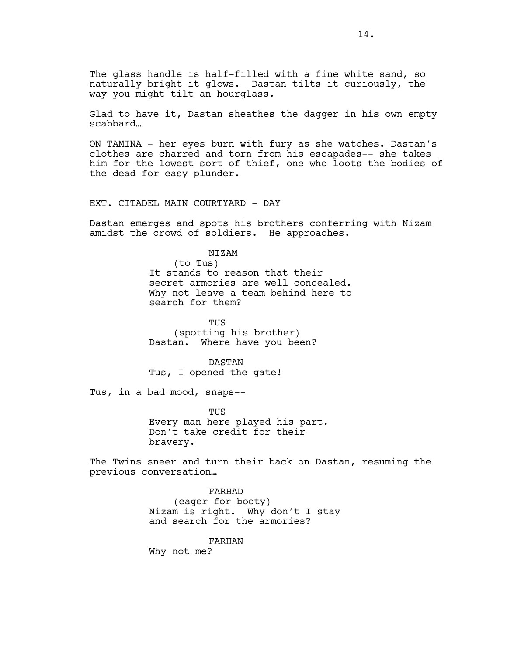The glass handle is half-filled with a fine white sand, so naturally bright it glows. Dastan tilts it curiously, the way you might tilt an hourglass.

Glad to have it, Dastan sheathes the dagger in his own empty scabbard…

ON TAMINA - her eyes burn with fury as she watches. Dastan's clothes are charred and torn from his escapades-- she takes him for the lowest sort of thief, one who loots the bodies of the dead for easy plunder.

EXT. CITADEL MAIN COURTYARD - DAY

Dastan emerges and spots his brothers conferring with Nizam amidst the crowd of soldiers. He approaches.

NIZAM

(to Tus) It stands to reason that their secret armories are well concealed. Why not leave a team behind here to search for them?

**TUS** (spotting his brother) Dastan. Where have you been?

DASTAN Tus, I opened the gate!

Tus, in a bad mood, snaps--

**TUS** Every man here played his part. Don't take credit for their bravery.

The Twins sneer and turn their back on Dastan, resuming the previous conversation…

FARHAD

(eager for booty) Nizam is right. Why don't I stay and search for the armories?

FARHAN

Why not me?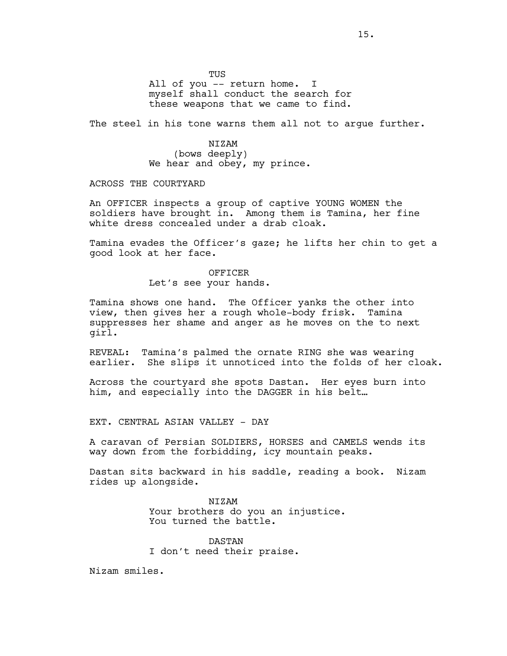TUS All of you -- return home. I myself shall conduct the search for these weapons that we came to find.

The steel in his tone warns them all not to arque further.

NIZAM (bows deeply) We hear and obey, my prince.

ACROSS THE COURTYARD

An OFFICER inspects a group of captive YOUNG WOMEN the soldiers have brought in. Among them is Tamina, her fine white dress concealed under a drab cloak.

Tamina evades the Officer's gaze; he lifts her chin to get a good look at her face.

> OFFICER Let's see your hands.

Tamina shows one hand. The Officer yanks the other into view, then gives her a rough whole-body frisk. Tamina suppresses her shame and anger as he moves on the to next girl.

REVEAL: Tamina's palmed the ornate RING she was wearing earlier. She slips it unnoticed into the folds of her cloak.

Across the courtyard she spots Dastan. Her eyes burn into him, and especially into the DAGGER in his belt…

EXT. CENTRAL ASIAN VALLEY - DAY

A caravan of Persian SOLDIERS, HORSES and CAMELS wends its way down from the forbidding, icy mountain peaks.

Dastan sits backward in his saddle, reading a book. Nizam rides up alongside.

> NIZAM Your brothers do you an injustice. You turned the battle.

DASTAN I don't need their praise.

Nizam smiles.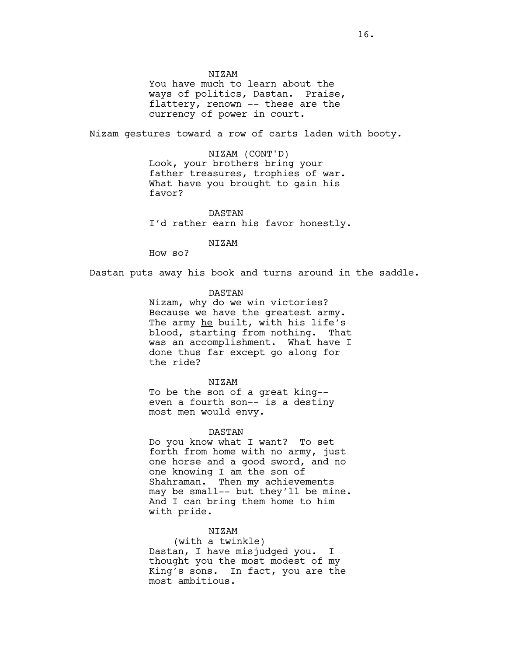### NIZAM

You have much to learn about the ways of politics, Dastan. Praise, flattery, renown -- these are the currency of power in court.

Nizam gestures toward a row of carts laden with booty.

NIZAM (CONT'D) Look, your brothers bring your father treasures, trophies of war. What have you brought to gain his favor?

DASTAN I'd rather earn his favor honestly.

### NIZAM

How so?

Dastan puts away his book and turns around in the saddle.

# DASTAN

Nizam, why do we win victories? Because we have the greatest army. The army he built, with his life's blood, starting from nothing. That was an accomplishment. What have I done thus far except go along for the ride?

#### NIZAM

To be the son of a great king- even a fourth son-- is a destiny most men would envy.

# DASTAN

Do you know what I want? To set forth from home with no army, just one horse and a good sword, and no one knowing I am the son of Shahraman. Then my achievements may be small-- but they'll be mine. And I can bring them home to him with pride.

# NIZAM

(with a twinkle) Dastan, I have misjudged you. I thought you the most modest of my King's sons. In fact, you are the most ambitious.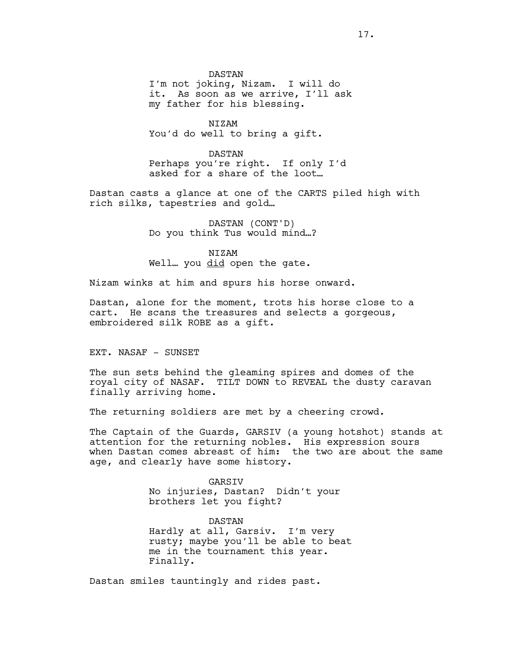DASTAN I'm not joking, Nizam. I will do it. As soon as we arrive, I'll ask my father for his blessing.

NIZAM You'd do well to bring a gift.

DASTAN Perhaps you're right. If only I'd asked for a share of the loot…

Dastan casts a glance at one of the CARTS piled high with rich silks, tapestries and gold…

> DASTAN (CONT'D) Do you think Tus would mind…?

NIZAM Well... you did open the gate.

Nizam winks at him and spurs his horse onward.

Dastan, alone for the moment, trots his horse close to a cart. He scans the treasures and selects a gorgeous, embroidered silk ROBE as a gift.

EXT. NASAF - SUNSET

The sun sets behind the gleaming spires and domes of the royal city of NASAF. TILT DOWN to REVEAL the dusty caravan finally arriving home.

The returning soldiers are met by a cheering crowd.

The Captain of the Guards, GARSIV (a young hotshot) stands at attention for the returning nobles. His expression sours when Dastan comes abreast of him: the two are about the same age, and clearly have some history.

> GARSIV No injuries, Dastan? Didn't your brothers let you fight?

DASTAN Hardly at all, Garsiv. I'm very rusty; maybe you'll be able to beat me in the tournament this year. Finally.

Dastan smiles tauntingly and rides past.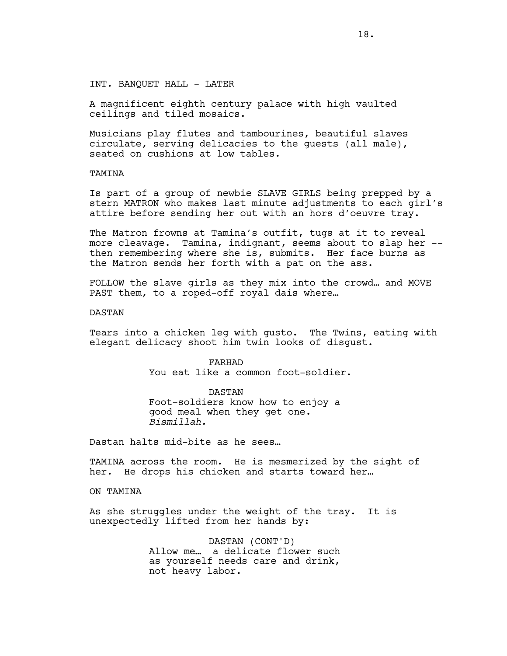# INT. BANQUET HALL - LATER

A magnificent eighth century palace with high vaulted ceilings and tiled mosaics.

Musicians play flutes and tambourines, beautiful slaves circulate, serving delicacies to the guests (all male), seated on cushions at low tables.

# **TAMINA**

Is part of a group of newbie SLAVE GIRLS being prepped by a stern MATRON who makes last minute adjustments to each girl's attire before sending her out with an hors d'oeuvre tray.

The Matron frowns at Tamina's outfit, tugs at it to reveal more cleavage. Tamina, indignant, seems about to slap her - then remembering where she is, submits. Her face burns as the Matron sends her forth with a pat on the ass.

FOLLOW the slave girls as they mix into the crowd… and MOVE PAST them, to a roped-off royal dais where...

### DASTAN

Tears into a chicken leg with gusto. The Twins, eating with elegant delicacy shoot him twin looks of disgust.

# FARHAD You eat like a common foot-soldier.

DASTAN Foot-soldiers know how to enjoy a good meal when they get one. *Bismillah.*

Dastan halts mid-bite as he sees…

TAMINA across the room. He is mesmerized by the sight of her. He drops his chicken and starts toward her…

# ON TAMINA

As she struggles under the weight of the tray. It is unexpectedly lifted from her hands by:

> DASTAN (CONT'D) Allow me… a delicate flower such as yourself needs care and drink, not heavy labor.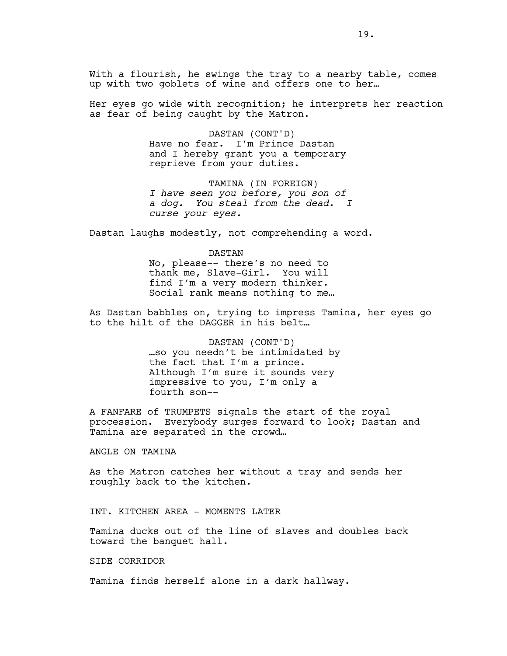With a flourish, he swings the tray to a nearby table, comes up with two goblets of wine and offers one to her…

Her eyes go wide with recognition; he interprets her reaction as fear of being caught by the Matron.

> DASTAN (CONT'D) Have no fear. I'm Prince Dastan and I hereby grant you a temporary reprieve from your duties.

TAMINA (IN FOREIGN) *I have seen you before, you son of a dog. You steal from the dead. I curse your eyes.*

Dastan laughs modestly, not comprehending a word.

### DASTAN

No, please-- there's no need to thank me, Slave-Girl. You will find I'm a very modern thinker. Social rank means nothing to me…

As Dastan babbles on, trying to impress Tamina, her eyes go to the hilt of the DAGGER in his belt…

> DASTAN (CONT'D) …so you needn't be intimidated by the fact that I'm a prince. Although I'm sure it sounds very impressive to you, I'm only a fourth son––

A FANFARE of TRUMPETS signals the start of the royal procession. Everybody surges forward to look; Dastan and Tamina are separated in the crowd…

ANGLE ON TAMINA

As the Matron catches her without a tray and sends her roughly back to the kitchen.

INT. KITCHEN AREA - MOMENTS LATER

Tamina ducks out of the line of slaves and doubles back toward the banquet hall.

SIDE CORRIDOR

Tamina finds herself alone in a dark hallway.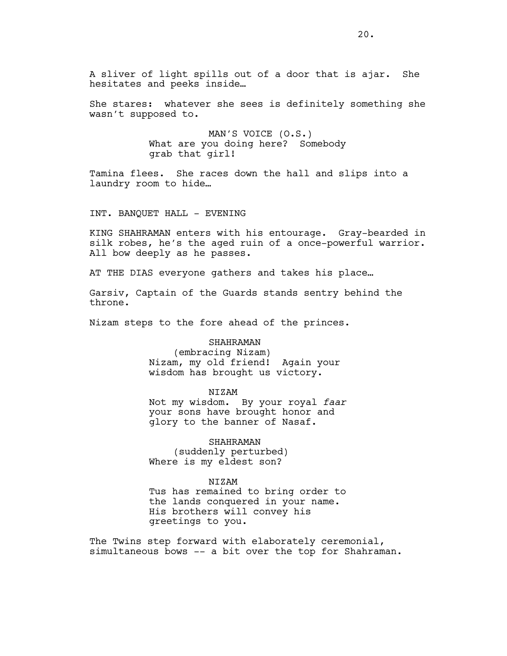A sliver of light spills out of a door that is ajar. She hesitates and peeks inside…

She stares: whatever she sees is definitely something she wasn't supposed to.

> MAN'S VOICE (O.S.) What are you doing here? Somebody grab that girl!

Tamina flees. She races down the hall and slips into a laundry room to hide…

INT. BANQUET HALL - EVENING

KING SHAHRAMAN enters with his entourage. Gray-bearded in silk robes, he's the aged ruin of a once-powerful warrior. All bow deeply as he passes.

AT THE DIAS everyone gathers and takes his place…

Garsiv, Captain of the Guards stands sentry behind the throne.

Nizam steps to the fore ahead of the princes.

# SHAHRAMAN

(embracing Nizam) Nizam, my old friend! Again your wisdom has brought us victory.

# NIZAM

Not my wisdom. By your royal *faar* your sons have brought honor and glory to the banner of Nasaf.

SHAHRAMAN (suddenly perturbed) Where is my eldest son?

# NIZAM

Tus has remained to bring order to the lands conquered in your name. His brothers will convey his greetings to you.

The Twins step forward with elaborately ceremonial, simultaneous bows -- a bit over the top for Shahraman.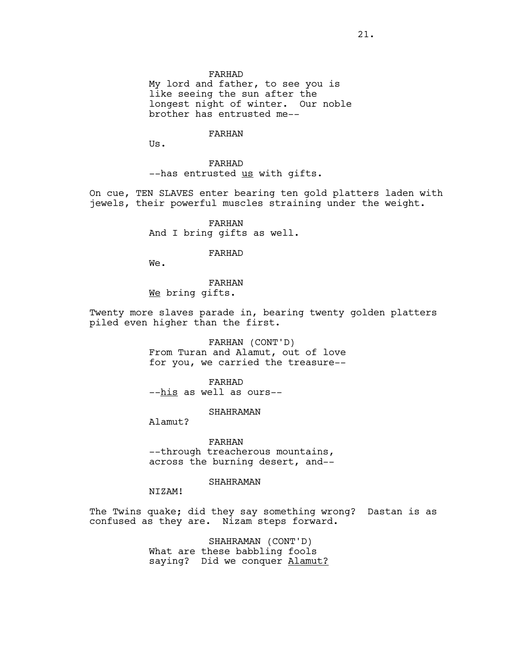### FARHAD

My lord and father, to see you is like seeing the sun after the longest night of winter. Our noble brother has entrusted me--

### FARHAN

Us.

FARHAD --has entrusted us with gifts.

On cue, TEN SLAVES enter bearing ten gold platters laden with jewels, their powerful muscles straining under the weight.

> FARHAN And I bring gifts as well.

### FARHAD

We.

# FARHAN

We bring gifts.

Twenty more slaves parade in, bearing twenty golden platters piled even higher than the first.

> FARHAN (CONT'D) From Turan and Alamut, out of love for you, we carried the treasure--

FARHAD<br>--<u>his</u> as well as ours--

SHAHRAMAN

Alamut?

FARHAN --through treacherous mountains, across the burning desert, and--

# SHAHRAMAN

NIZAM!

The Twins quake; did they say something wrong? Dastan is as confused as they are. Nizam steps forward.

> SHAHRAMAN (CONT'D) What are these babbling fools saying? Did we conquer Alamut?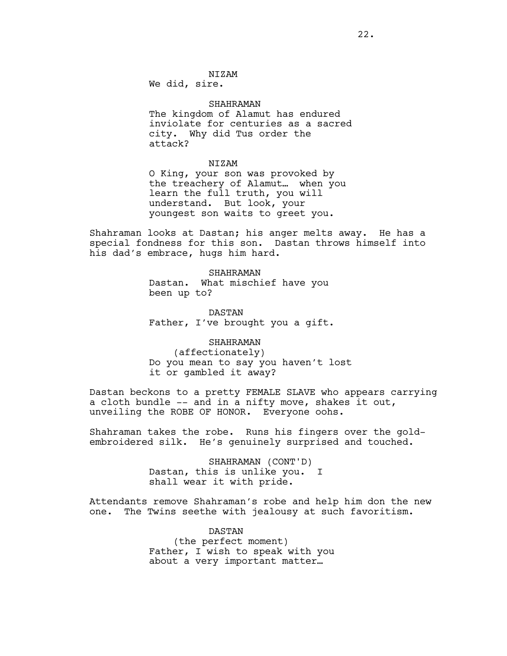### NIZAM

We did, sire.

### SHAHRAMAN

The kingdom of Alamut has endured inviolate for centuries as a sacred city. Why did Tus order the attack?

### NIZAM

O King, your son was provoked by the treachery of Alamut… when you learn the full truth, you will understand. But look, your youngest son waits to greet you.

Shahraman looks at Dastan; his anger melts away. He has a special fondness for this son. Dastan throws himself into his dad's embrace, hugs him hard.

> SHAHRAMAN Dastan. What mischief have you been up to?

DASTAN Father, I've brought you a gift.

SHAHRAMAN (affectionately) Do you mean to say you haven't lost it or gambled it away?

Dastan beckons to a pretty FEMALE SLAVE who appears carrying a cloth bundle -- and in a nifty move, shakes it out, unveiling the ROBE OF HONOR. Everyone oohs.

Shahraman takes the robe. Runs his fingers over the goldembroidered silk. He's genuinely surprised and touched.

> SHAHRAMAN (CONT'D) Dastan, this is unlike you. I shall wear it with pride.

Attendants remove Shahraman's robe and help him don the new one. The Twins seethe with jealousy at such favoritism.

> DASTAN (the perfect moment) Father, I wish to speak with you about a very important matter…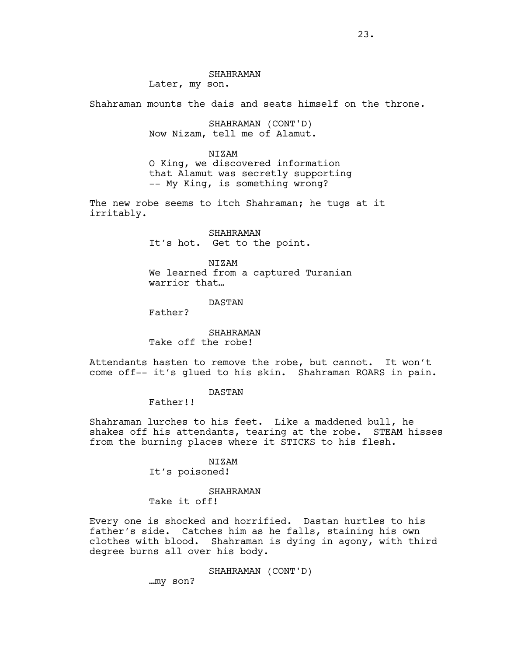# SHAHRAMAN

Later, my son.

Shahraman mounts the dais and seats himself on the throne.

SHAHRAMAN (CONT'D) Now Nizam, tell me of Alamut.

NIZAM O King, we discovered information that Alamut was secretly supporting -- My King, is something wrong?

The new robe seems to itch Shahraman; he tugs at it irritably.

> SHAHRAMAN It's hot. Get to the point.

NIZAM We learned from a captured Turanian warrior that…

DASTAN

Father?

SHAHRAMAN Take off the robe!

Attendants hasten to remove the robe, but cannot. It won't come off-- it's glued to his skin. Shahraman ROARS in pain.

# DASTAN

# Father!!

Shahraman lurches to his feet. Like a maddened bull, he shakes off his attendants, tearing at the robe. STEAM hisses from the burning places where it STICKS to his flesh.

### NIZAM

It's poisoned!

# SHAHRAMAN

Take it off!

Every one is shocked and horrified. Dastan hurtles to his father's side. Catches him as he falls, staining his own clothes with blood. Shahraman is dying in agony, with third degree burns all over his body.

SHAHRAMAN (CONT'D)

…my son?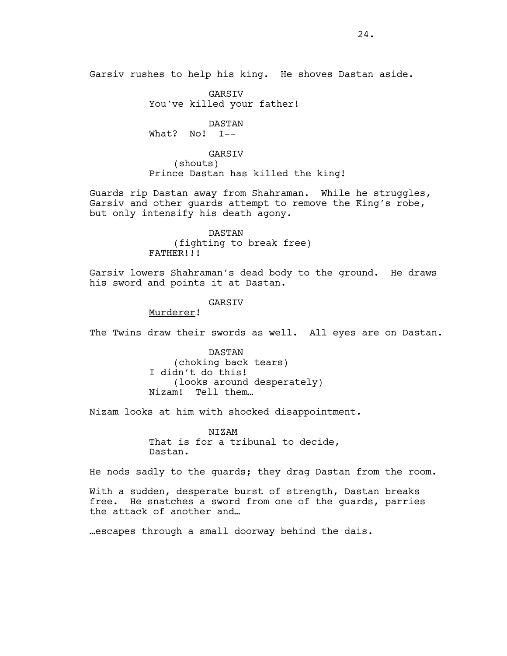Garsiv rushes to help his king. He shoves Dastan aside.

GARSIV You've killed your father!

DASTAN What? No! I--

GARSIV (shouts) Prince Dastan has killed the king!

Guards rip Dastan away from Shahraman. While he struggles, Garsiv and other guards attempt to remove the King's robe, but only intensify his death agony.

> DASTAN (fighting to break free) FATHER!!!

Garsiv lowers Shahraman's dead body to the ground. He draws his sword and points it at Dastan.

GARSIV

Murderer!

The Twins draw their swords as well. All eyes are on Dastan.

DASTAN (choking back tears) I didn't do this! (looks around desperately) Nizam! Tell them…

Nizam looks at him with shocked disappointment.

NIZAM That is for a tribunal to decide, Dastan.

He nods sadly to the guards; they drag Dastan from the room.

With a sudden, desperate burst of strength, Dastan breaks free. He snatches a sword from one of the guards, parries the attack of another and…

…escapes through a small doorway behind the dais.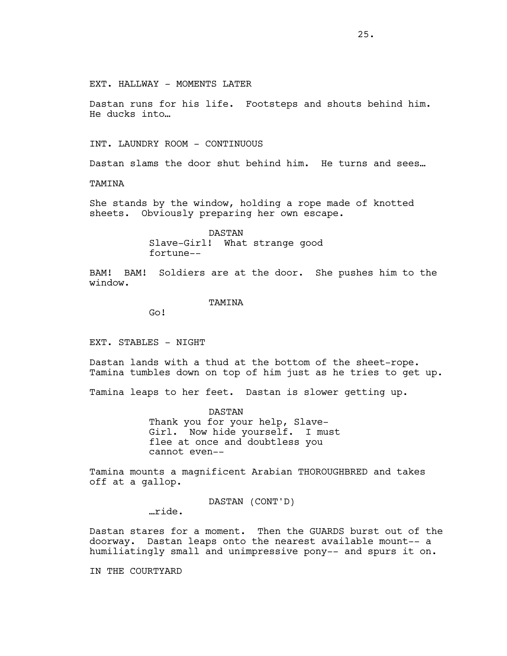Dastan runs for his life. Footsteps and shouts behind him. He ducks into…

INT. LAUNDRY ROOM - CONTINUOUS

Dastan slams the door shut behind him. He turns and sees…

TAMINA

She stands by the window, holding a rope made of knotted sheets. Obviously preparing her own escape.

> DASTAN Slave-Girl! What strange good fortune--

BAM! BAM! Soldiers are at the door. She pushes him to the window.

TAMINA

Go!

EXT. STABLES - NIGHT

Dastan lands with a thud at the bottom of the sheet-rope. Tamina tumbles down on top of him just as he tries to get up.

Tamina leaps to her feet. Dastan is slower getting up.

DASTAN Thank you for your help, Slave-Girl. Now hide yourself. I must flee at once and doubtless you cannot even--

Tamina mounts a magnificent Arabian THOROUGHBRED and takes off at a gallop.

DASTAN (CONT'D)

…ride.

Dastan stares for a moment. Then the GUARDS burst out of the doorway. Dastan leaps onto the nearest available mount-- a humiliatingly small and unimpressive pony-- and spurs it on.

IN THE COURTYARD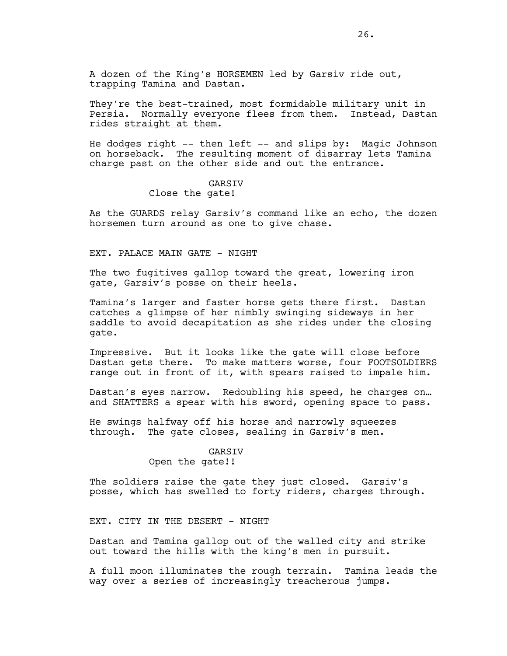A dozen of the King's HORSEMEN led by Garsiv ride out, trapping Tamina and Dastan.

They're the best-trained, most formidable military unit in Persia. Normally everyone flees from them. Instead, Dastan rides straight at them.

He dodges right -- then left -- and slips by: Magic Johnson on horseback. The resulting moment of disarray lets Tamina charge past on the other side and out the entrance.

# GARSIV

# Close the gate!

As the GUARDS relay Garsiv's command like an echo, the dozen horsemen turn around as one to give chase.

# EXT. PALACE MAIN GATE - NIGHT

The two fugitives gallop toward the great, lowering iron gate, Garsiv's posse on their heels.

Tamina's larger and faster horse gets there first. Dastan catches a glimpse of her nimbly swinging sideways in her saddle to avoid decapitation as she rides under the closing gate.

Impressive. But it looks like the gate will close before Dastan gets there. To make matters worse, four FOOTSOLDIERS range out in front of it, with spears raised to impale him.

Dastan's eyes narrow. Redoubling his speed, he charges on… and SHATTERS a spear with his sword, opening space to pass.

He swings halfway off his horse and narrowly squeezes through. The gate closes, sealing in Garsiv's men.

### GARSIV

Open the gate!!

The soldiers raise the gate they just closed. Garsiv's posse, which has swelled to forty riders, charges through.

EXT. CITY IN THE DESERT - NIGHT

Dastan and Tamina gallop out of the walled city and strike out toward the hills with the king's men in pursuit.

A full moon illuminates the rough terrain. Tamina leads the way over a series of increasingly treacherous jumps.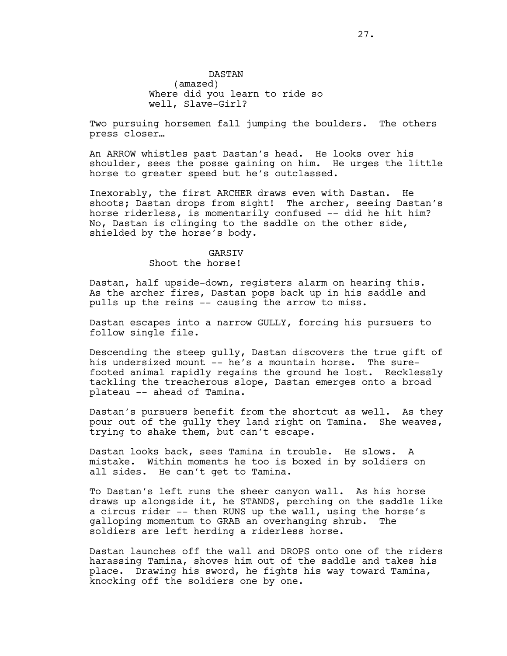DASTAN (amazed) Where did you learn to ride so well, Slave-Girl?

Two pursuing horsemen fall jumping the boulders. The others press closer…

An ARROW whistles past Dastan's head. He looks over his shoulder, sees the posse gaining on him. He urges the little horse to greater speed but he's outclassed.

Inexorably, the first ARCHER draws even with Dastan. He shoots; Dastan drops from sight! The archer, seeing Dastan's horse riderless, is momentarily confused -- did he hit him? No, Dastan is clinging to the saddle on the other side, shielded by the horse's body.

# GARSIV

# Shoot the horse!

Dastan, half upside-down, registers alarm on hearing this. As the archer fires, Dastan pops back up in his saddle and pulls up the reins -- causing the arrow to miss.

Dastan escapes into a narrow GULLY, forcing his pursuers to follow single file.

Descending the steep gully, Dastan discovers the true gift of his undersized mount -- he's a mountain horse. The surefooted animal rapidly regains the ground he lost. Recklessly tackling the treacherous slope, Dastan emerges onto a broad plateau -- ahead of Tamina.

Dastan's pursuers benefit from the shortcut as well. As they pour out of the gully they land right on Tamina. She weaves, trying to shake them, but can't escape.

Dastan looks back, sees Tamina in trouble. He slows. A mistake. Within moments he too is boxed in by soldiers on all sides. He can't get to Tamina.

To Dastan's left runs the sheer canyon wall. As his horse draws up alongside it, he STANDS, perching on the saddle like a circus rider -- then RUNS up the wall, using the horse's galloping momentum to GRAB an overhanging shrub. The soldiers are left herding a riderless horse.

Dastan launches off the wall and DROPS onto one of the riders harassing Tamina, shoves him out of the saddle and takes his place. Drawing his sword, he fights his way toward Tamina, knocking off the soldiers one by one.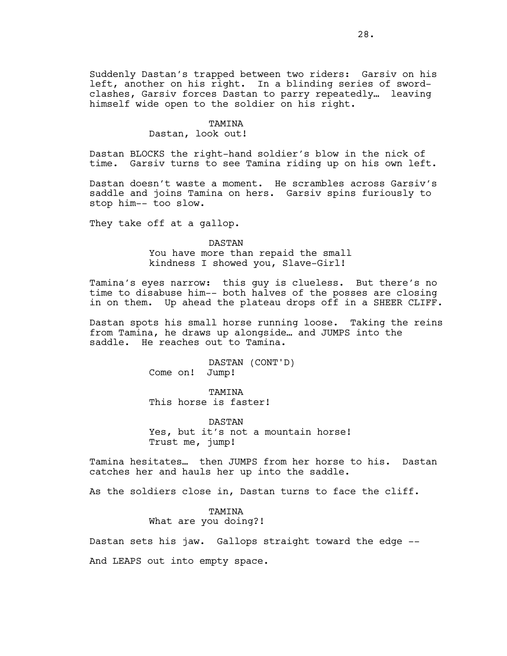Suddenly Dastan's trapped between two riders: Garsiv on his left, another on his right. In a blinding series of swordclashes, Garsiv forces Dastan to parry repeatedly… leaving himself wide open to the soldier on his right.

### TAMINA

Dastan, look out!

Dastan BLOCKS the right-hand soldier's blow in the nick of time. Garsiv turns to see Tamina riding up on his own left.

Dastan doesn't waste a moment. He scrambles across Garsiv's saddle and joins Tamina on hers. Garsiv spins furiously to stop him-- too slow.

They take off at a gallop.

DASTAN You have more than repaid the small kindness I showed you, Slave-Girl!

Tamina's eyes narrow: this guy is clueless. But there's no time to disabuse him-- both halves of the posses are closing in on them. Up ahead the plateau drops off in a SHEER CLIFF.

Dastan spots his small horse running loose. Taking the reins from Tamina, he draws up alongside… and JUMPS into the saddle. He reaches out to Tamina.

> DASTAN (CONT'D) Come on! Jump!

TAMINA This horse is faster!

DASTAN Yes, but it's not a mountain horse! Trust me, jump!

Tamina hesitates… then JUMPS from her horse to his. Dastan catches her and hauls her up into the saddle.

As the soldiers close in, Dastan turns to face the cliff.

TAMINA What are you doing?!

Dastan sets his jaw. Gallops straight toward the edge --

And LEAPS out into empty space.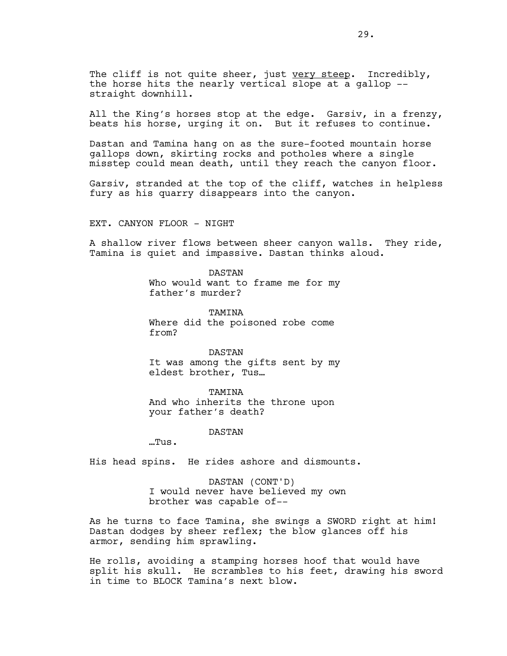The cliff is not quite sheer, just very steep. Incredibly, the horse hits the nearly vertical slope at a gallop - straight downhill.

All the King's horses stop at the edge. Garsiv, in a frenzy, beats his horse, urging it on. But it refuses to continue.

Dastan and Tamina hang on as the sure-footed mountain horse gallops down, skirting rocks and potholes where a single misstep could mean death, until they reach the canyon floor.

Garsiv, stranded at the top of the cliff, watches in helpless fury as his quarry disappears into the canyon.

EXT. CANYON FLOOR - NIGHT

A shallow river flows between sheer canyon walls. They ride, Tamina is quiet and impassive. Dastan thinks aloud.

> DASTAN Who would want to frame me for my father's murder?

TAMINA Where did the poisoned robe come from?

DASTAN It was among the gifts sent by my eldest brother, Tus…

TAMINA And who inherits the throne upon your father's death?

DASTAN

…Tus.

His head spins. He rides ashore and dismounts.

DASTAN (CONT'D) I would never have believed my own brother was capable of--

As he turns to face Tamina, she swings a SWORD right at him! Dastan dodges by sheer reflex; the blow glances off his armor, sending him sprawling.

He rolls, avoiding a stamping horses hoof that would have split his skull. He scrambles to his feet, drawing his sword in time to BLOCK Tamina's next blow.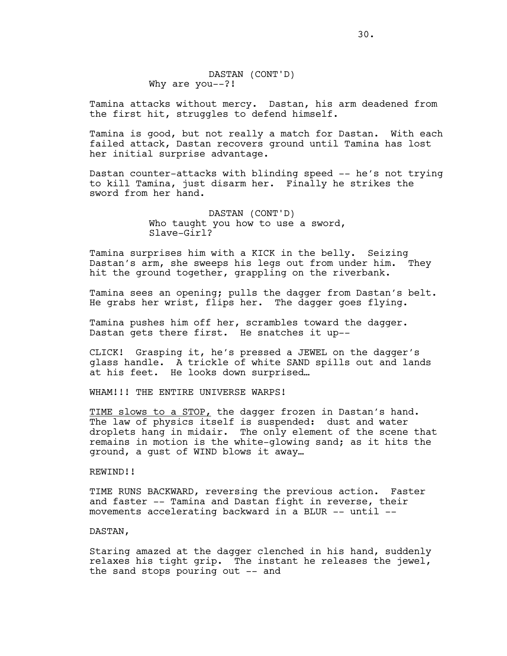Tamina attacks without mercy. Dastan, his arm deadened from the first hit, struggles to defend himself.

Tamina is good, but not really a match for Dastan. With each failed attack, Dastan recovers ground until Tamina has lost her initial surprise advantage.

Dastan counter-attacks with blinding speed -- he's not trying to kill Tamina, just disarm her. Finally he strikes the sword from her hand.

> DASTAN (CONT'D) Who taught you how to use a sword, Slave-Girl?

Tamina surprises him with a KICK in the belly. Seizing Dastan's arm, she sweeps his legs out from under him. They hit the ground together, grappling on the riverbank.

Tamina sees an opening; pulls the dagger from Dastan's belt. He grabs her wrist, flips her. The dagger goes flying.

Tamina pushes him off her, scrambles toward the dagger. Dastan gets there first. He snatches it up--

CLICK! Grasping it, he's pressed a JEWEL on the dagger's glass handle. A trickle of white SAND spills out and lands at his feet. He looks down surprised…

WHAM!!! THE ENTIRE UNIVERSE WARPS!

TIME slows to a STOP, the dagger frozen in Dastan's hand. The law of physics itself is suspended: dust and water droplets hang in midair. The only element of the scene that remains in motion is the white-glowing sand; as it hits the ground, a gust of WIND blows it away…

# REWIND!!

TIME RUNS BACKWARD, reversing the previous action. Faster and faster -- Tamina and Dastan fight in reverse, their movements accelerating backward in a BLUR -- until --

### DASTAN,

Staring amazed at the dagger clenched in his hand, suddenly relaxes his tight grip. The instant he releases the jewel, the sand stops pouring out -- and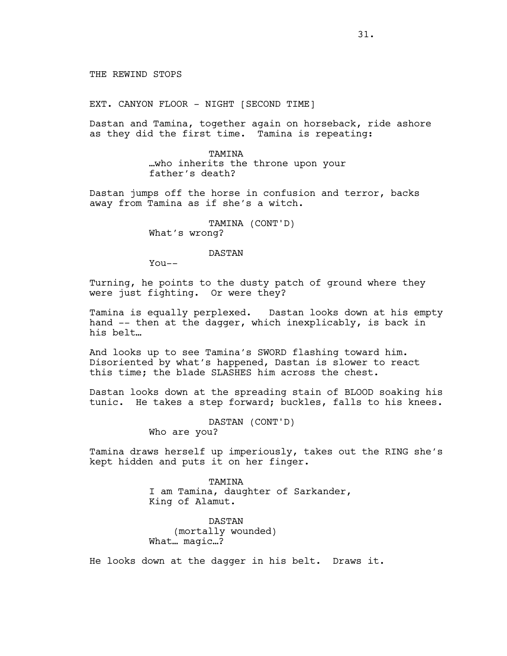THE REWIND STOPS

EXT. CANYON FLOOR - NIGHT [SECOND TIME]

Dastan and Tamina, together again on horseback, ride ashore as they did the first time. Tamina is repeating:

> TAMINA …who inherits the throne upon your father's death?

Dastan jumps off the horse in confusion and terror, backs away from Tamina as if she's a witch.

> TAMINA (CONT'D) What's wrong?

> > DASTAN

You--

Turning, he points to the dusty patch of ground where they were just fighting. Or were they?

Tamina is equally perplexed. Dastan looks down at his empty hand -- then at the dagger, which inexplicably, is back in his belt…

And looks up to see Tamina's SWORD flashing toward him. Disoriented by what's happened, Dastan is slower to react this time; the blade SLASHES him across the chest.

Dastan looks down at the spreading stain of BLOOD soaking his tunic. He takes a step forward; buckles, falls to his knees.

> DASTAN (CONT'D) Who are you?

Tamina draws herself up imperiously, takes out the RING she's kept hidden and puts it on her finger.

> TAMINA I am Tamina, daughter of Sarkander, King of Alamut.

DASTAN (mortally wounded) What… magic…?

He looks down at the dagger in his belt. Draws it.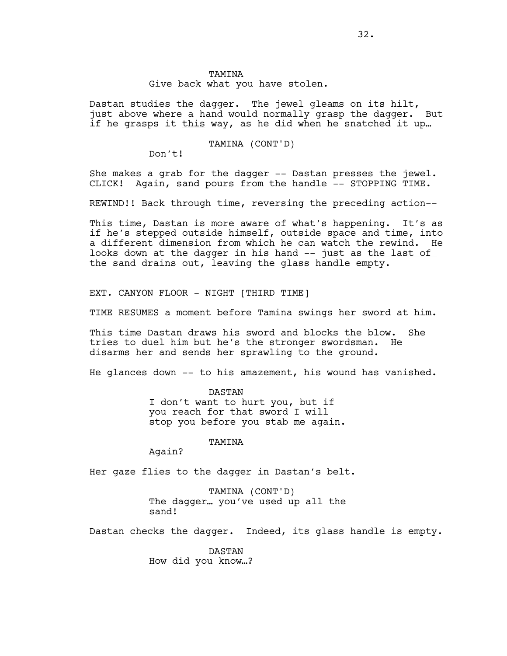# TAMINA Give back what you have stolen.

Dastan studies the dagger. The jewel gleams on its hilt, just above where a hand would normally grasp the dagger. But if he grasps it this way, as he did when he snatched it up…

## TAMINA (CONT'D)

Don't!

She makes a grab for the dagger -- Dastan presses the jewel. CLICK! Again, sand pours from the handle -- STOPPING TIME.

REWIND!! Back through time, reversing the preceding action--

This time, Dastan is more aware of what's happening. It's as if he's stepped outside himself, outside space and time, into a different dimension from which he can watch the rewind. He looks down at the dagger in his hand -- just as the last of the sand drains out, leaving the glass handle empty.

EXT. CANYON FLOOR - NIGHT [THIRD TIME]

TIME RESUMES a moment before Tamina swings her sword at him.

This time Dastan draws his sword and blocks the blow. She tries to duel him but he's the stronger swordsman. He disarms her and sends her sprawling to the ground.

He glances down -- to his amazement, his wound has vanished.

DASTAN I don't want to hurt you, but if you reach for that sword I will stop you before you stab me again.

TAMINA

Again?

Her gaze flies to the dagger in Dastan's belt.

TAMINA (CONT'D) The dagger… you've used up all the sand!

Dastan checks the dagger. Indeed, its glass handle is empty.

DASTAN How did you know…?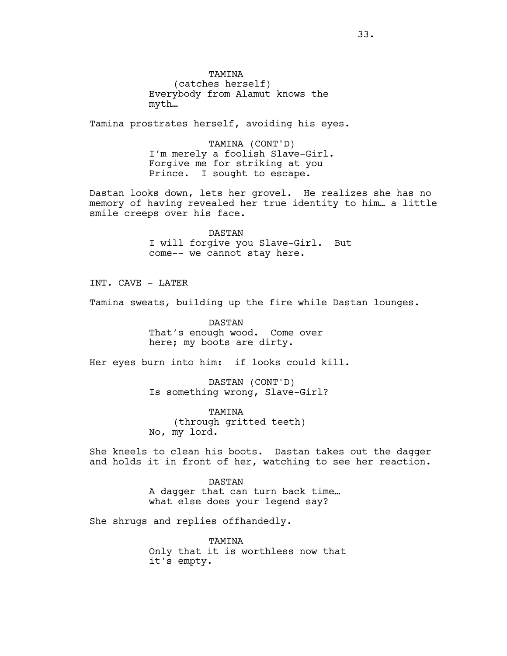TAMINA (catches herself) Everybody from Alamut knows the myth…

Tamina prostrates herself, avoiding his eyes.

TAMINA (CONT'D) I'm merely a foolish Slave-Girl. Forgive me for striking at you Prince. I sought to escape.

Dastan looks down, lets her grovel. He realizes she has no memory of having revealed her true identity to him… a little smile creeps over his face.

> DASTAN I will forgive you Slave-Girl. But come-- we cannot stay here.

INT. CAVE - LATER

Tamina sweats, building up the fire while Dastan lounges.

DASTAN That's enough wood. Come over here; my boots are dirty.

Her eyes burn into him: if looks could kill.

DASTAN (CONT'D) Is something wrong, Slave-Girl?

TAMINA (through gritted teeth) No, my lord.

She kneels to clean his boots. Dastan takes out the dagger and holds it in front of her, watching to see her reaction.

> DASTAN A dagger that can turn back time… what else does your legend say?

She shrugs and replies offhandedly.

TAMINA Only that it is worthless now that it's empty.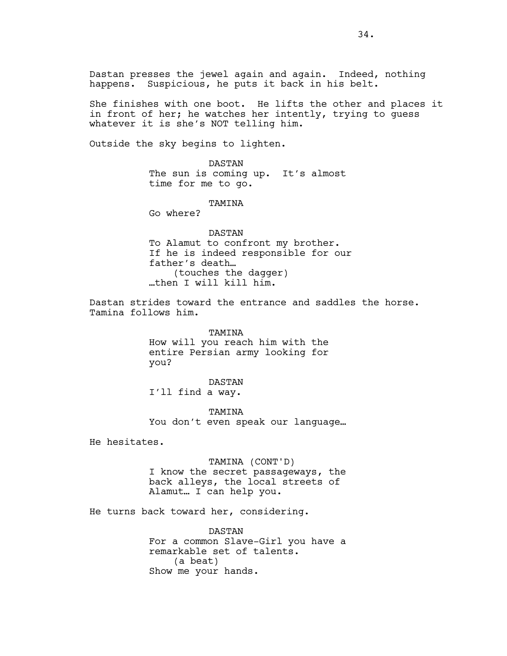Dastan presses the jewel again and again. Indeed, nothing happens. Suspicious, he puts it back in his belt.

She finishes with one boot. He lifts the other and places it in front of her; he watches her intently, trying to quess whatever it is she's NOT telling him.

Outside the sky begins to lighten.

DASTAN The sun is coming up. It's almost time for me to go.

TAMINA

Go where?

DASTAN To Alamut to confront my brother. If he is indeed responsible for our father's death… (touches the dagger) …then I will kill him.

Dastan strides toward the entrance and saddles the horse. Tamina follows him.

> TAMINA How will you reach him with the entire Persian army looking for you?

DASTAN I'll find a way.

TAMINA You don't even speak our language…

He hesitates.

TAMINA (CONT'D) I know the secret passageways, the back alleys, the local streets of Alamut… I can help you.

He turns back toward her, considering.

DASTAN For a common Slave-Girl you have a remarkable set of talents. (a beat) Show me your hands.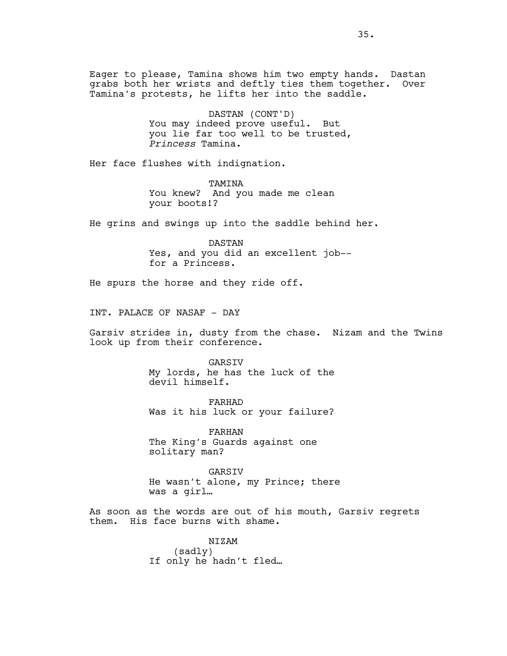Eager to please, Tamina shows him two empty hands. Dastan grabs both her wrists and deftly ties them together. Over Tamina's protests, he lifts her into the saddle.

> DASTAN (CONT'D) You may indeed prove useful. But you lie far too well to be trusted, *Princess* Tamina.

Her face flushes with indignation.

TAMINA You knew? And you made me clean your boots!?

He grins and swings up into the saddle behind her.

DASTAN Yes, and you did an excellent job- for a Princess.

He spurs the horse and they ride off.

INT. PALACE OF NASAF - DAY

Garsiv strides in, dusty from the chase. Nizam and the Twins look up from their conference.

> GARSIV My lords, he has the luck of the devil himself.

> FARHAD Was it his luck or your failure?

FARHAN The King's Guards against one solitary man?

GARSIV He wasn't alone, my Prince; there was a girl…

As soon as the words are out of his mouth, Garsiv regrets them. His face burns with shame.

> NIZAM (sadly) If only he hadn't fled…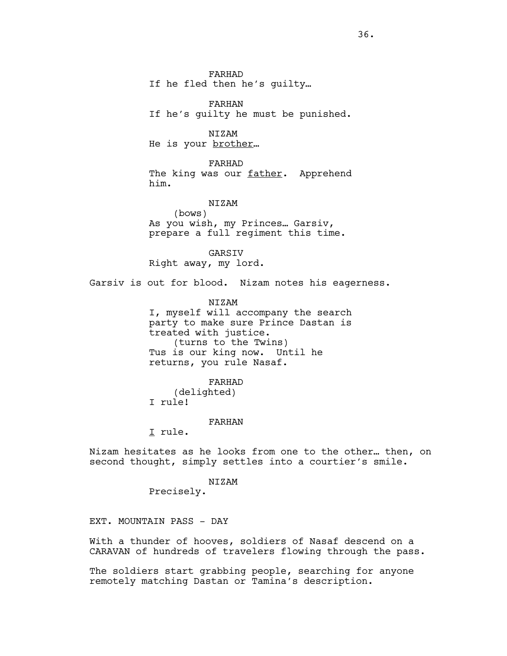FARHAD If he fled then he's guilty…

FARHAN If he's guilty he must be punished.

NIZAM

He is your brother...

FARHAD The king was our father. Apprehend him.

NIZAM (bows) As you wish, my Princes… Garsiv, prepare a full regiment this time.

GARSIV Right away, my lord.

Garsiv is out for blood. Nizam notes his eagerness.

NIZAM I, myself will accompany the search party to make sure Prince Dastan is treated with justice. (turns to the Twins) Tus is our king now. Until he returns, you rule Nasaf.

FARHAD (delighted) I rule!

FARHAN

I rule.

Nizam hesitates as he looks from one to the other… then, on second thought, simply settles into a courtier's smile.

NIZAM

Precisely.

EXT. MOUNTAIN PASS - DAY

With a thunder of hooves, soldiers of Nasaf descend on a CARAVAN of hundreds of travelers flowing through the pass.

The soldiers start grabbing people, searching for anyone remotely matching Dastan or Tamina's description.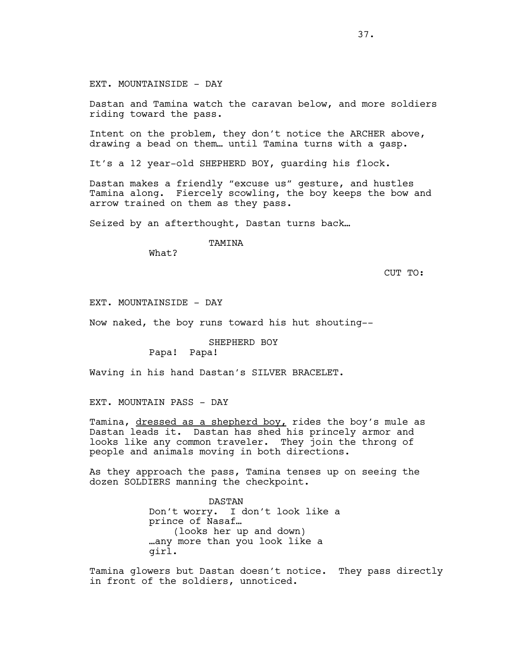EXT. MOUNTAINSIDE - DAY

Dastan and Tamina watch the caravan below, and more soldiers riding toward the pass.

Intent on the problem, they don't notice the ARCHER above, drawing a bead on them… until Tamina turns with a gasp.

It's a 12 year-old SHEPHERD BOY, guarding his flock.

Dastan makes a friendly "excuse us" gesture, and hustles Tamina along. Fiercely scowling, the boy keeps the bow and arrow trained on them as they pass.

Seized by an afterthought, Dastan turns back…

TAMINA

What?

CUT TO:

EXT. MOUNTAINSIDE - DAY

Now naked, the boy runs toward his hut shouting--

SHEPHERD BOY

Papa! Papa!

Waving in his hand Dastan's SILVER BRACELET.

EXT. MOUNTAIN PASS - DAY

Tamina, dressed as a shepherd boy, rides the boy's mule as Dastan leads it. Dastan has shed his princely armor and looks like any common traveler. They join the throng of people and animals moving in both directions.

As they approach the pass, Tamina tenses up on seeing the dozen SOLDIERS manning the checkpoint.

> DASTAN Don't worry. I don't look like a prince of Nasaf… (looks her up and down) …any more than you look like a girl.

Tamina glowers but Dastan doesn't notice. They pass directly in front of the soldiers, unnoticed.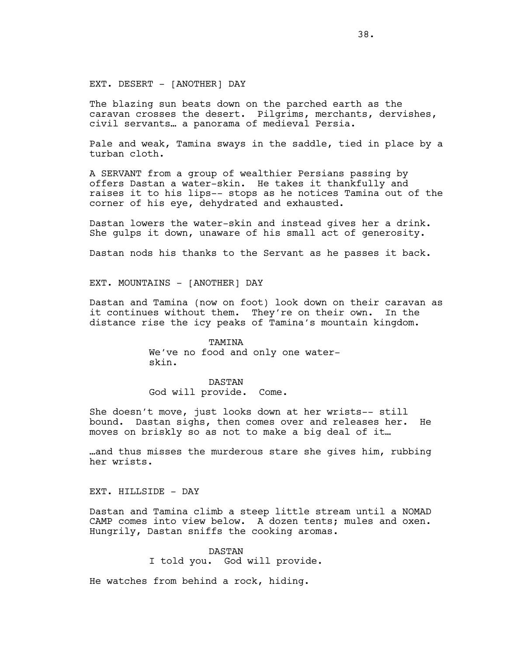EXT. DESERT - [ANOTHER] DAY

The blazing sun beats down on the parched earth as the caravan crosses the desert. Pilgrims, merchants, dervishes, civil servants… a panorama of medieval Persia.

Pale and weak, Tamina sways in the saddle, tied in place by a turban cloth.

A SERVANT from a group of wealthier Persians passing by offers Dastan a water-skin. He takes it thankfully and raises it to his lips-- stops as he notices Tamina out of the corner of his eye, dehydrated and exhausted.

Dastan lowers the water-skin and instead gives her a drink. She gulps it down, unaware of his small act of generosity.

Dastan nods his thanks to the Servant as he passes it back.

EXT. MOUNTAINS - [ANOTHER] DAY

Dastan and Tamina (now on foot) look down on their caravan as it continues without them. They're on their own. In the distance rise the icy peaks of Tamina's mountain kingdom.

> TAMINA We've no food and only one waterskin.

DASTAN God will provide. Come.

She doesn't move, just looks down at her wrists-- still bound. Dastan sighs, then comes over and releases her. He moves on briskly so as not to make a big deal of it…

…and thus misses the murderous stare she gives him, rubbing her wrists.

## EXT. HILLSIDE - DAY

Dastan and Tamina climb a steep little stream until a NOMAD CAMP comes into view below. A dozen tents; mules and oxen. Hungrily, Dastan sniffs the cooking aromas.

> DASTAN I told you. God will provide.

He watches from behind a rock, hiding.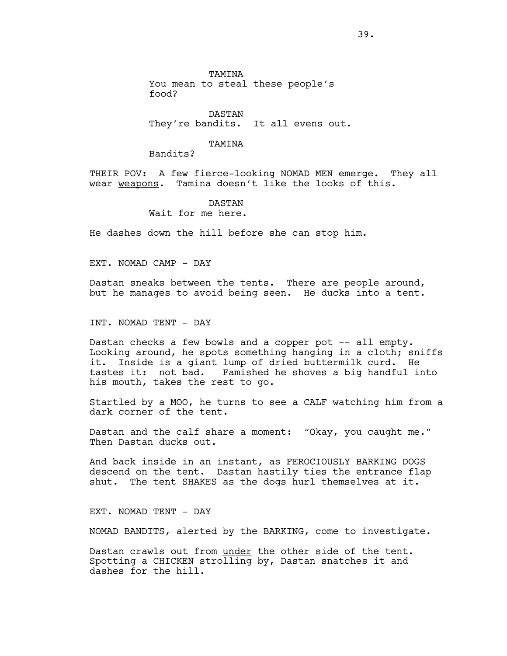TAMINA You mean to steal these people's food?

DASTAN They're bandits. It all evens out.

#### TAMINA

Bandits?

THEIR POV: A few fierce-looking NOMAD MEN emerge. They all wear weapons. Tamina doesn't like the looks of this.

DASTAN

Wait for me here.

He dashes down the hill before she can stop him.

EXT. NOMAD CAMP - DAY

Dastan sneaks between the tents. There are people around, but he manages to avoid being seen. He ducks into a tent.

INT. NOMAD TENT - DAY

Dastan checks a few bowls and a copper pot -- all empty. Looking around, he spots something hanging in a cloth; sniffs it. Inside is a giant lump of dried buttermilk curd. He tastes it: not bad. Famished he shoves a big handful into his mouth, takes the rest to go.

Startled by a MOO, he turns to see a CALF watching him from a dark corner of the tent.

Dastan and the calf share a moment: "Okay, you caught me." Then Dastan ducks out.

And back inside in an instant, as FEROCIOUSLY BARKING DOGS descend on the tent. Dastan hastily ties the entrance flap shut. The tent SHAKES as the dogs hurl themselves at it.

EXT. NOMAD TENT - DAY

NOMAD BANDITS, alerted by the BARKING, come to investigate.

Dastan crawls out from under the other side of the tent. Spotting a CHICKEN strolling by, Dastan snatches it and dashes for the hill.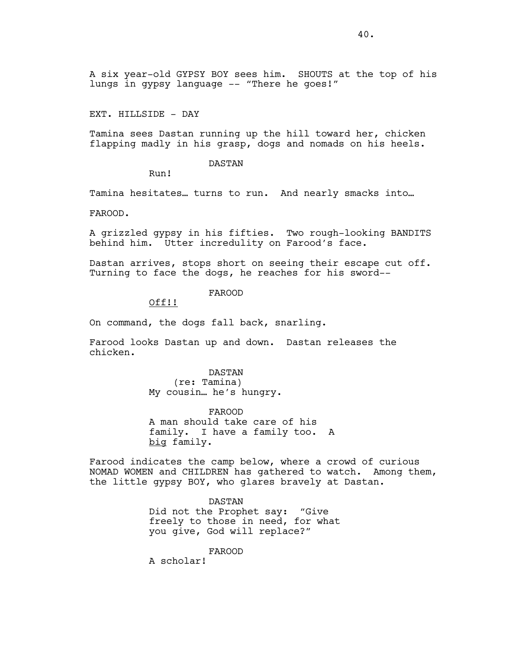A six year-old GYPSY BOY sees him. SHOUTS at the top of his lungs in gypsy language -- "There he goes!"

EXT. HILLSIDE - DAY

Tamina sees Dastan running up the hill toward her, chicken flapping madly in his grasp, dogs and nomads on his heels.

DASTAN

Run!

Tamina hesitates… turns to run. And nearly smacks into…

FAROOD.

A grizzled gypsy in his fifties. Two rough-looking BANDITS behind him. Utter incredulity on Farood's face.

Dastan arrives, stops short on seeing their escape cut off. Turning to face the dogs, he reaches for his sword--

## FAROOD

Off!!

On command, the dogs fall back, snarling.

Farood looks Dastan up and down. Dastan releases the chicken.

#### DASTAN

(re: Tamina) My cousin… he's hungry.

FAROOD A man should take care of his family. I have a family too. A big family.

Farood indicates the camp below, where a crowd of curious NOMAD WOMEN and CHILDREN has gathered to watch. Among them, the little gypsy BOY, who glares bravely at Dastan.

> DASTAN Did not the Prophet say: "Give freely to those in need, for what you give, God will replace?"

> > FAROOD

A scholar!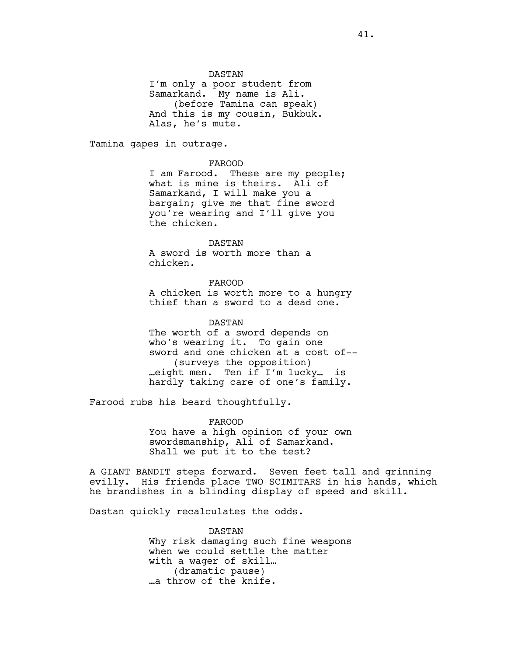DASTAN

I'm only a poor student from Samarkand. My name is Ali. (before Tamina can speak) And this is my cousin, Bukbuk. Alas, he's mute.

Tamina gapes in outrage.

## FAROOD

I am Farood. These are my people; what is mine is theirs. Ali of Samarkand, I will make you a bargain; give me that fine sword you're wearing and I'll give you the chicken.

DASTAN A sword is worth more than a chicken.

FAROOD A chicken is worth more to a hungry thief than a sword to a dead one.

DASTAN The worth of a sword depends on who's wearing it. To gain one sword and one chicken at a cost of-- (surveys the opposition) …eight men. Ten if I'm lucky… is hardly taking care of one's family.

Farood rubs his beard thoughtfully.

FAROOD You have a high opinion of your own swordsmanship, Ali of Samarkand. Shall we put it to the test?

A GIANT BANDIT steps forward. Seven feet tall and grinning evilly. His friends place TWO SCIMITARS in his hands, which he brandishes in a blinding display of speed and skill.

Dastan quickly recalculates the odds.

DASTAN Why risk damaging such fine weapons when we could settle the matter with a wager of skill… (dramatic pause) …a throw of the knife.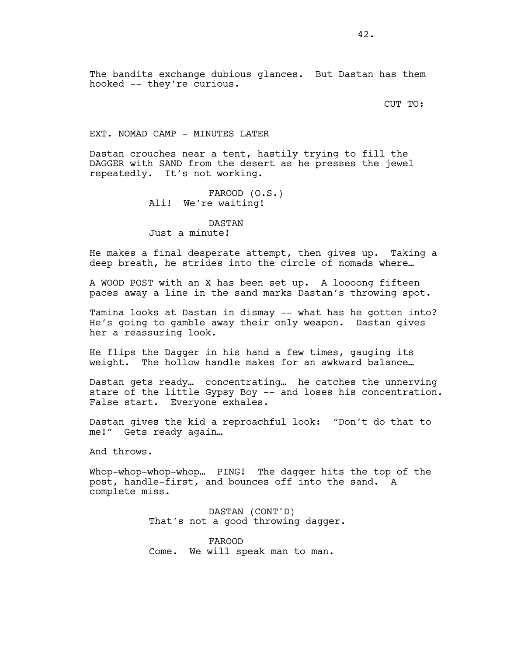The bandits exchange dubious glances. But Dastan has them hooked -- they're curious.

CUT TO:

#### EXT. NOMAD CAMP - MINUTES LATER

Dastan crouches near a tent, hastily trying to fill the DAGGER with SAND from the desert as he presses the jewel repeatedly. It's not working.

> FAROOD (O.S.) Ali! We're waiting!

## DASTAN Just a minute!

He makes a final desperate attempt, then gives up. Taking a deep breath, he strides into the circle of nomads where…

A WOOD POST with an X has been set up. A loooong fifteen paces away a line in the sand marks Dastan's throwing spot.

Tamina looks at Dastan in dismay -- what has he gotten into? He's going to gamble away their only weapon. Dastan gives her a reassuring look.

He flips the Dagger in his hand a few times, gauging its weight. The hollow handle makes for an awkward balance…

Dastan gets ready… concentrating… he catches the unnerving stare of the little Gypsy Boy -- and loses his concentration. False start. Everyone exhales.

Dastan gives the kid a reproachful look: "Don't do that to me!" Gets ready again…

And throws.

Whop-whop-whop-whop… PING! The dagger hits the top of the post, handle-first, and bounces off into the sand. A complete miss.

> DASTAN (CONT'D) That's not a good throwing dagger.

FAROOD Come. We will speak man to man.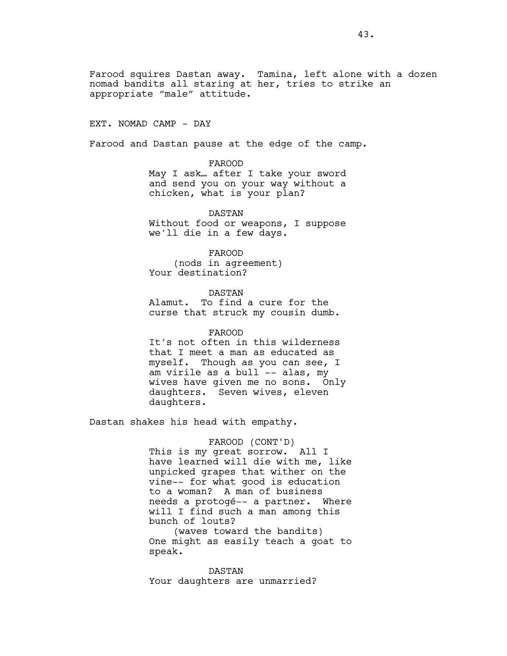EXT. NOMAD CAMP - DAY

Farood and Dastan pause at the edge of the camp.

FAROOD

May I ask… after I take your sword and send you on your way without a chicken, what is your plan?

DASTAN Without food or weapons, I suppose we'll die in a few days.

FAROOD (nods in agreement) Your destination?

DASTAN Alamut. To find a cure for the curse that struck my cousin dumb.

FAROOD

It's not often in this wilderness that I meet a man as educated as myself. Though as you can see, I am virile as a bull -- alas, my wives have given me no sons. Only daughters. Seven wives, eleven daughters.

Dastan shakes his head with empathy.

FAROOD (CONT'D) This is my great sorrow. All I have learned will die with me, like unpicked grapes that wither on the vine-- for what good is education to a woman? A man of business needs a protogé-- a partner. Where will I find such a man among this bunch of louts?

(waves toward the bandits) One might as easily teach a goat to speak.

DASTAN Your daughters are unmarried?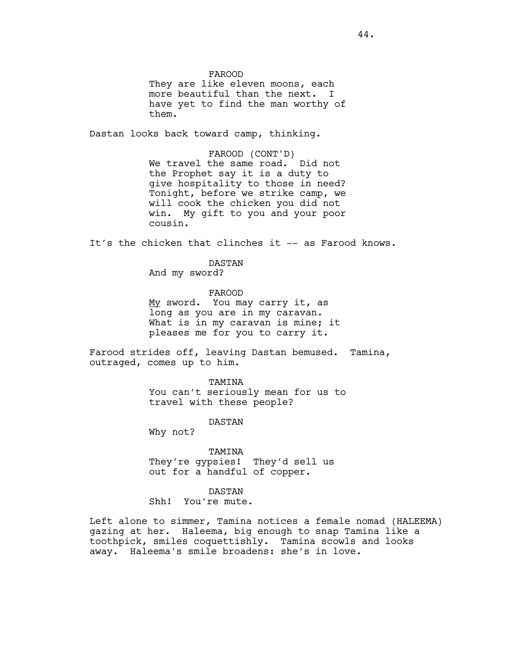FAROOD They are like eleven moons, each more beautiful than the next. I have yet to find the man worthy of them.

Dastan looks back toward camp, thinking.

FAROOD (CONT'D) We travel the same road. Did not the Prophet say it is a duty to give hospitality to those in need? Tonight, before we strike camp, we will cook the chicken you did not win. My gift to you and your poor cousin.

It's the chicken that clinches it -- as Farood knows.

DASTAN

And my sword?

#### FAROOD

My sword. You may carry it, as long as you are in my caravan. What is in my caravan is mine; it pleases me for you to carry it.

Farood strides off, leaving Dastan bemused. Tamina, outraged, comes up to him.

TAMINA

You can't seriously mean for us to travel with these people?

DASTAN

Why not?

TAMINA They're gypsies! They'd sell us out for a handful of copper.

DASTAN

Shh! You're mute.

Left alone to simmer, Tamina notices a female nomad (HALEEMA) gazing at her. Haleema, big enough to snap Tamina like a toothpick, smiles coquettishly. Tamina scowls and looks away. Haleema's smile broadens: she's in love.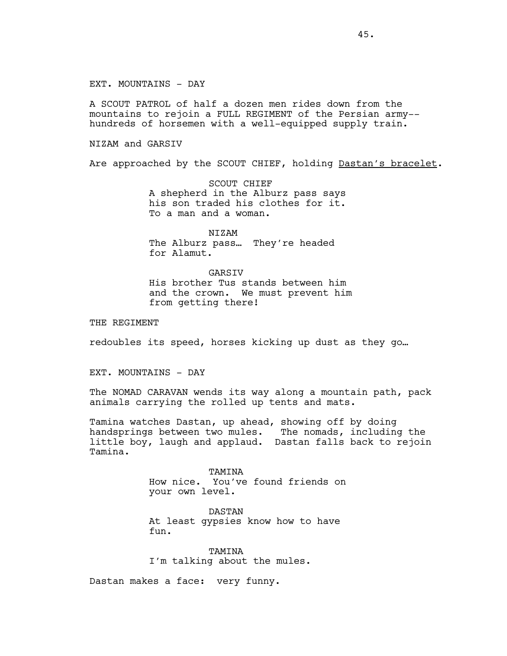EXT. MOUNTAINS - DAY

A SCOUT PATROL of half a dozen men rides down from the mountains to rejoin a FULL REGIMENT of the Persian army- hundreds of horsemen with a well-equipped supply train.

NIZAM and GARSIV

Are approached by the SCOUT CHIEF, holding Dastan's bracelet.

SCOUT CHIEF A shepherd in the Alburz pass says his son traded his clothes for it. To a man and a woman.

NIZAM The Alburz pass… They're headed for Alamut.

GARSIV His brother Tus stands between him and the crown. We must prevent him from getting there!

THE REGIMENT

redoubles its speed, horses kicking up dust as they go…

EXT. MOUNTAINS - DAY

The NOMAD CARAVAN wends its way along a mountain path, pack animals carrying the rolled up tents and mats.

Tamina watches Dastan, up ahead, showing off by doing handsprings between two mules. The nomads, including the little boy, laugh and applaud. Dastan falls back to rejoin Tamina.

> TAMINA How nice. You've found friends on your own level.

DASTAN At least gypsies know how to have fun.

TAMINA I'm talking about the mules.

Dastan makes a face: very funny.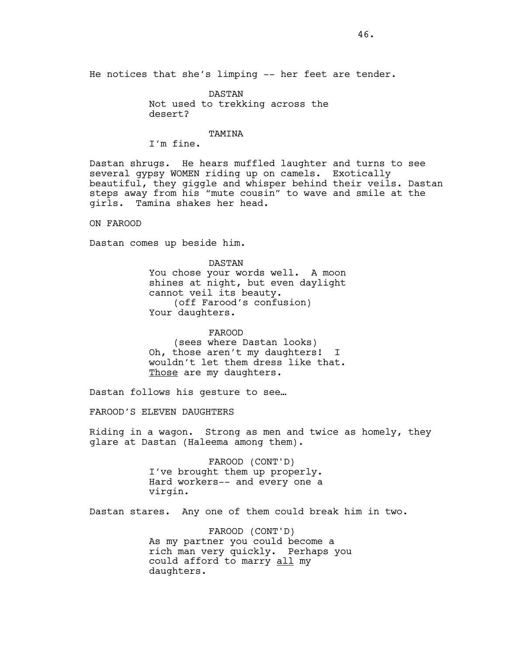He notices that she's limping -- her feet are tender.

DASTAN Not used to trekking across the desert?

### TAMINA

I'm fine.

Dastan shrugs. He hears muffled laughter and turns to see several gypsy WOMEN riding up on camels. Exotically beautiful, they giggle and whisper behind their veils. Dastan steps away from his "mute cousin" to wave and smile at the girls. Tamina shakes her head.

ON FAROOD

Dastan comes up beside him.

DASTAN You chose your words well. A moon shines at night, but even daylight cannot veil its beauty. (off Farood's confusion) Your daughters.

FAROOD (sees where Dastan looks) Oh, those aren't my daughters! I wouldn't let them dress like that. Those are my daughters.

Dastan follows his gesture to see…

FAROOD'S ELEVEN DAUGHTERS

Riding in a wagon. Strong as men and twice as homely, they glare at Dastan (Haleema among them).

> FAROOD (CONT'D) I've brought them up properly. Hard workers-- and every one a virgin.

Dastan stares. Any one of them could break him in two.

FAROOD (CONT'D) As my partner you could become a rich man very quickly. Perhaps you could afford to marry all my daughters.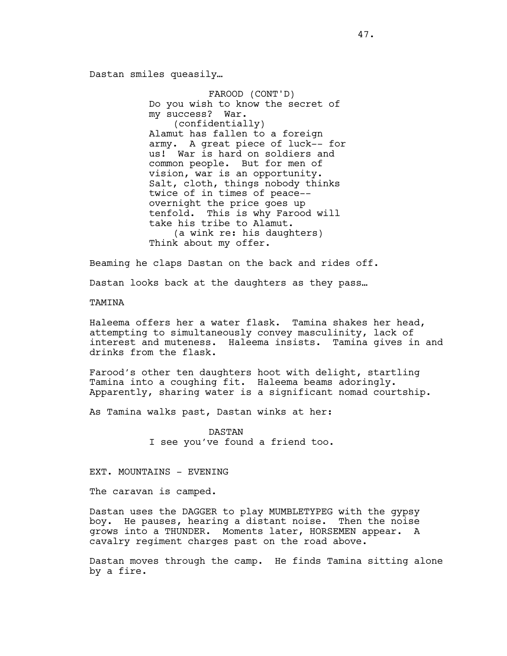Dastan smiles queasily…

FAROOD (CONT'D) Do you wish to know the secret of my success? War. (confidentially) Alamut has fallen to a foreign army. A great piece of luck-- for us! War is hard on soldiers and common people. But for men of vision, war is an opportunity. Salt, cloth, things nobody thinks twice of in times of peace- overnight the price goes up tenfold. This is why Farood will take his tribe to Alamut. (a wink re: his daughters) Think about my offer.

Beaming he claps Dastan on the back and rides off.

Dastan looks back at the daughters as they pass…

TAMINA

Haleema offers her a water flask. Tamina shakes her head, attempting to simultaneously convey masculinity, lack of interest and muteness. Haleema insists. Tamina gives in and drinks from the flask.

Farood's other ten daughters hoot with delight, startling Tamina into a coughing fit. Haleema beams adoringly. Apparently, sharing water is a significant nomad courtship.

As Tamina walks past, Dastan winks at her:

DASTAN I see you've found a friend too.

EXT. MOUNTAINS - EVENING

The caravan is camped.

Dastan uses the DAGGER to play MUMBLETYPEG with the gypsy boy. He pauses, hearing a distant noise. Then the noise grows into a THUNDER. Moments later, HORSEMEN appear. A cavalry regiment charges past on the road above.

Dastan moves through the camp. He finds Tamina sitting alone by a fire.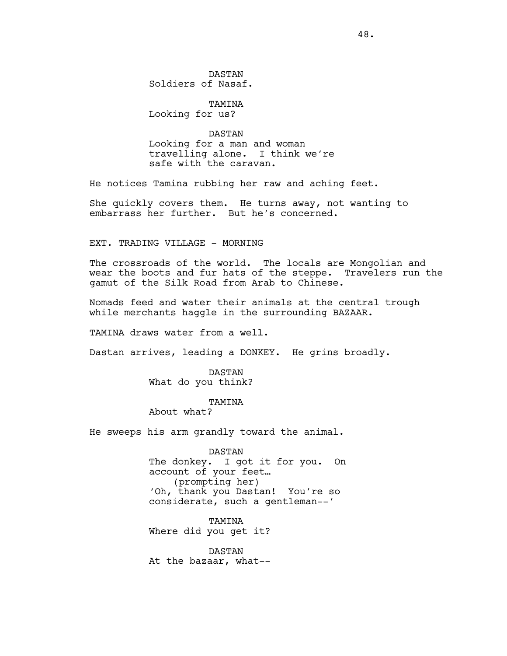DASTAN Soldiers of Nasaf.

TAMINA Looking for us?

DASTAN Looking for a man and woman travelling alone. I think we're safe with the caravan.

He notices Tamina rubbing her raw and aching feet.

She quickly covers them. He turns away, not wanting to embarrass her further. But he's concerned.

EXT. TRADING VILLAGE - MORNING

The crossroads of the world. The locals are Mongolian and wear the boots and fur hats of the steppe. Travelers run the gamut of the Silk Road from Arab to Chinese.

Nomads feed and water their animals at the central trough while merchants haggle in the surrounding BAZAAR.

TAMINA draws water from a well.

Dastan arrives, leading a DONKEY. He grins broadly.

DASTAN What do you think?

TAMINA

About what?

He sweeps his arm grandly toward the animal.

DASTAN The donkey. I got it for you. On account of your feet… (prompting her) 'Oh, thank you Dastan! You're so considerate, such a gentleman--'

TAMINA Where did you get it?

DASTAN At the bazaar, what--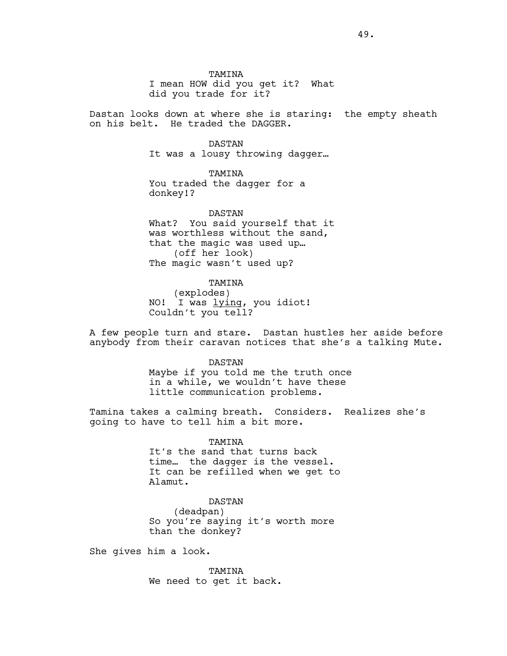TAMINA I mean HOW did you get it? What did you trade for it?

Dastan looks down at where she is staring: the empty sheath on his belt. He traded the DAGGER.

## DASTAN

It was a lousy throwing dagger…

TAMINA You traded the dagger for a donkey!?

DASTAN What? You said yourself that it was worthless without the sand, that the magic was used up… (off her look) The magic wasn't used up?

# TAMINA

(explodes) NO! I was lying, you idiot! Couldn't you tell?

A few people turn and stare. Dastan hustles her aside before anybody from their caravan notices that she's a talking Mute.

#### DASTAN

Maybe if you told me the truth once in a while, we wouldn't have these little communication problems.

Tamina takes a calming breath. Considers. Realizes she's going to have to tell him a bit more.

## TAMINA

It's the sand that turns back time… the dagger is the vessel. It can be refilled when we get to Alamut.

# DASTAN

(deadpan) So you're saying it's worth more than the donkey?

She gives him a look.

TAMINA We need to get it back.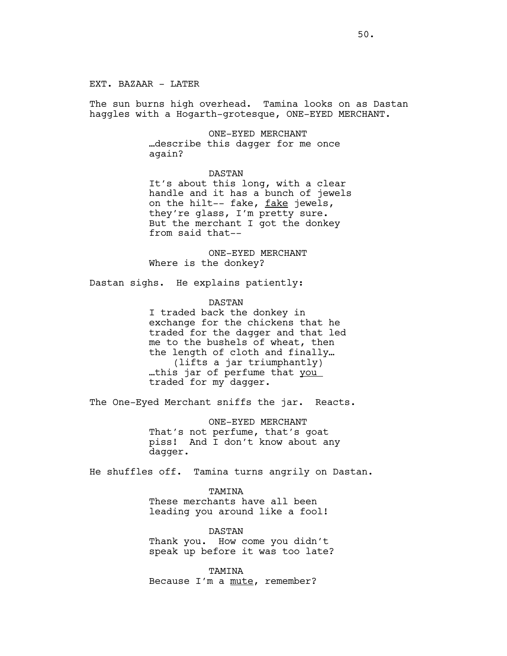EXT. BAZAAR - LATER

The sun burns high overhead. Tamina looks on as Dastan haggles with a Hogarth-grotesque, ONE-EYED MERCHANT.

> ONE-EYED MERCHANT …describe this dagger for me once again?

> > DASTAN

It's about this long, with a clear handle and it has a bunch of jewels on the hilt-- fake, fake jewels, they're glass, I'm pretty sure. But the merchant I got the donkey from said that--

ONE-EYED MERCHANT Where is the donkey?

Dastan sighs. He explains patiently:

DASTAN

I traded back the donkey in exchange for the chickens that he traded for the dagger and that led me to the bushels of wheat, then the length of cloth and finally… (lifts a jar triumphantly) ...this jar of perfume that you traded for my dagger.

The One-Eyed Merchant sniffs the jar. Reacts.

ONE-EYED MERCHANT That's not perfume, that's goat piss! And I don't know about any dagger.

He shuffles off. Tamina turns angrily on Dastan.

TAMINA These merchants have all been leading you around like a fool!

DASTAN Thank you. How come you didn't speak up before it was too late?

TAMINA Because I'm a mute, remember?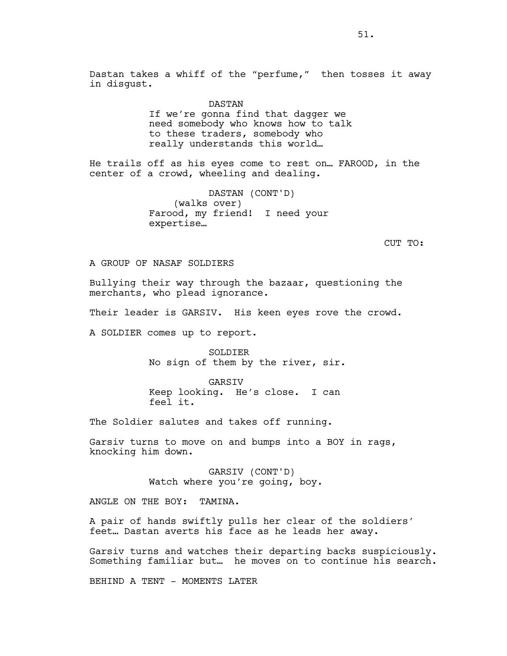Dastan takes a whiff of the "perfume," then tosses it away in disgust.

> DASTAN If we're gonna find that dagger we need somebody who knows how to talk to these traders, somebody who really understands this world…

He trails off as his eyes come to rest on… FAROOD, in the center of a crowd, wheeling and dealing.

> DASTAN (CONT'D) (walks over) Farood, my friend! I need your expertise…

> > CUT TO:

A GROUP OF NASAF SOLDIERS

Bullying their way through the bazaar, questioning the merchants, who plead ignorance.

Their leader is GARSIV. His keen eyes rove the crowd.

A SOLDIER comes up to report.

SOLDIER No sign of them by the river, sir.

GARSIV Keep looking. He's close. I can feel it.

The Soldier salutes and takes off running.

Garsiv turns to move on and bumps into a BOY in rags, knocking him down.

> GARSIV (CONT'D) Watch where you're going, boy.

ANGLE ON THE BOY: TAMINA.

A pair of hands swiftly pulls her clear of the soldiers' feet… Dastan averts his face as he leads her away.

Garsiv turns and watches their departing backs suspiciously. Something familiar but… he moves on to continue his search.

BEHIND A TENT - MOMENTS LATER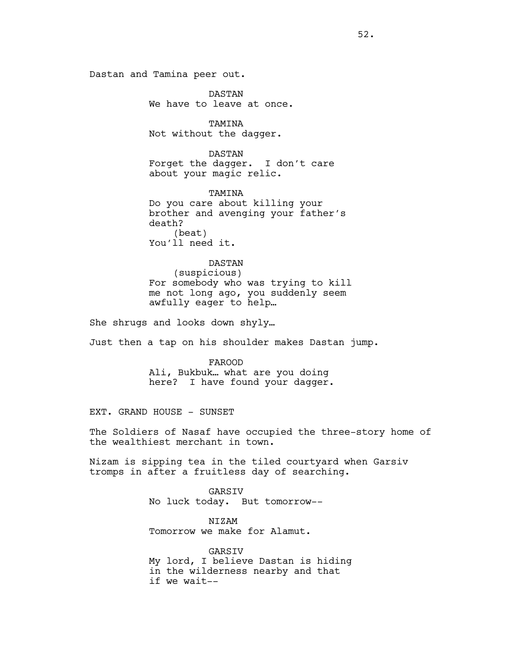Dastan and Tamina peer out.

DASTAN We have to leave at once.

TAMINA Not without the dagger.

DASTAN Forget the dagger. I don't care about your magic relic.

TAMINA Do you care about killing your brother and avenging your father's death? (beat) You'll need it.

## DASTAN

(suspicious) For somebody who was trying to kill me not long ago, you suddenly seem awfully eager to help…

She shrugs and looks down shyly…

Just then a tap on his shoulder makes Dastan jump.

FAROOD Ali, Bukbuk… what are you doing here? I have found your dagger.

EXT. GRAND HOUSE - SUNSET

The Soldiers of Nasaf have occupied the three-story home of the wealthiest merchant in town.

Nizam is sipping tea in the tiled courtyard when Garsiv tromps in after a fruitless day of searching.

> GARSIV No luck today. But tomorrow--

NIZAM Tomorrow we make for Alamut.

GARSIV My lord, I believe Dastan is hiding in the wilderness nearby and that if we wait--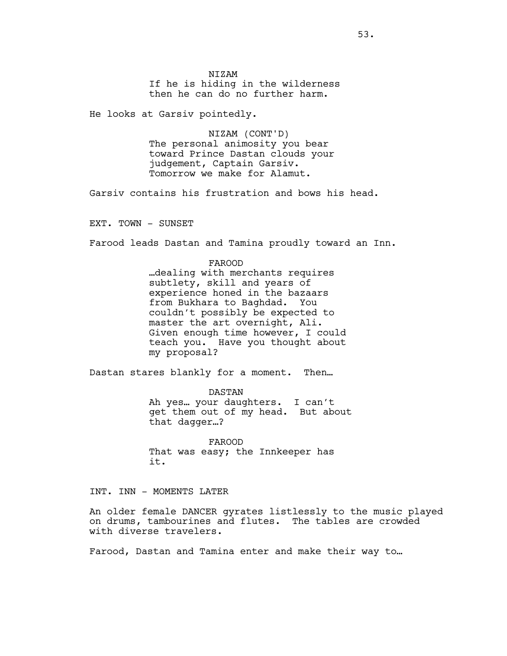NIZAM If he is hiding in the wilderness then he can do no further harm.

He looks at Garsiv pointedly.

NIZAM (CONT'D) The personal animosity you bear toward Prince Dastan clouds your judgement, Captain Garsiv. Tomorrow we make for Alamut.

Garsiv contains his frustration and bows his head.

EXT. TOWN - SUNSET

Farood leads Dastan and Tamina proudly toward an Inn.

#### FAROOD

…dealing with merchants requires subtlety, skill and years of experience honed in the bazaars from Bukhara to Baghdad. You couldn't possibly be expected to master the art overnight, Ali. Given enough time however, I could teach you. Have you thought about my proposal?

Dastan stares blankly for a moment. Then…

DASTAN Ah yes… your daughters. I can't get them out of my head. But about that dagger…?

FAROOD That was easy; the Innkeeper has it.

INT. INN - MOMENTS LATER

An older female DANCER gyrates listlessly to the music played on drums, tambourines and flutes. The tables are crowded with diverse travelers.

Farood, Dastan and Tamina enter and make their way to…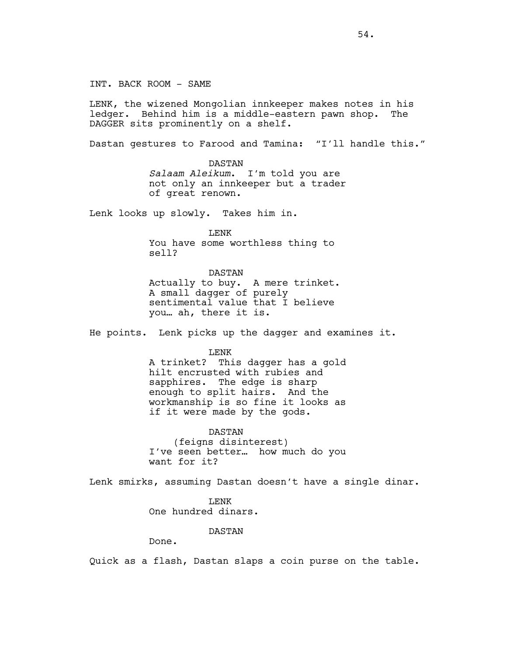INT. BACK ROOM - SAME

LENK, the wizened Mongolian innkeeper makes notes in his ledger. Behind him is a middle-eastern pawn shop. The DAGGER sits prominently on a shelf.

Dastan gestures to Farood and Tamina: "I'll handle this."

DASTAN *Salaam Aleikum*. I'm told you are not only an innkeeper but a trader of great renown.

Lenk looks up slowly. Takes him in.

LENK You have some worthless thing to sell?

DASTAN Actually to buy. A mere trinket. A small dagger of purely sentimental value that I believe you… ah, there it is.

He points. Lenk picks up the dagger and examines it.

LENK

A trinket? This dagger has a gold hilt encrusted with rubies and sapphires. The edge is sharp enough to split hairs. And the workmanship is so fine it looks as if it were made by the gods.

DASTAN (feigns disinterest) I've seen better… how much do you want for it?

Lenk smirks, assuming Dastan doesn't have a single dinar.

**LENK** One hundred dinars.

DASTAN

Done.

Quick as a flash, Dastan slaps a coin purse on the table.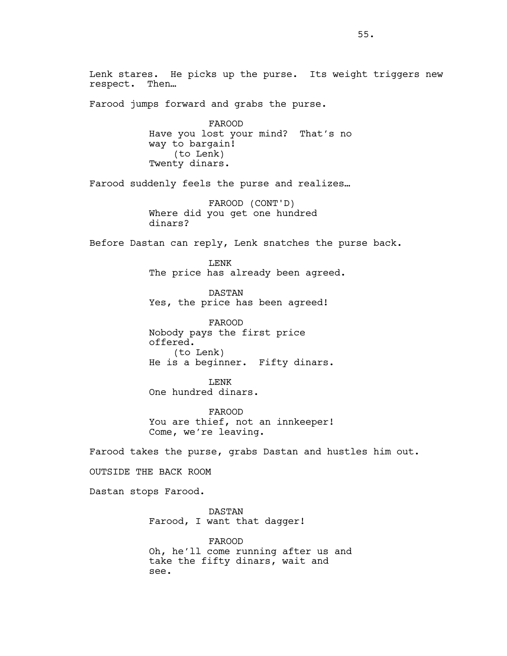Lenk stares. He picks up the purse. Its weight triggers new respect. Then… Farood jumps forward and grabs the purse. FAROOD Have you lost your mind? That's no way to bargain! (to Lenk) Twenty dinars. Farood suddenly feels the purse and realizes… FAROOD (CONT'D) Where did you get one hundred dinars? Before Dastan can reply, Lenk snatches the purse back. LENK The price has already been agreed. DASTAN Yes, the price has been agreed! FAROOD Nobody pays the first price offered. (to Lenk) He is a beginner. Fifty dinars. LENK One hundred dinars. FAROOD You are thief, not an innkeeper! Come, we're leaving. Farood takes the purse, grabs Dastan and hustles him out. OUTSIDE THE BACK ROOM Dastan stops Farood. DASTAN Farood, I want that dagger! FAROOD Oh, he'll come running after us and take the fifty dinars, wait and see.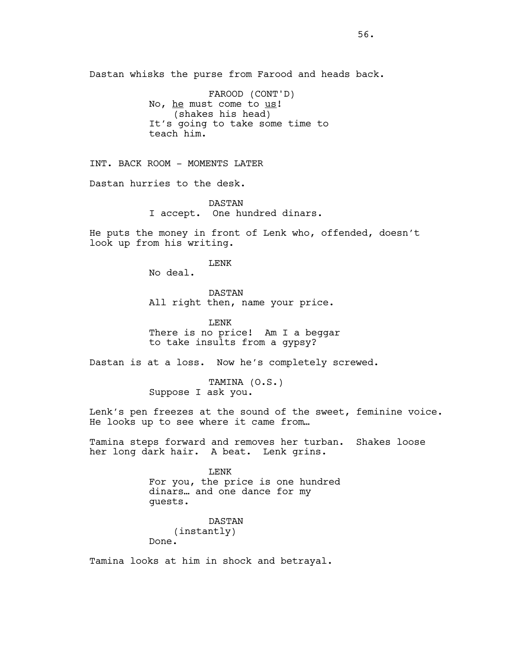Dastan whisks the purse from Farood and heads back.

FAROOD (CONT'D) No, he must come to us! (shakes his head) It's going to take some time to teach him.

INT. BACK ROOM - MOMENTS LATER

Dastan hurries to the desk.

DASTAN I accept. One hundred dinars.

He puts the money in front of Lenk who, offended, doesn't look up from his writing.

**LENK** 

No deal.

DASTAN All right then, name your price.

LENK There is no price! Am I a beggar to take insults from a gypsy?

Dastan is at a loss. Now he's completely screwed.

TAMINA (O.S.) Suppose I ask you.

Lenk's pen freezes at the sound of the sweet, feminine voice. He looks up to see where it came from…

Tamina steps forward and removes her turban. Shakes loose her long dark hair. A beat. Lenk grins.

> LENK For you, the price is one hundred dinars… and one dance for my guests.

DASTAN (instantly) Done.

Tamina looks at him in shock and betrayal.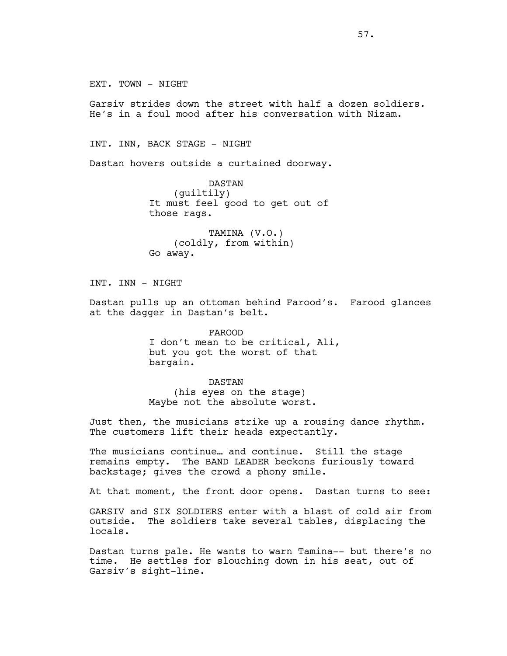EXT. TOWN - NIGHT

Garsiv strides down the street with half a dozen soldiers. He's in a foul mood after his conversation with Nizam.

INT. INN, BACK STAGE - NIGHT

Dastan hovers outside a curtained doorway.

DASTAN (guiltily) It must feel good to get out of those rags.

TAMINA (V.O.) (coldly, from within) Go away.

INT. INN - NIGHT

Dastan pulls up an ottoman behind Farood's. Farood glances at the dagger in Dastan's belt.

> FAROOD I don't mean to be critical, Ali, but you got the worst of that bargain.

> > DASTAN

(his eyes on the stage) Maybe not the absolute worst.

Just then, the musicians strike up a rousing dance rhythm. The customers lift their heads expectantly.

The musicians continue… and continue. Still the stage remains empty. The BAND LEADER beckons furiously toward backstage; gives the crowd a phony smile.

At that moment, the front door opens. Dastan turns to see:

GARSIV and SIX SOLDIERS enter with a blast of cold air from outside. The soldiers take several tables, displacing the locals.

Dastan turns pale. He wants to warn Tamina-- but there's no time. He settles for slouching down in his seat, out of Garsiv's sight-line.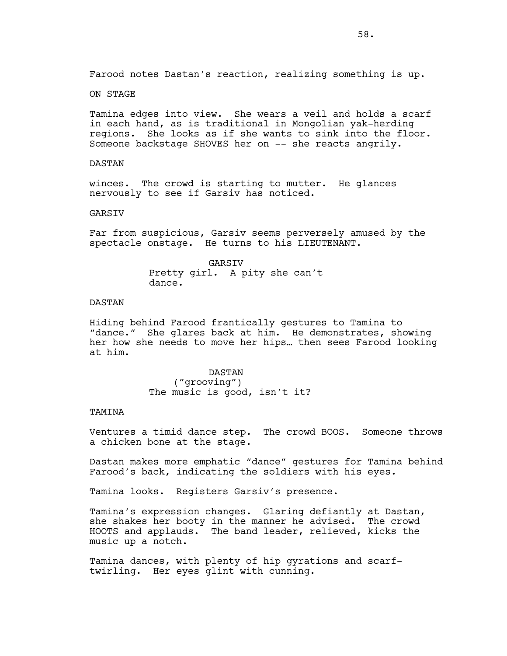Farood notes Dastan's reaction, realizing something is up.

ON STAGE

Tamina edges into view. She wears a veil and holds a scarf in each hand, as is traditional in Mongolian yak-herding regions. She looks as if she wants to sink into the floor. Someone backstage SHOVES her on -- she reacts angrily.

DASTAN

winces. The crowd is starting to mutter. He glances nervously to see if Garsiv has noticed.

GARSIV

Far from suspicious, Garsiv seems perversely amused by the spectacle onstage. He turns to his LIEUTENANT.

> GARSIV Pretty girl. A pity she can't dance.

## DASTAN

Hiding behind Farood frantically gestures to Tamina to "dance." She glares back at him. He demonstrates, showing her how she needs to move her hips… then sees Farood looking at him.

> DASTAN ("grooving") The music is good, isn't it?

### TAMINA

Ventures a timid dance step. The crowd BOOS. Someone throws a chicken bone at the stage.

Dastan makes more emphatic "dance" gestures for Tamina behind Farood's back, indicating the soldiers with his eyes.

Tamina looks. Registers Garsiv's presence.

Tamina's expression changes. Glaring defiantly at Dastan, she shakes her booty in the manner he advised. The crowd HOOTS and applauds. The band leader, relieved, kicks the music up a notch.

Tamina dances, with plenty of hip gyrations and scarftwirling. Her eyes glint with cunning.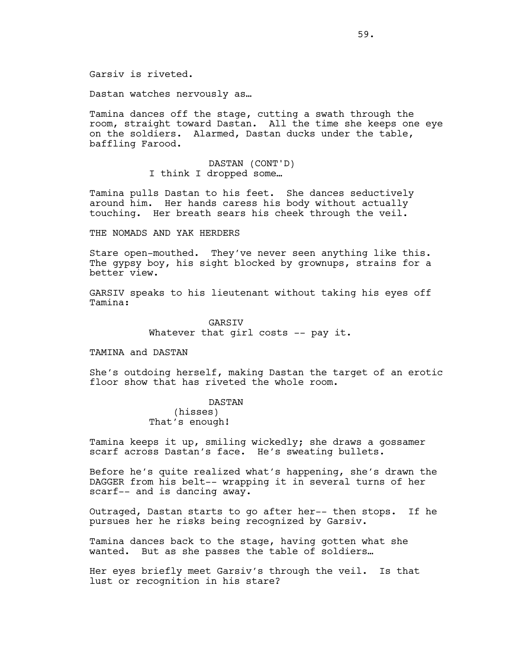Garsiv is riveted.

Dastan watches nervously as…

Tamina dances off the stage, cutting a swath through the room, straight toward Dastan. All the time she keeps one eye on the soldiers. Alarmed, Dastan ducks under the table, baffling Farood.

> DASTAN (CONT'D) I think I dropped some…

Tamina pulls Dastan to his feet. She dances seductively around him. Her hands caress his body without actually touching. Her breath sears his cheek through the veil.

THE NOMADS AND YAK HERDERS

Stare open-mouthed. They've never seen anything like this. The gypsy boy, his sight blocked by grownups, strains for a better view.

GARSIV speaks to his lieutenant without taking his eyes off Tamina:

> GARSIV Whatever that girl costs -- pay it.

TAMINA and DASTAN

She's outdoing herself, making Dastan the target of an erotic floor show that has riveted the whole room.

> DASTAN (hisses) That's enough!

Tamina keeps it up, smiling wickedly; she draws a gossamer scarf across Dastan's face. He's sweating bullets.

Before he's quite realized what's happening, she's drawn the DAGGER from his belt-- wrapping it in several turns of her scarf-- and is dancing away.

Outraged, Dastan starts to go after her-- then stops. If he pursues her he risks being recognized by Garsiv.

Tamina dances back to the stage, having gotten what she wanted. But as she passes the table of soldiers…

Her eyes briefly meet Garsiv's through the veil. Is that lust or recognition in his stare?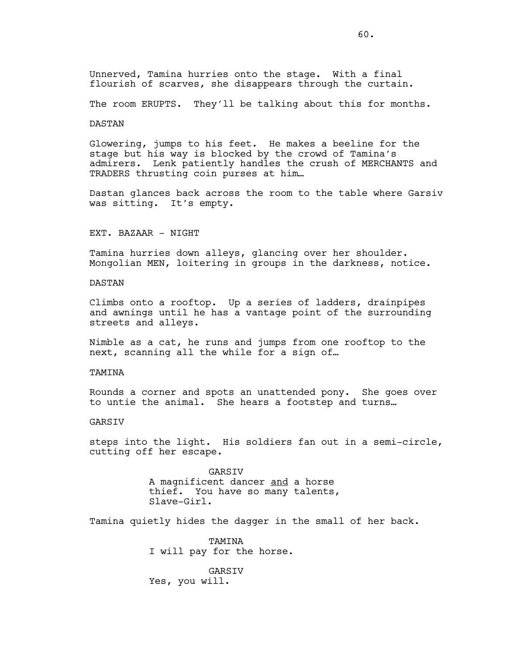Unnerved, Tamina hurries onto the stage. With a final flourish of scarves, she disappears through the curtain.

The room ERUPTS. They'll be talking about this for months.

DASTAN

Glowering, jumps to his feet. He makes a beeline for the stage but his way is blocked by the crowd of Tamina's admirers. Lenk patiently handles the crush of MERCHANTS and TRADERS thrusting coin purses at him…

Dastan glances back across the room to the table where Garsiv was sitting. It's empty.

EXT. BAZAAR - NIGHT

Tamina hurries down alleys, glancing over her shoulder. Mongolian MEN, loitering in groups in the darkness, notice.

DASTAN

Climbs onto a rooftop. Up a series of ladders, drainpipes and awnings until he has a vantage point of the surrounding streets and alleys.

Nimble as a cat, he runs and jumps from one rooftop to the next, scanning all the while for a sign of…

TAMINA

Rounds a corner and spots an unattended pony. She goes over to untie the animal. She hears a footstep and turns…

GARSIV

steps into the light. His soldiers fan out in a semi-circle, cutting off her escape.

> GARSIV A magnificent dancer and a horse thief. You have so many talents, Slave-Girl.

Tamina quietly hides the dagger in the small of her back.

TAMINA I will pay for the horse.

GARSIV Yes, you will.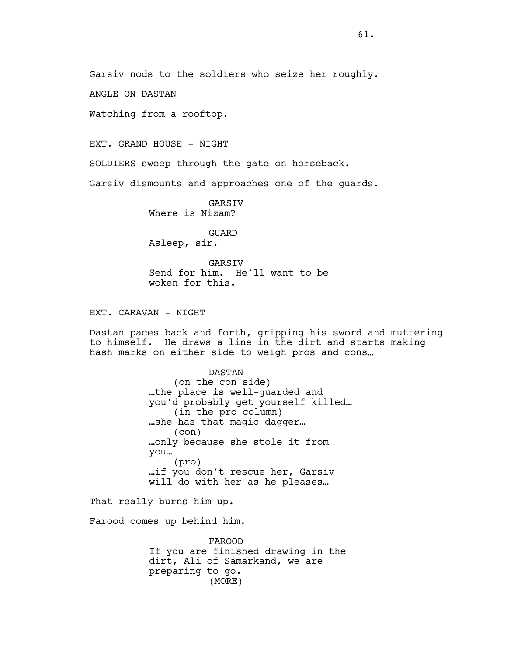Garsiv nods to the soldiers who seize her roughly.

ANGLE ON DASTAN

Watching from a rooftop.

EXT. GRAND HOUSE - NIGHT

SOLDIERS sweep through the gate on horseback.

Garsiv dismounts and approaches one of the guards.

GARSIV Where is Nizam?

GUARD Asleep, sir.

GARSIV Send for him. He'll want to be woken for this.

EXT. CARAVAN - NIGHT

Dastan paces back and forth, gripping his sword and muttering to himself. He draws a line in the dirt and starts making hash marks on either side to weigh pros and cons…

> DASTAN (on the con side) …the place is well-guarded and you'd probably get yourself killed… (in the pro column) …she has that magic dagger… (con) …only because she stole it from you… (pro) …if you don't rescue her, Garsiv will do with her as he pleases…

That really burns him up.

Farood comes up behind him.

FAROOD If you are finished drawing in the dirt, Ali of Samarkand, we are preparing to go. (MORE)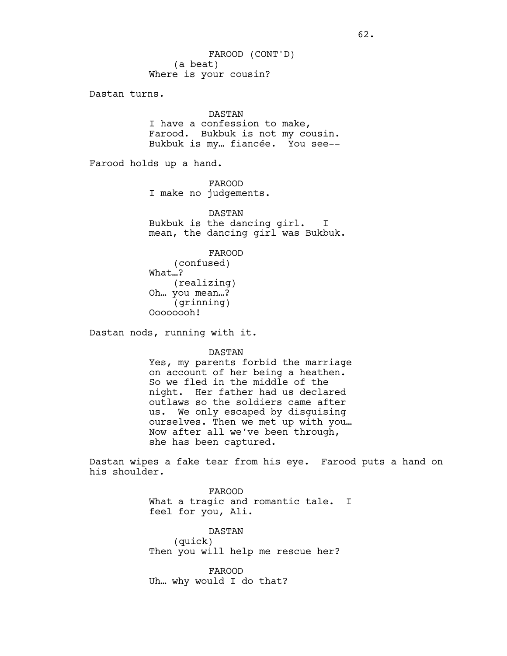(a beat) Where is your cousin? FAROOD (CONT'D)

Dastan turns.

DASTAN I have a confession to make, Farood. Bukbuk is not my cousin. Bukbuk is my… fiancée. You see--

Farood holds up a hand.

FAROOD I make no judgements.

DASTAN Bukbuk is the dancing girl. I mean, the dancing girl was Bukbuk.

FAROOD (confused) What…? (realizing) Oh… you mean…? (grinning) Oooooooh!

Dastan nods, running with it.

DASTAN

Yes, my parents forbid the marriage on account of her being a heathen. So we fled in the middle of the night. Her father had us declared outlaws so the soldiers came after us. We only escaped by disguising ourselves. Then we met up with you… Now after all we've been through, she has been captured.

Dastan wipes a fake tear from his eye. Farood puts a hand on his shoulder.

> FAROOD What a tragic and romantic tale. I feel for you, Ali.

DASTAN (quick) Then you will help me rescue her?

FAROOD Uh… why would I do that?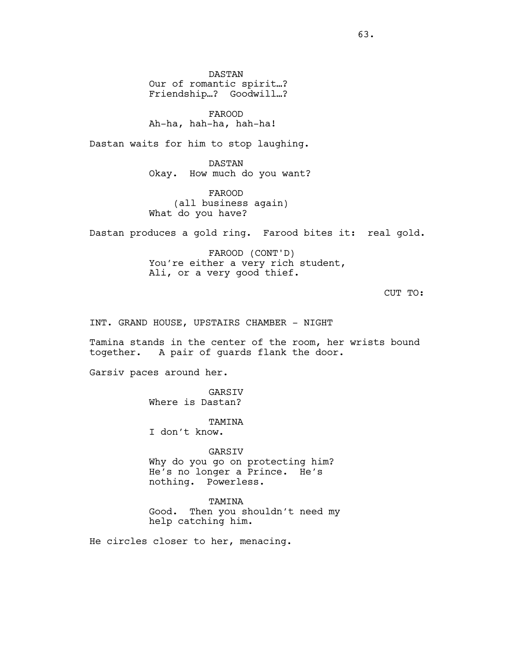DASTAN Our of romantic spirit…? Friendship…? Goodwill…?

FAROOD Ah-ha, hah-ha, hah-ha!

Dastan waits for him to stop laughing.

DASTAN Okay. How much do you want?

FAROOD (all business again) What do you have?

Dastan produces a gold ring. Farood bites it: real gold.

FAROOD (CONT'D) You're either a very rich student, Ali, or a very good thief.

CUT TO:

INT. GRAND HOUSE, UPSTAIRS CHAMBER - NIGHT

Tamina stands in the center of the room, her wrists bound together. A pair of guards flank the door.

Garsiv paces around her.

GARSIV Where is Dastan?

TAMINA

I don't know.

GARSIV Why do you go on protecting him? He's no longer a Prince. He's

nothing. Powerless.

TAMINA Good. Then you shouldn't need my help catching him.

He circles closer to her, menacing.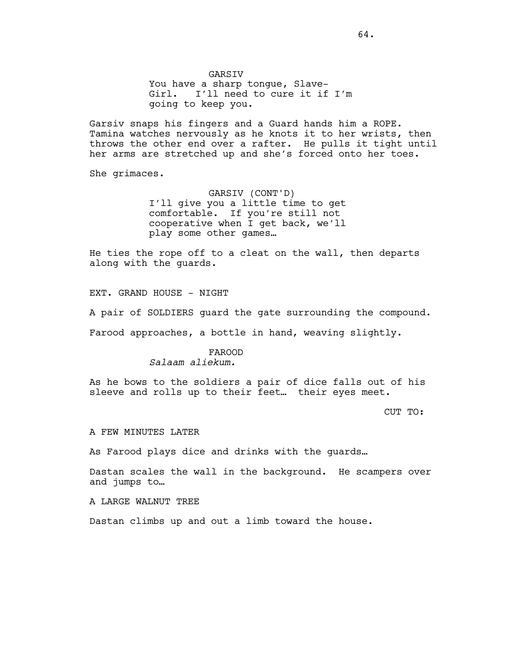GARSIV You have a sharp tongue, Slave-Girl. I'll need to cure it if I'm going to keep you.

Garsiv snaps his fingers and a Guard hands him a ROPE. Tamina watches nervously as he knots it to her wrists, then throws the other end over a rafter. He pulls it tight until her arms are stretched up and she's forced onto her toes.

She grimaces.

GARSIV (CONT'D) I'll give you a little time to get comfortable. If you're still not cooperative when I get back, we'll play some other games…

He ties the rope off to a cleat on the wall, then departs along with the guards.

EXT. GRAND HOUSE - NIGHT

A pair of SOLDIERS guard the gate surrounding the compound.

Farood approaches, a bottle in hand, weaving slightly.

## FAROOD

# *Salaam aliekum.*

As he bows to the soldiers a pair of dice falls out of his sleeve and rolls up to their feet… their eyes meet.

CUT TO:

#### A FEW MINUTES LATER

As Farood plays dice and drinks with the guards…

Dastan scales the wall in the background. He scampers over and jumps to…

## A LARGE WALNUT TREE

Dastan climbs up and out a limb toward the house.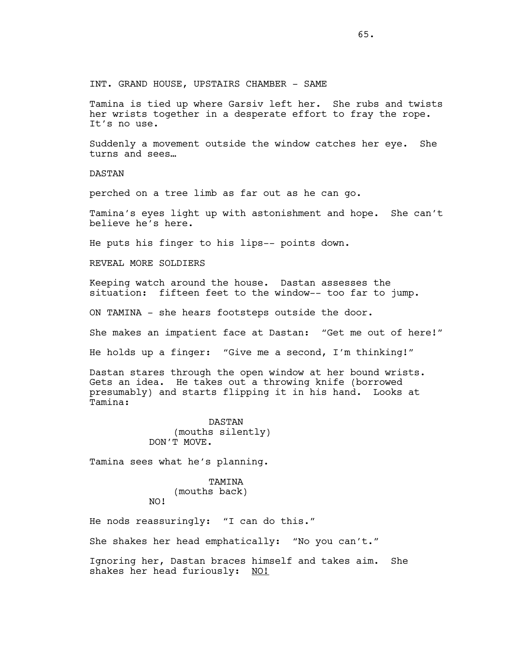INT. GRAND HOUSE, UPSTAIRS CHAMBER - SAME

Tamina is tied up where Garsiv left her. She rubs and twists her wrists together in a desperate effort to fray the rope. It's no use.

Suddenly a movement outside the window catches her eye. She turns and sees…

DASTAN

perched on a tree limb as far out as he can go.

Tamina's eyes light up with astonishment and hope. She can't believe he's here.

He puts his finger to his lips-- points down.

REVEAL MORE SOLDIERS

Keeping watch around the house. Dastan assesses the situation: fifteen feet to the window-- too far to jump.

ON TAMINA - she hears footsteps outside the door.

She makes an impatient face at Dastan: "Get me out of here!"

He holds up a finger: "Give me a second, I'm thinking!"

Dastan stares through the open window at her bound wrists. Gets an idea. He takes out a throwing knife (borrowed presumably) and starts flipping it in his hand. Looks at Tamina:

> DASTAN (mouths silently) DON'T MOVE.

Tamina sees what he's planning.

TAMINA (mouths back) NO!

He nods reassuringly: "I can do this." She shakes her head emphatically: "No you can't." Ignoring her, Dastan braces himself and takes aim. She shakes her head furiously: NO!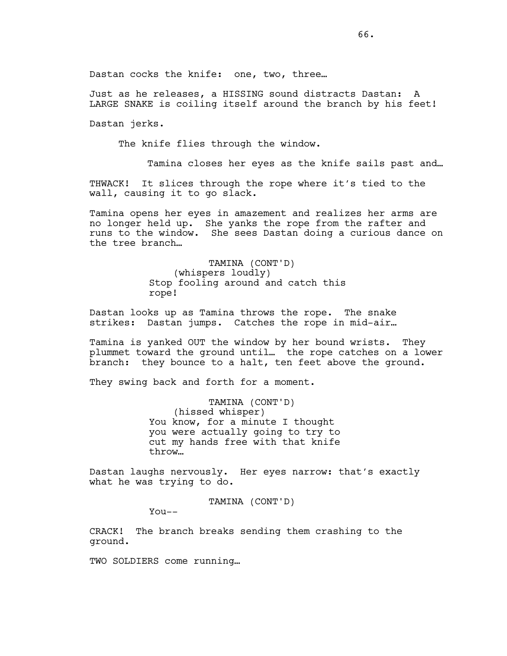Dastan cocks the knife: one, two, three…

Just as he releases, a HISSING sound distracts Dastan: A LARGE SNAKE is coiling itself around the branch by his feet!

Dastan jerks.

The knife flies through the window.

Tamina closes her eyes as the knife sails past and…

THWACK! It slices through the rope where it's tied to the wall, causing it to go slack.

Tamina opens her eyes in amazement and realizes her arms are no longer held up. She yanks the rope from the rafter and runs to the window. She sees Dastan doing a curious dance on the tree branch…

> TAMINA (CONT'D) (whispers loudly) Stop fooling around and catch this rope!

Dastan looks up as Tamina throws the rope. The snake strikes: Dastan jumps. Catches the rope in mid-air…

Tamina is yanked OUT the window by her bound wrists. They plummet toward the ground until… the rope catches on a lower branch: they bounce to a halt, ten feet above the ground.

They swing back and forth for a moment.

TAMINA (CONT'D) (hissed whisper) You know, for a minute I thought you were actually going to try to cut my hands free with that knife throw…

Dastan laughs nervously. Her eyes narrow: that's exactly what he was trying to do.

TAMINA (CONT'D)

You--

CRACK! The branch breaks sending them crashing to the ground.

TWO SOLDIERS come running…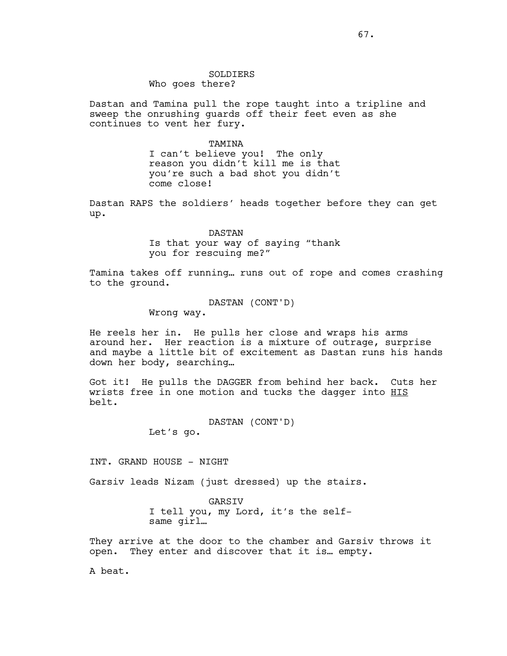## SOLDIERS Who goes there?

Dastan and Tamina pull the rope taught into a tripline and sweep the onrushing guards off their feet even as she continues to vent her fury.

> TAMINA I can't believe you! The only reason you didn't kill me is that you're such a bad shot you didn't come close!

Dastan RAPS the soldiers' heads together before they can get up.

> DASTAN Is that your way of saying "thank you for rescuing me?"

Tamina takes off running… runs out of rope and comes crashing to the ground.

> DASTAN (CONT'D) Wrong way.

He reels her in. He pulls her close and wraps his arms around her. Her reaction is a mixture of outrage, surprise and maybe a little bit of excitement as Dastan runs his hands down her body, searching…

Got it! He pulls the DAGGER from behind her back. Cuts her wrists free in one motion and tucks the dagger into HIS belt.

> DASTAN (CONT'D) Let's go.

INT. GRAND HOUSE - NIGHT

Garsiv leads Nizam (just dressed) up the stairs.

GARSIV I tell you, my Lord, it's the selfsame girl…

They arrive at the door to the chamber and Garsiv throws it open. They enter and discover that it is… empty.

A beat.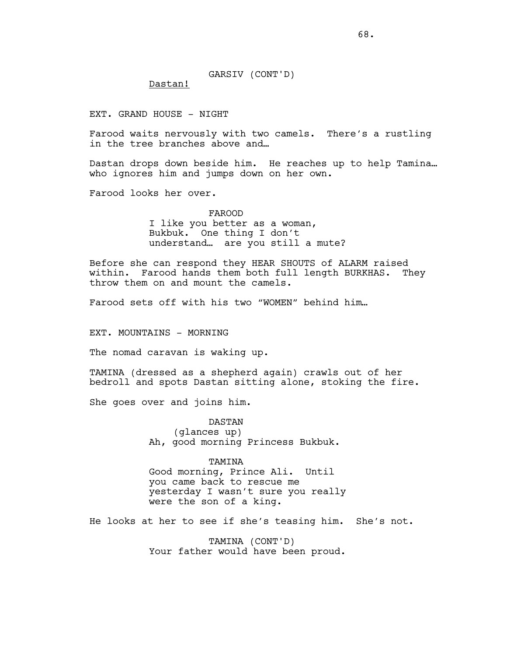# GARSIV (CONT'D)

Dastan!

EXT. GRAND HOUSE - NIGHT

Farood waits nervously with two camels. There's a rustling in the tree branches above and…

Dastan drops down beside him. He reaches up to help Tamina… who ignores him and jumps down on her own.

Farood looks her over.

FAROOD I like you better as a woman, Bukbuk. One thing I don't understand… are you still a mute?

Before she can respond they HEAR SHOUTS of ALARM raised within. Farood hands them both full length BURKHAS. They throw them on and mount the camels.

Farood sets off with his two "WOMEN" behind him…

EXT. MOUNTAINS - MORNING

The nomad caravan is waking up.

TAMINA (dressed as a shepherd again) crawls out of her bedroll and spots Dastan sitting alone, stoking the fire.

She goes over and joins him.

DASTAN (glances up) Ah, good morning Princess Bukbuk.

TAMINA

Good morning, Prince Ali. Until you came back to rescue me yesterday I wasn't sure you really were the son of a king.

He looks at her to see if she's teasing him. She's not.

TAMINA (CONT'D) Your father would have been proud.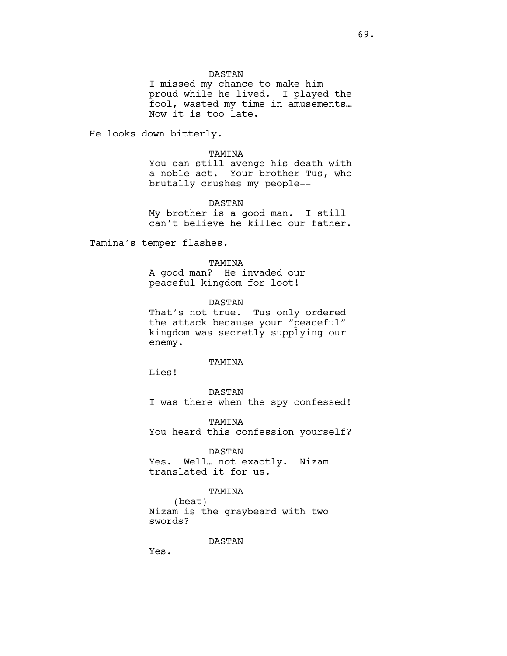DASTAN

I missed my chance to make him proud while he lived. I played the fool, wasted my time in amusements… Now it is too late.

He looks down bitterly.

### TAMINA

You can still avenge his death with a noble act. Your brother Tus, who brutally crushes my people--

## DASTAN

My brother is a good man. I still can't believe he killed our father.

Tamina's temper flashes.

TAMINA A good man? He invaded our peaceful kingdom for loot!

DASTAN

That's not true. Tus only ordered the attack because your "peaceful" kingdom was secretly supplying our enemy.

## TAMINA

Lies!

DASTAN I was there when the spy confessed!

TAMINA You heard this confession yourself?

DASTAN Yes. Well… not exactly. Nizam translated it for us.

#### TAMINA

(beat) Nizam is the graybeard with two swords?

DASTAN

Yes.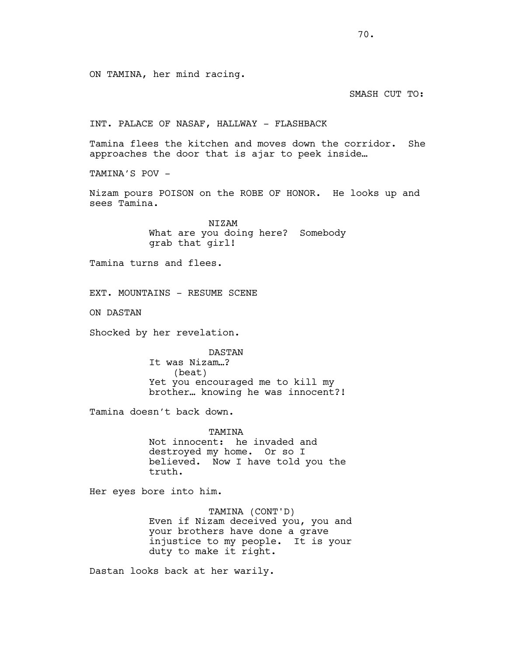ON TAMINA, her mind racing.

SMASH CUT TO:

INT. PALACE OF NASAF, HALLWAY - FLASHBACK

Tamina flees the kitchen and moves down the corridor. She approaches the door that is ajar to peek inside…

TAMINA'S POV -

Nizam pours POISON on the ROBE OF HONOR. He looks up and sees Tamina.

> NIZAM What are you doing here? Somebody grab that girl!

Tamina turns and flees.

EXT. MOUNTAINS - RESUME SCENE

ON DASTAN

Shocked by her revelation.

DASTAN It was Nizam…? (beat) Yet you encouraged me to kill my brother… knowing he was innocent?!

Tamina doesn't back down.

TAMINA Not innocent: he invaded and destroyed my home. Or so I believed. Now I have told you the truth.

Her eyes bore into him.

TAMINA (CONT'D) Even if Nizam deceived you, you and your brothers have done a grave injustice to my people. It is your duty to make it right.

Dastan looks back at her warily.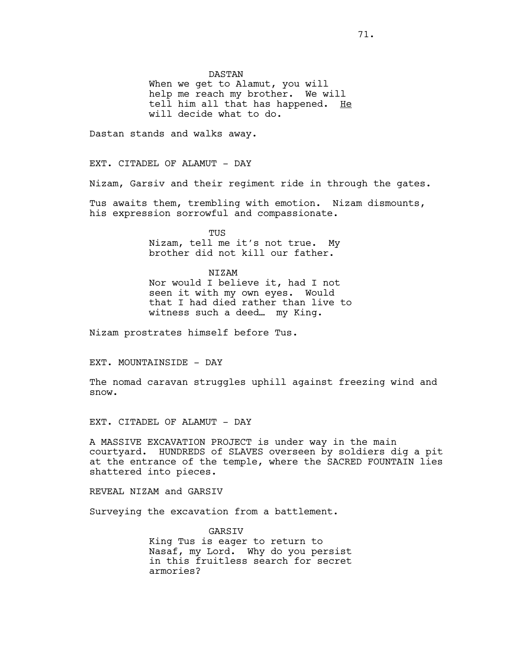DASTAN

When we get to Alamut, you will help me reach my brother. We will tell him all that has happened. He will decide what to do.

Dastan stands and walks away.

EXT. CITADEL OF ALAMUT - DAY

Nizam, Garsiv and their regiment ride in through the gates.

Tus awaits them, trembling with emotion. Nizam dismounts, his expression sorrowful and compassionate.

> **TUS** Nizam, tell me it's not true. My brother did not kill our father.

### NIZAM

Nor would I believe it, had I not seen it with my own eyes. Would that I had died rather than live to witness such a deed… my King.

Nizam prostrates himself before Tus.

EXT. MOUNTAINSIDE - DAY

The nomad caravan struggles uphill against freezing wind and snow.

EXT. CITADEL OF ALAMUT - DAY

A MASSIVE EXCAVATION PROJECT is under way in the main courtyard. HUNDREDS of SLAVES overseen by soldiers dig a pit at the entrance of the temple, where the SACRED FOUNTAIN lies shattered into pieces.

REVEAL NIZAM and GARSIV

Surveying the excavation from a battlement.

GARSIV King Tus is eager to return to Nasaf, my Lord. Why do you persist in this fruitless search for secret armories?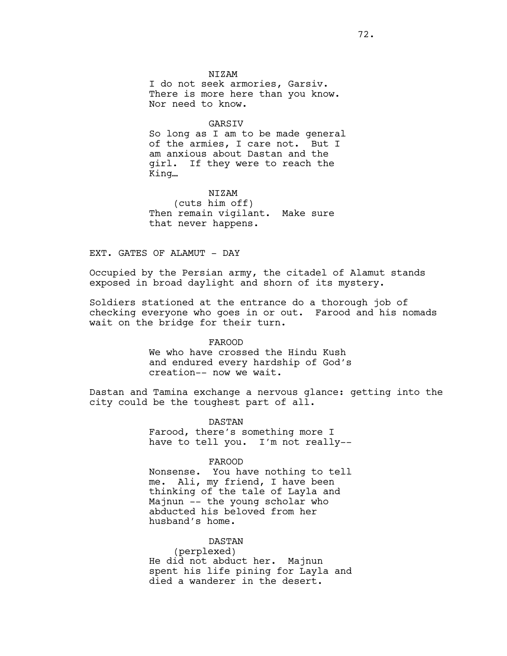NIZAM I do not seek armories, Garsiv. There is more here than you know. Nor need to know.

#### GARSIV

So long as I am to be made general of the armies, I care not. But I am anxious about Dastan and the girl. If they were to reach the King…

## NIZAM

(cuts him off) Then remain vigilant. Make sure that never happens.

## EXT. GATES OF ALAMUT - DAY

Occupied by the Persian army, the citadel of Alamut stands exposed in broad daylight and shorn of its mystery.

Soldiers stationed at the entrance do a thorough job of checking everyone who goes in or out. Farood and his nomads wait on the bridge for their turn.

#### FAROOD

We who have crossed the Hindu Kush and endured every hardship of God's creation-- now we wait.

Dastan and Tamina exchange a nervous glance: getting into the city could be the toughest part of all.

> DASTAN Farood, there's something more I have to tell you. I'm not really--

#### FAROOD

Nonsense. You have nothing to tell me. Ali, my friend, I have been thinking of the tale of Layla and Majnun -- the young scholar who abducted his beloved from her husband's home.

## DASTAN

(perplexed) He did not abduct her. Majnun spent his life pining for Layla and died a wanderer in the desert.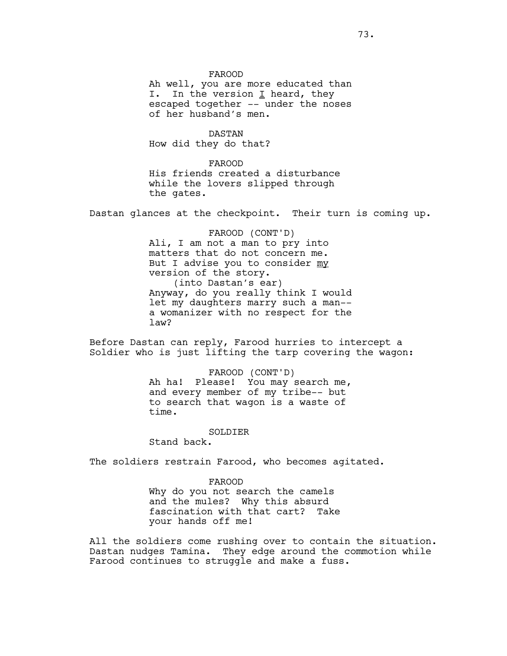FAROOD

Ah well, you are more educated than I. In the version I heard, they escaped together -- under the noses of her husband's men.

DASTAN How did they do that?

FAROOD His friends created a disturbance while the lovers slipped through the gates.

Dastan glances at the checkpoint. Their turn is coming up.

FAROOD (CONT'D) Ali, I am not a man to pry into matters that do not concern me. But I advise you to consider my version of the story. (into Dastan's ear) Anyway, do you really think I would let my daughters marry such a man- a womanizer with no respect for the law?

Before Dastan can reply, Farood hurries to intercept a Soldier who is just lifting the tarp covering the wagon:

> FAROOD (CONT'D) Ah ha! Please! You may search me, and every member of my tribe-- but to search that wagon is a waste of time.

> > SOLDIER

Stand back.

The soldiers restrain Farood, who becomes agitated.

FAROOD Why do you not search the camels and the mules? Why this absurd fascination with that cart? Take your hands off me!

All the soldiers come rushing over to contain the situation. Dastan nudges Tamina. They edge around the commotion while Farood continues to struggle and make a fuss.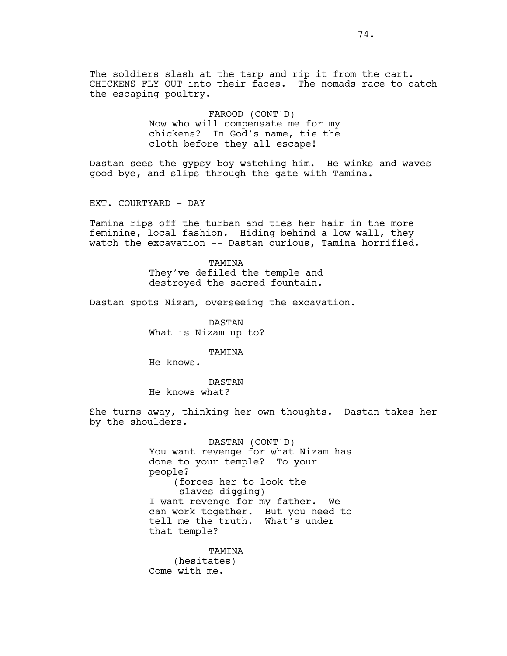The soldiers slash at the tarp and rip it from the cart. CHICKENS FLY OUT into their faces. The nomads race to catch the escaping poultry.

> FAROOD (CONT'D) Now who will compensate me for my chickens? In God's name, tie the cloth before they all escape!

Dastan sees the gypsy boy watching him. He winks and waves good-bye, and slips through the gate with Tamina.

EXT. COURTYARD - DAY

Tamina rips off the turban and ties her hair in the more feminine, local fashion. Hiding behind a low wall, they watch the excavation -- Dastan curious, Tamina horrified.

> TAMINA They've defiled the temple and destroyed the sacred fountain.

Dastan spots Nizam, overseeing the excavation.

DASTAN What is Nizam up to?

TAMINA

He knows.

DASTAN He knows what?

She turns away, thinking her own thoughts. Dastan takes her by the shoulders.

> DASTAN (CONT'D) You want revenge for what Nizam has done to your temple? To your people? (forces her to look the slaves digging) I want revenge for my father. We can work together. But you need to tell me the truth. What's under that temple?

TAMINA (hesitates) Come with me.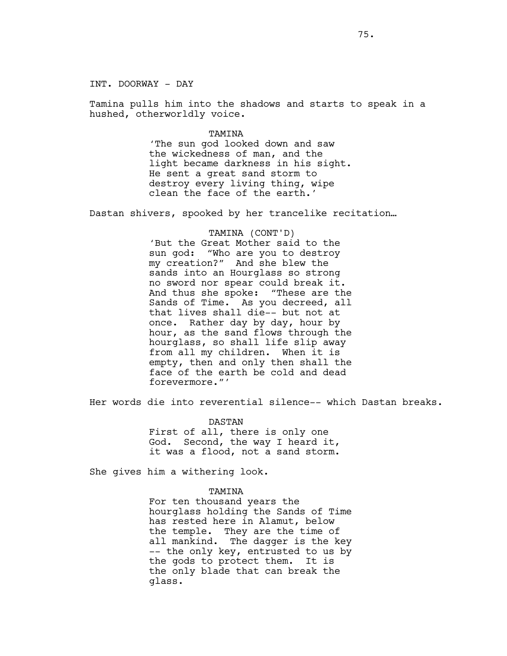INT. DOORWAY - DAY

Tamina pulls him into the shadows and starts to speak in a hushed, otherworldly voice.

#### TAMINA

'The sun god looked down and saw the wickedness of man, and the light became darkness in his sight. He sent a great sand storm to destroy every living thing, wipe clean the face of the earth.'

Dastan shivers, spooked by her trancelike recitation…

# TAMINA (CONT'D) 'But the Great Mother said to the

sun god: "Who are you to destroy my creation?" And she blew the sands into an Hourglass so strong no sword nor spear could break it. And thus she spoke: "These are the Sands of Time. As you decreed, all that lives shall die-- but not at once. Rather day by day, hour by hour, as the sand flows through the hourglass, so shall life slip away from all my children. When it is empty, then and only then shall the face of the earth be cold and dead forevermore."'

Her words die into reverential silence-- which Dastan breaks.

DASTAN First of all, there is only one God. Second, the way I heard it, it was a flood, not a sand storm.

She gives him a withering look.

### TAMINA

For ten thousand years the hourglass holding the Sands of Time has rested here in Alamut, below the temple. They are the time of all mankind. The dagger is the key -- the only key, entrusted to us by the gods to protect them. It is the only blade that can break the glass.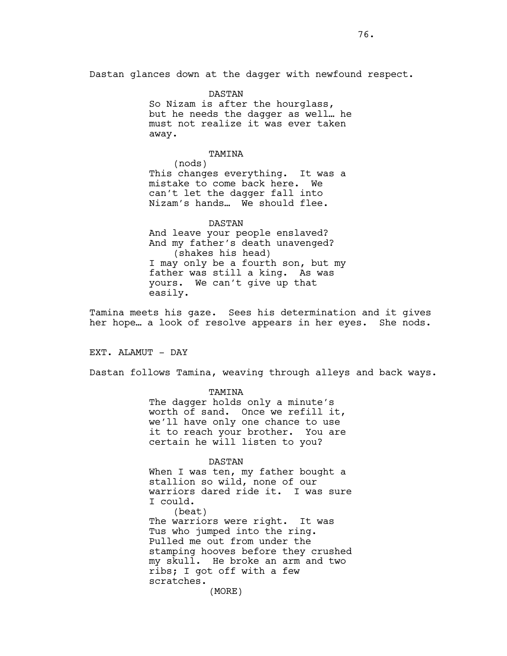Dastan glances down at the dagger with newfound respect.

DASTAN So Nizam is after the hourglass, but he needs the dagger as well… he must not realize it was ever taken away.

#### TAMINA

(nods) This changes everything. It was a mistake to come back here. We can't let the dagger fall into Nizam's hands… We should flee.

DASTAN And leave your people enslaved? And my father's death unavenged? (shakes his head) I may only be a fourth son, but my father was still a king. As was yours. We can't give up that easily.

Tamina meets his gaze. Sees his determination and it gives her hope… a look of resolve appears in her eyes. She nods.

EXT. ALAMUT - DAY

Dastan follows Tamina, weaving through alleys and back ways.

TAMINA

The dagger holds only a minute's worth of sand. Once we refill it, we'll have only one chance to use it to reach your brother. You are certain he will listen to you?

DASTAN

When I was ten, my father bought a stallion so wild, none of our warriors dared ride it. I was sure I could. (beat) The warriors were right. It was Tus who jumped into the ring. Pulled me out from under the stamping hooves before they crushed my skull. He broke an arm and two ribs; I got off with a few scratches.

76.

(MORE)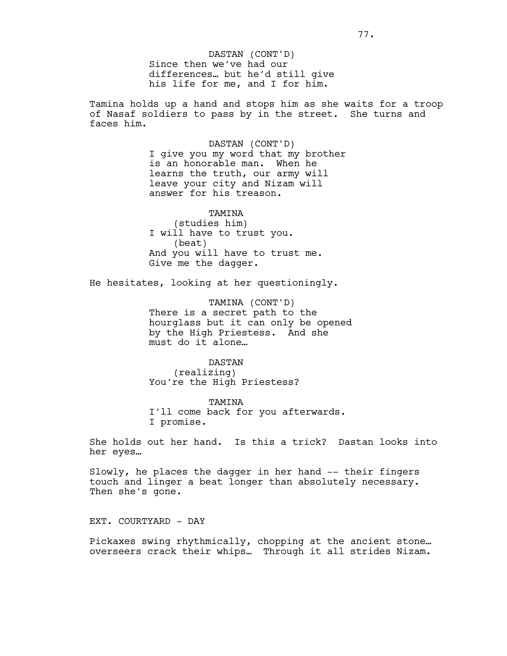Since then we've had our differences… but he'd still give his life for me, and I for him. DASTAN (CONT'D)

Tamina holds up a hand and stops him as she waits for a troop of Nasaf soldiers to pass by in the street. She turns and faces him.

> DASTAN (CONT'D) I give you my word that my brother is an honorable man. When he learns the truth, our army will leave your city and Nizam will answer for his treason.

TAMINA (studies him) I will have to trust you. (beat) And you will have to trust me. Give me the dagger.

He hesitates, looking at her questioningly.

TAMINA (CONT'D) There is a secret path to the hourglass but it can only be opened by the High Priestess. And she must do it alone…

DASTAN (realizing) You're the High Priestess?

TAMINA I'll come back for you afterwards. I promise.

She holds out her hand. Is this a trick? Dastan looks into her eyes…

Slowly, he places the dagger in her hand -- their fingers touch and linger a beat longer than absolutely necessary. Then she's gone.

EXT. COURTYARD - DAY

Pickaxes swing rhythmically, chopping at the ancient stone… overseers crack their whips… Through it all strides Nizam.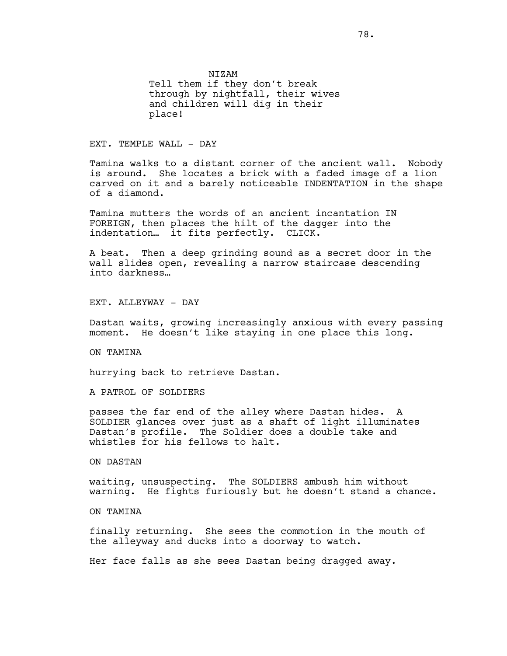NIZAM Tell them if they don't break through by nightfall, their wives and children will dig in their place!

## EXT. TEMPLE WALL - DAY

Tamina walks to a distant corner of the ancient wall. Nobody is around. She locates a brick with a faded image of a lion carved on it and a barely noticeable INDENTATION in the shape of a diamond.

Tamina mutters the words of an ancient incantation IN FOREIGN, then places the hilt of the dagger into the indentation… it fits perfectly. CLICK.

A beat. Then a deep grinding sound as a secret door in the wall slides open, revealing a narrow staircase descending into darkness…

## EXT. ALLEYWAY - DAY

Dastan waits, growing increasingly anxious with every passing moment. He doesn't like staying in one place this long.

### ON TAMINA

hurrying back to retrieve Dastan.

A PATROL OF SOLDIERS

passes the far end of the alley where Dastan hides. A SOLDIER glances over just as a shaft of light illuminates Dastan's profile. The Soldier does a double take and whistles for his fellows to halt.

### ON DASTAN

waiting, unsuspecting. The SOLDIERS ambush him without warning. He fights furiously but he doesn't stand a chance.

## ON TAMINA

finally returning. She sees the commotion in the mouth of the alleyway and ducks into a doorway to watch.

Her face falls as she sees Dastan being dragged away.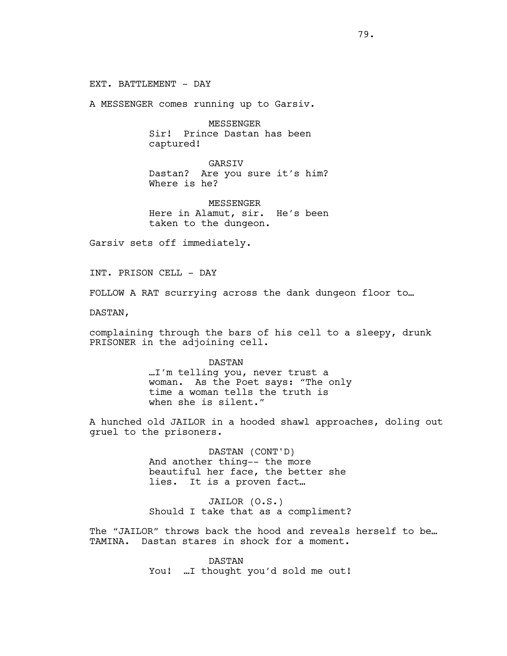EXT. BATTLEMENT - DAY

A MESSENGER comes running up to Garsiv.

MESSENGER Sir! Prince Dastan has been captured!

GARSIV Dastan? Are you sure it's him? Where is he?

MESSENGER Here in Alamut, sir. He's been taken to the dungeon.

Garsiv sets off immediately.

INT. PRISON CELL - DAY

FOLLOW A RAT scurrying across the dank dungeon floor to...

DASTAN,

complaining through the bars of his cell to a sleepy, drunk PRISONER in the adjoining cell.

> DASTAN …I'm telling you, never trust a woman. As the Poet says: "The only time a woman tells the truth is when she is silent."

A hunched old JAILOR in a hooded shawl approaches, doling out gruel to the prisoners.

> DASTAN (CONT'D) And another thing-- the more beautiful her face, the better she lies. It is a proven fact…

JAILOR (O.S.) Should I take that as a compliment?

The "JAILOR" throws back the hood and reveals herself to be… TAMINA. Dastan stares in shock for a moment.

> DASTAN You! …I thought you'd sold me out!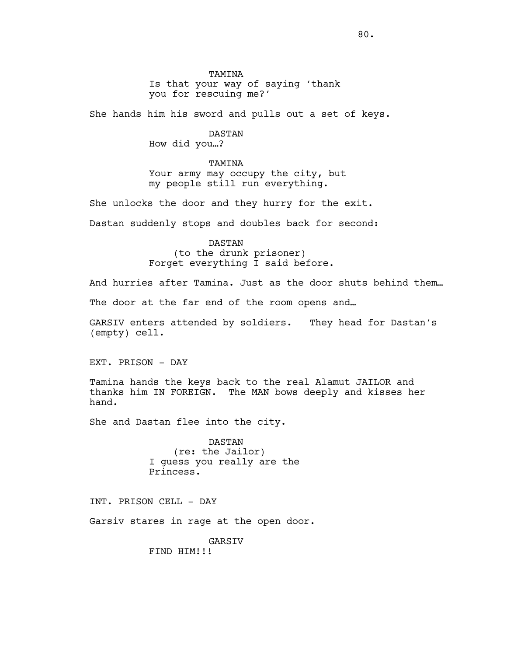TAMINA Is that your way of saying 'thank you for rescuing me?'

She hands him his sword and pulls out a set of keys.

DASTAN

How did you…?

TAMINA Your army may occupy the city, but my people still run everything.

She unlocks the door and they hurry for the exit. Dastan suddenly stops and doubles back for second:

> DASTAN (to the drunk prisoner) Forget everything I said before.

And hurries after Tamina. Just as the door shuts behind them…

The door at the far end of the room opens and...

GARSIV enters attended by soldiers. They head for Dastan's (empty) cell.

EXT. PRISON - DAY

Tamina hands the keys back to the real Alamut JAILOR and thanks him IN FOREIGN. The MAN bows deeply and kisses her hand.

She and Dastan flee into the city.

DASTAN (re: the Jailor) I guess you really are the Princess.

INT. PRISON CELL - DAY

Garsiv stares in rage at the open door.

GARSIV

FIND HIM!!!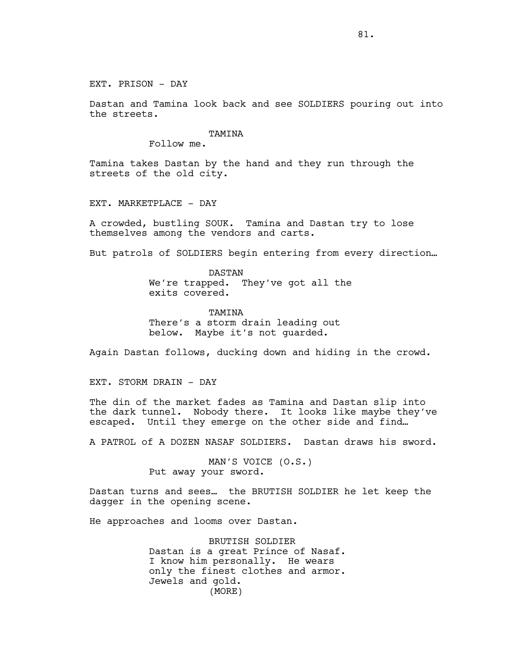EXT. PRISON - DAY

Dastan and Tamina look back and see SOLDIERS pouring out into the streets.

TAMINA

Follow me.

Tamina takes Dastan by the hand and they run through the streets of the old city.

EXT. MARKETPLACE - DAY

A crowded, bustling SOUK. Tamina and Dastan try to lose themselves among the vendors and carts.

But patrols of SOLDIERS begin entering from every direction…

DASTAN We're trapped. They've got all the exits covered.

TAMINA There's a storm drain leading out below. Maybe it's not guarded.

Again Dastan follows, ducking down and hiding in the crowd.

EXT. STORM DRAIN - DAY

The din of the market fades as Tamina and Dastan slip into the dark tunnel. Nobody there. It looks like maybe they've escaped. Until they emerge on the other side and find…

A PATROL of A DOZEN NASAF SOLDIERS. Dastan draws his sword.

MAN'S VOICE (O.S.) Put away your sword.

Dastan turns and sees… the BRUTISH SOLDIER he let keep the dagger in the opening scene.

He approaches and looms over Dastan.

BRUTISH SOLDIER Dastan is a great Prince of Nasaf. I know him personally. He wears only the finest clothes and armor. Jewels and gold. (MORE)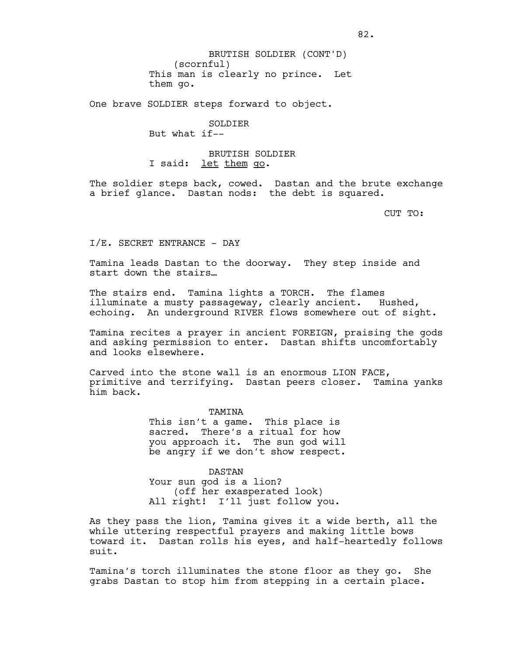(scornful) This man is clearly no prince. Let them go. BRUTISH SOLDIER (CONT'D)

One brave SOLDIER steps forward to object.

SOLDIER But what if--

BRUTISH SOLDIER I said: let them go.

The soldier steps back, cowed. Dastan and the brute exchange a brief glance. Dastan nods: the debt is squared.

CUT TO:

I/E. SECRET ENTRANCE - DAY

Tamina leads Dastan to the doorway. They step inside and start down the stairs…

The stairs end. Tamina lights a TORCH. The flames illuminate a musty passageway, clearly ancient. Hushed, echoing. An underground RIVER flows somewhere out of sight.

Tamina recites a prayer in ancient FOREIGN, praising the gods and asking permission to enter. Dastan shifts uncomfortably and looks elsewhere.

Carved into the stone wall is an enormous LION FACE, primitive and terrifying. Dastan peers closer. Tamina yanks him back.

> TAMINA This isn't a game. This place is sacred. There's a ritual for how you approach it. The sun god will be angry if we don't show respect.

DASTAN Your sun god is a lion? (off her exasperated look) All right! I'll just follow you.

As they pass the lion, Tamina gives it a wide berth, all the while uttering respectful prayers and making little bows toward it. Dastan rolls his eyes, and half-heartedly follows suit.

Tamina's torch illuminates the stone floor as they go. She grabs Dastan to stop him from stepping in a certain place.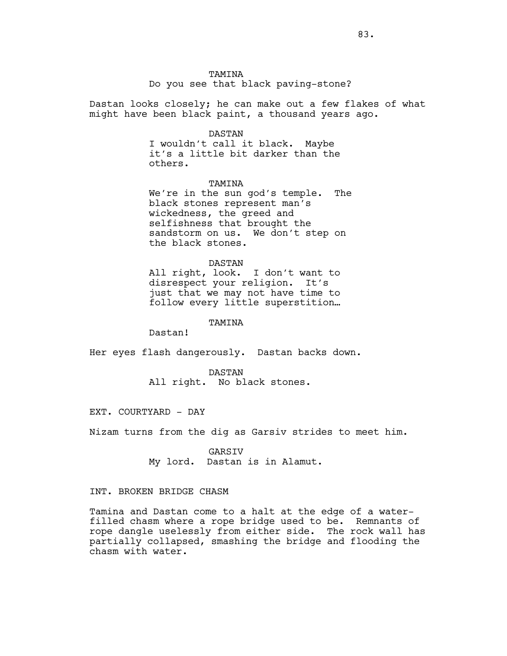#### TAMINA

Do you see that black paving-stone?

Dastan looks closely; he can make out a few flakes of what might have been black paint, a thousand years ago.

#### DASTAN

I wouldn't call it black. Maybe it's a little bit darker than the others.

TAMINA We're in the sun god's temple. The black stones represent man's wickedness, the greed and selfishness that brought the sandstorm on us. We don't step on the black stones.

### DASTAN

All right, look. I don't want to disrespect your religion. It's just that we may not have time to follow every little superstition…

#### TAMINA

Dastan!

Her eyes flash dangerously. Dastan backs down.

DASTAN All right. No black stones.

EXT. COURTYARD - DAY

Nizam turns from the dig as Garsiv strides to meet him.

GARSIV My lord. Dastan is in Alamut.

### INT. BROKEN BRIDGE CHASM

Tamina and Dastan come to a halt at the edge of a waterfilled chasm where a rope bridge used to be. Remnants of rope dangle uselessly from either side. The rock wall has partially collapsed, smashing the bridge and flooding the chasm with water.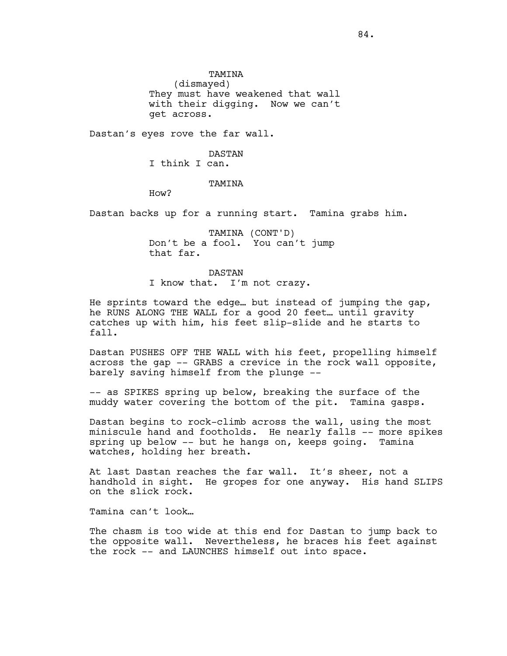TAMINA (dismayed) They must have weakened that wall with their digging. Now we can't get across.

Dastan's eyes rove the far wall.

## DASTAN

I think I can.

## TAMINA

How?

Dastan backs up for a running start. Tamina grabs him.

TAMINA (CONT'D) Don't be a fool. You can't jump that far.

## DASTAN I know that. I'm not crazy.

He sprints toward the edge… but instead of jumping the gap, he RUNS ALONG THE WALL for a good 20 feet… until gravity catches up with him, his feet slip-slide and he starts to fall.

Dastan PUSHES OFF THE WALL with his feet, propelling himself across the gap -- GRABS a crevice in the rock wall opposite, barely saving himself from the plunge --

-- as SPIKES spring up below, breaking the surface of the muddy water covering the bottom of the pit. Tamina gasps.

Dastan begins to rock-climb across the wall, using the most miniscule hand and footholds. He nearly falls -- more spikes spring up below -- but he hangs on, keeps going. Tamina watches, holding her breath.

At last Dastan reaches the far wall. It's sheer, not a handhold in sight. He gropes for one anyway. His hand SLIPS on the slick rock.

Tamina can't look…

The chasm is too wide at this end for Dastan to jump back to the opposite wall. Nevertheless, he braces his feet against the rock -- and LAUNCHES himself out into space.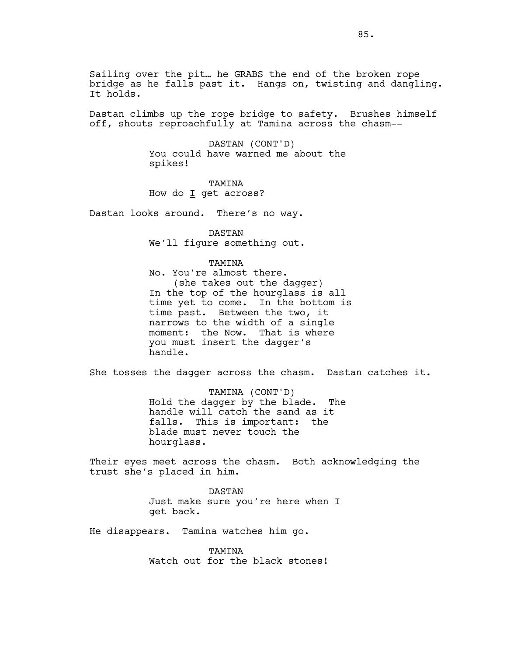Sailing over the pit… he GRABS the end of the broken rope bridge as he falls past it. Hangs on, twisting and dangling. It holds.

Dastan climbs up the rope bridge to safety. Brushes himself off, shouts reproachfully at Tamina across the chasm--

> DASTAN (CONT'D) You could have warned me about the spikes!

TAMINA How do  $I$  get across?

Dastan looks around. There's no way.

DASTAN We'll figure something out.

### TAMINA

No. You're almost there. (she takes out the dagger) In the top of the hourglass is all time yet to come. In the bottom is time past. Between the two, it narrows to the width of a single moment: the Now. That is where you must insert the dagger's handle.

She tosses the dagger across the chasm. Dastan catches it.

TAMINA (CONT'D) Hold the dagger by the blade. The handle will catch the sand as it falls. This is important: the blade must never touch the hourglass.

Their eyes meet across the chasm. Both acknowledging the trust she's placed in him.

> DASTAN Just make sure you're here when I get back.

He disappears. Tamina watches him go.

TAMINA Watch out for the black stones!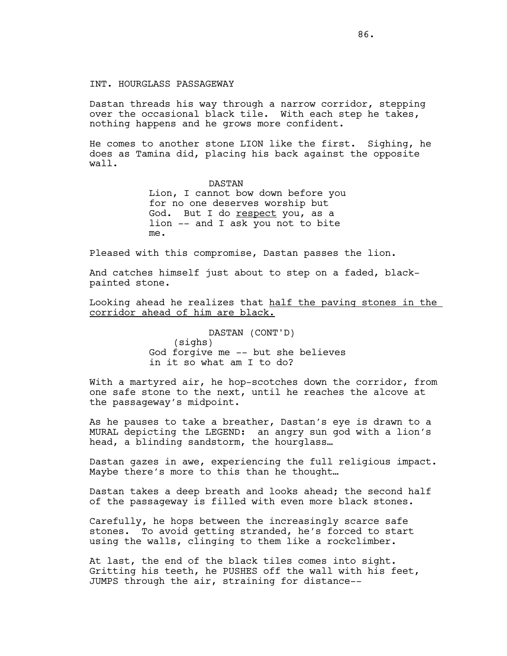### INT. HOURGLASS PASSAGEWAY

Dastan threads his way through a narrow corridor, stepping over the occasional black tile. With each step he takes, nothing happens and he grows more confident.

He comes to another stone LION like the first. Sighing, he does as Tamina did, placing his back against the opposite wall.

> DASTAN Lion, I cannot bow down before you for no one deserves worship but God. But I do respect you, as a lion -- and I ask you not to bite me.

Pleased with this compromise, Dastan passes the lion.

And catches himself just about to step on a faded, blackpainted stone.

Looking ahead he realizes that half the paving stones in the corridor ahead of him are black.

> DASTAN (CONT'D) (sighs) God forgive me -- but she believes in it so what am I to do?

With a martyred air, he hop-scotches down the corridor, from one safe stone to the next, until he reaches the alcove at the passageway's midpoint.

As he pauses to take a breather, Dastan's eye is drawn to a MURAL depicting the LEGEND: an angry sun god with a lion's head, a blinding sandstorm, the hourglass…

Dastan gazes in awe, experiencing the full religious impact. Maybe there's more to this than he thought…

Dastan takes a deep breath and looks ahead; the second half of the passageway is filled with even more black stones.

Carefully, he hops between the increasingly scarce safe stones. To avoid getting stranded, he's forced to start using the walls, clinging to them like a rockclimber.

At last, the end of the black tiles comes into sight. Gritting his teeth, he PUSHES off the wall with his feet, JUMPS through the air, straining for distance--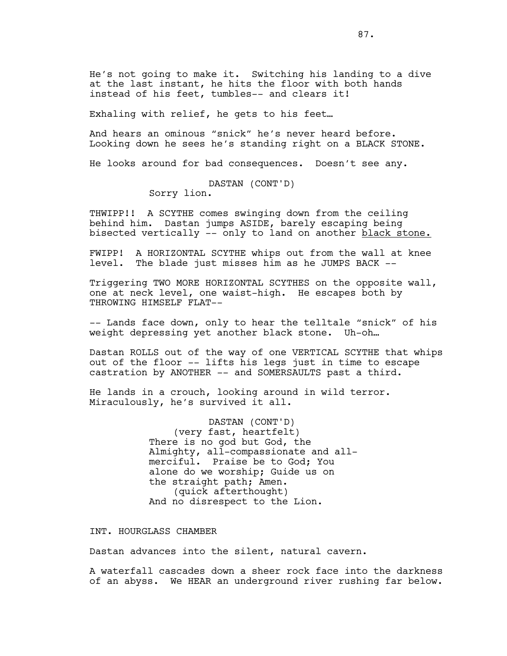He's not going to make it. Switching his landing to a dive at the last instant, he hits the floor with both hands instead of his feet, tumbles-- and clears it!

Exhaling with relief, he gets to his feet…

And hears an ominous "snick" he's never heard before. Looking down he sees he's standing right on a BLACK STONE.

He looks around for bad consequences. Doesn't see any.

DASTAN (CONT'D)

Sorry lion.

THWIPP!! A SCYTHE comes swinging down from the ceiling behind him. Dastan jumps ASIDE, barely escaping being bisected vertically -- only to land on another black stone.

FWIPP! A HORIZONTAL SCYTHE whips out from the wall at knee level. The blade just misses him as he JUMPS BACK --

Triggering TWO MORE HORIZONTAL SCYTHES on the opposite wall, one at neck level, one waist-high. He escapes both by THROWING HIMSELF FLAT--

-- Lands face down, only to hear the telltale "snick" of his weight depressing yet another black stone. Uh-oh…

Dastan ROLLS out of the way of one VERTICAL SCYTHE that whips out of the floor -- lifts his legs just in time to escape castration by ANOTHER -- and SOMERSAULTS past a third.

He lands in a crouch, looking around in wild terror. Miraculously, he's survived it all.

> DASTAN (CONT'D) (very fast, heartfelt) There is no god but God, the Almighty, all-compassionate and allmerciful. Praise be to God; You alone do we worship; Guide us on the straight path; Amen. (quick afterthought) And no disrespect to the Lion.

INT. HOURGLASS CHAMBER

Dastan advances into the silent, natural cavern.

A waterfall cascades down a sheer rock face into the darkness of an abyss. We HEAR an underground river rushing far below.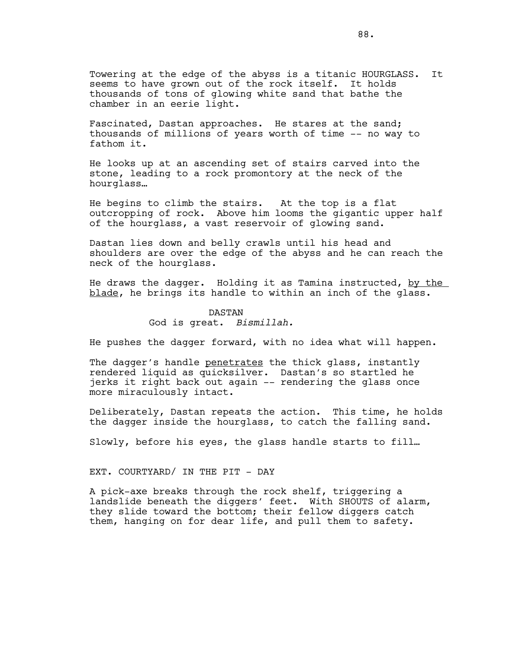Towering at the edge of the abyss is a titanic HOURGLASS. It seems to have grown out of the rock itself. It holds thousands of tons of glowing white sand that bathe the chamber in an eerie light.

Fascinated, Dastan approaches. He stares at the sand; thousands of millions of years worth of time -- no way to fathom it.

He looks up at an ascending set of stairs carved into the stone, leading to a rock promontory at the neck of the hourglass…

He begins to climb the stairs. At the top is a flat outcropping of rock. Above him looms the gigantic upper half of the hourglass, a vast reservoir of glowing sand.

Dastan lies down and belly crawls until his head and shoulders are over the edge of the abyss and he can reach the neck of the hourglass.

He draws the dagger. Holding it as Tamina instructed, by the blade, he brings its handle to within an inch of the glass.

## DASTAN God is great. *Bismillah.*

He pushes the dagger forward, with no idea what will happen.

The dagger's handle penetrates the thick glass, instantly rendered liquid as quicksilver. Dastan's so startled he jerks it right back out again -- rendering the glass once more miraculously intact.

Deliberately, Dastan repeats the action. This time, he holds the dagger inside the hourglass, to catch the falling sand.

Slowly, before his eyes, the glass handle starts to fill…

EXT. COURTYARD/ IN THE PIT - DAY

A pick-axe breaks through the rock shelf, triggering a landslide beneath the diggers' feet. With SHOUTS of alarm, they slide toward the bottom; their fellow diggers catch them, hanging on for dear life, and pull them to safety.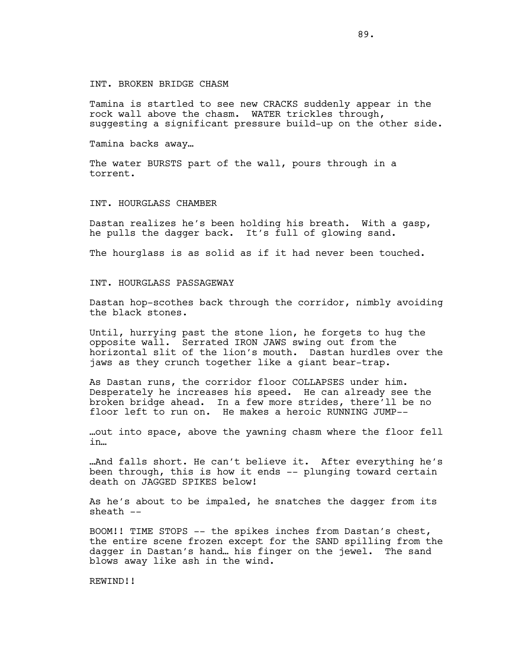### INT. BROKEN BRIDGE CHASM

Tamina is startled to see new CRACKS suddenly appear in the rock wall above the chasm. WATER trickles through, suggesting a significant pressure build-up on the other side.

Tamina backs away…

The water BURSTS part of the wall, pours through in a torrent.

#### INT. HOURGLASS CHAMBER

Dastan realizes he's been holding his breath. With a gasp, he pulls the dagger back. It's full of glowing sand.

The hourglass is as solid as if it had never been touched.

## INT. HOURGLASS PASSAGEWAY

Dastan hop-scothes back through the corridor, nimbly avoiding the black stones.

Until, hurrying past the stone lion, he forgets to hug the opposite wall. Serrated IRON JAWS swing out from the horizontal slit of the lion's mouth. Dastan hurdles over the jaws as they crunch together like a giant bear-trap.

As Dastan runs, the corridor floor COLLAPSES under him. Desperately he increases his speed. He can already see the broken bridge ahead. In a few more strides, there'll be no floor left to run on. He makes a heroic RUNNING JUMP--

…out into space, above the yawning chasm where the floor fell in…

…And falls short. He can't believe it. After everything he's been through, this is how it ends -- plunging toward certain death on JAGGED SPIKES below!

As he's about to be impaled, he snatches the dagger from its sheath --

BOOM!! TIME STOPS -- the spikes inches from Dastan's chest, the entire scene frozen except for the SAND spilling from the dagger in Dastan's hand… his finger on the jewel. The sand blows away like ash in the wind.

REWIND!!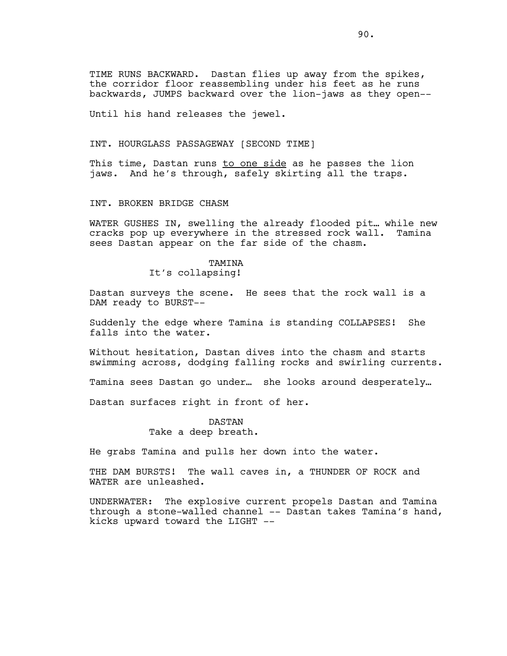TIME RUNS BACKWARD. Dastan flies up away from the spikes, the corridor floor reassembling under his feet as he runs backwards, JUMPS backward over the lion-jaws as they open--

Until his hand releases the jewel.

INT. HOURGLASS PASSAGEWAY [SECOND TIME]

This time, Dastan runs to one side as he passes the lion jaws. And he's through, safely skirting all the traps.

INT. BROKEN BRIDGE CHASM

WATER GUSHES IN, swelling the already flooded pit… while new cracks pop up everywhere in the stressed rock wall. Tamina sees Dastan appear on the far side of the chasm.

## TAMINA

It's collapsing!

Dastan surveys the scene. He sees that the rock wall is a DAM ready to BURST--

Suddenly the edge where Tamina is standing COLLAPSES! She falls into the water.

Without hesitation, Dastan dives into the chasm and starts swimming across, dodging falling rocks and swirling currents.

Tamina sees Dastan go under… she looks around desperately…

Dastan surfaces right in front of her.

DASTAN Take a deep breath.

He grabs Tamina and pulls her down into the water.

THE DAM BURSTS! The wall caves in, a THUNDER OF ROCK and WATER are unleashed.

UNDERWATER: The explosive current propels Dastan and Tamina through a stone-walled channel -- Dastan takes Tamina's hand, kicks upward toward the LIGHT --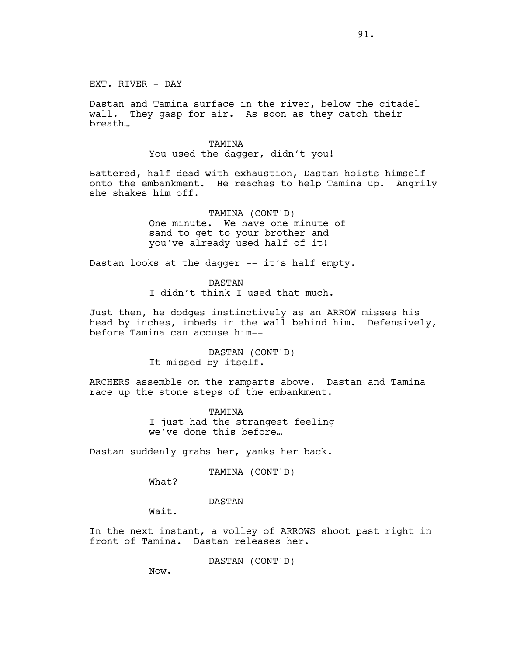Dastan and Tamina surface in the river, below the citadel wall. They gasp for air. As soon as they catch their breath…

### TAMINA

You used the dagger, didn't you!

Battered, half-dead with exhaustion, Dastan hoists himself onto the embankment. He reaches to help Tamina up. Angrily she shakes him off.

> TAMINA (CONT'D) One minute. We have one minute of sand to get to your brother and you've already used half of it!

Dastan looks at the dagger -- it's half empty.

DASTAN

I didn't think I used that much.

Just then, he dodges instinctively as an ARROW misses his head by inches, imbeds in the wall behind him. Defensively, before Tamina can accuse him--

> DASTAN (CONT'D) It missed by itself.

ARCHERS assemble on the ramparts above. Dastan and Tamina race up the stone steps of the embankment.

> TAMINA I just had the strangest feeling we've done this before…

Dastan suddenly grabs her, yanks her back.

TAMINA (CONT'D)

What?

DASTAN

Wait.

In the next instant, a volley of ARROWS shoot past right in front of Tamina. Dastan releases her.

DASTAN (CONT'D)

Now.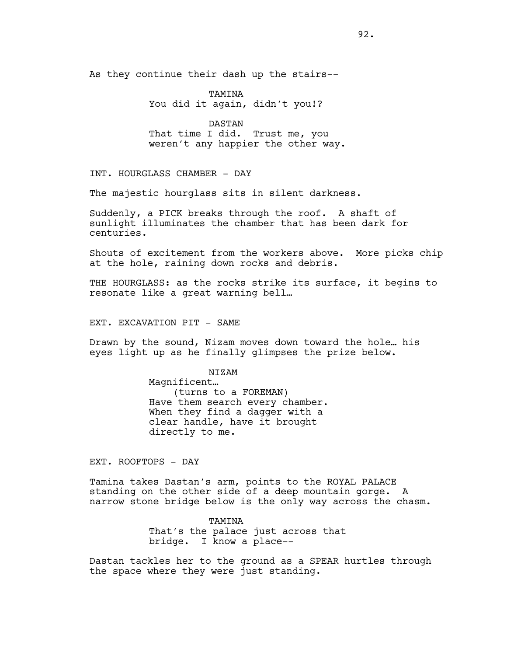As they continue their dash up the stairs--

TAMINA You did it again, didn't you!?

DASTAN That time I did. Trust me, you weren't any happier the other way.

INT. HOURGLASS CHAMBER - DAY

The majestic hourglass sits in silent darkness.

Suddenly, a PICK breaks through the roof. A shaft of sunlight illuminates the chamber that has been dark for centuries.

Shouts of excitement from the workers above. More picks chip at the hole, raining down rocks and debris.

THE HOURGLASS: as the rocks strike its surface, it begins to resonate like a great warning bell…

EXT. EXCAVATION PIT - SAME

Drawn by the sound, Nizam moves down toward the hole… his eyes light up as he finally glimpses the prize below.

NIZAM

Magnificent… (turns to a FOREMAN) Have them search every chamber. When they find a dagger with a clear handle, have it brought directly to me.

EXT. ROOFTOPS - DAY

Tamina takes Dastan's arm, points to the ROYAL PALACE standing on the other side of a deep mountain gorge. A narrow stone bridge below is the only way across the chasm.

> TAMTNA That's the palace just across that bridge. I know a place--

Dastan tackles her to the ground as a SPEAR hurtles through the space where they were just standing.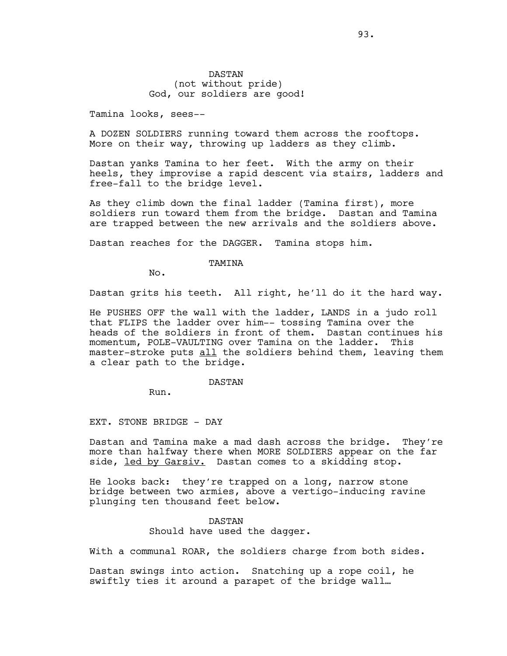## DASTAN (not without pride) God, our soldiers are good!

Tamina looks, sees--

A DOZEN SOLDIERS running toward them across the rooftops. More on their way, throwing up ladders as they climb.

Dastan yanks Tamina to her feet. With the army on their heels, they improvise a rapid descent via stairs, ladders and free-fall to the bridge level.

As they climb down the final ladder (Tamina first), more soldiers run toward them from the bridge. Dastan and Tamina are trapped between the new arrivals and the soldiers above.

Dastan reaches for the DAGGER. Tamina stops him.

TAMINA

No.

Dastan grits his teeth. All right, he'll do it the hard way.

He PUSHES OFF the wall with the ladder, LANDS in a judo roll that FLIPS the ladder over him-- tossing Tamina over the heads of the soldiers in front of them. Dastan continues his momentum, POLE-VAULTING over Tamina on the ladder. This master-stroke puts all the soldiers behind them, leaving them a clear path to the bridge.

DASTAN

Run.

EXT. STONE BRIDGE - DAY

Dastan and Tamina make a mad dash across the bridge. They're more than halfway there when MORE SOLDIERS appear on the far side, led by Garsiv. Dastan comes to a skidding stop.

He looks back: they're trapped on a long, narrow stone bridge between two armies, above a vertigo-inducing ravine plunging ten thousand feet below.

> DASTAN Should have used the dagger.

With a communal ROAR, the soldiers charge from both sides.

Dastan swings into action. Snatching up a rope coil, he swiftly ties it around a parapet of the bridge wall…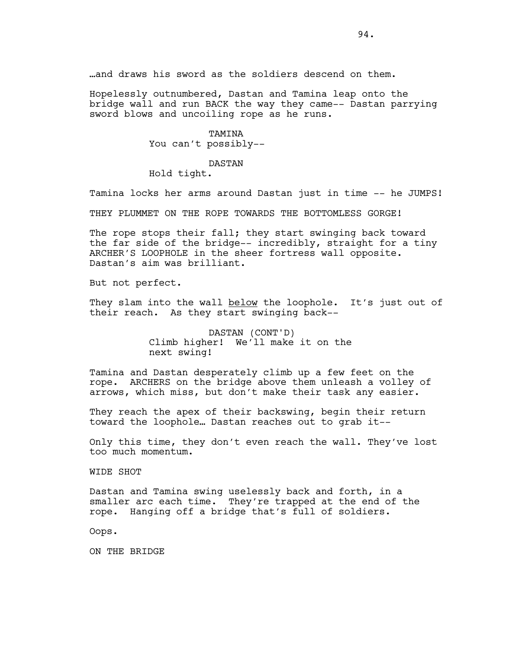…and draws his sword as the soldiers descend on them.

Hopelessly outnumbered, Dastan and Tamina leap onto the bridge wall and run BACK the way they came-- Dastan parrying sword blows and uncoiling rope as he runs.

> TAMINA You can't possibly--

> > DASTAN

Hold tight.

Tamina locks her arms around Dastan just in time -- he JUMPS! THEY PLUMMET ON THE ROPE TOWARDS THE BOTTOMLESS GORGE!

The rope stops their fall; they start swinging back toward the far side of the bridge-- incredibly, straight for a tiny ARCHER'S LOOPHOLE in the sheer fortress wall opposite. Dastan's aim was brilliant.

But not perfect.

They slam into the wall below the loophole. It's just out of their reach. As they start swinging back--

> DASTAN (CONT'D) Climb higher! We'll make it on the next swing!

Tamina and Dastan desperately climb up a few feet on the rope. ARCHERS on the bridge above them unleash a volley of arrows, which miss, but don't make their task any easier.

They reach the apex of their backswing, begin their return toward the loophole… Dastan reaches out to grab it--

Only this time, they don't even reach the wall. They've lost too much momentum.

WIDE SHOT

Dastan and Tamina swing uselessly back and forth, in a smaller arc each time. They're trapped at the end of the rope. Hanging off a bridge that's full of soldiers.

Oops.

ON THE BRIDGE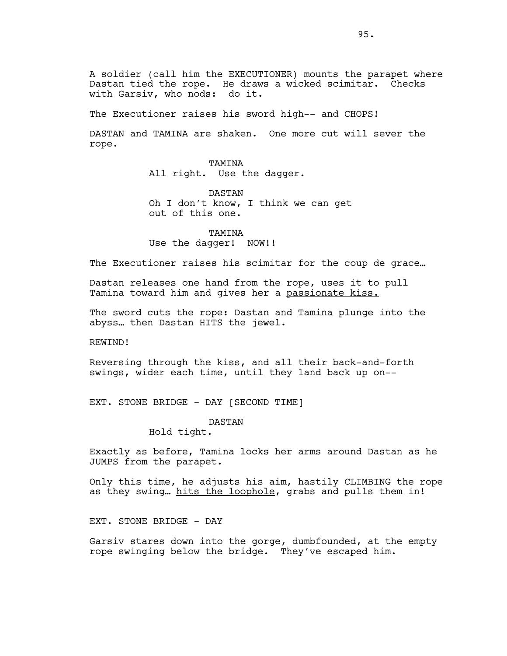A soldier (call him the EXECUTIONER) mounts the parapet where Dastan tied the rope. He draws a wicked scimitar. Checks with Garsiv, who nods: do it.

The Executioner raises his sword high-- and CHOPS!

DASTAN and TAMINA are shaken. One more cut will sever the rope.

> TAMINA All right. Use the dagger.

DASTAN Oh I don't know, I think we can get out of this one.

TAMINA Use the dagger! NOW!!

The Executioner raises his scimitar for the coup de grace…

Dastan releases one hand from the rope, uses it to pull Tamina toward him and gives her a passionate kiss.

The sword cuts the rope: Dastan and Tamina plunge into the abyss… then Dastan HITS the jewel.

REWIND!

Reversing through the kiss, and all their back-and-forth swings, wider each time, until they land back up on--

EXT. STONE BRIDGE - DAY [SECOND TIME]

DASTAN

Hold tight.

Exactly as before, Tamina locks her arms around Dastan as he JUMPS from the parapet.

Only this time, he adjusts his aim, hastily CLIMBING the rope as they swing... hits the loophole, grabs and pulls them in!

EXT. STONE BRIDGE - DAY

Garsiv stares down into the gorge, dumbfounded, at the empty rope swinging below the bridge. They've escaped him.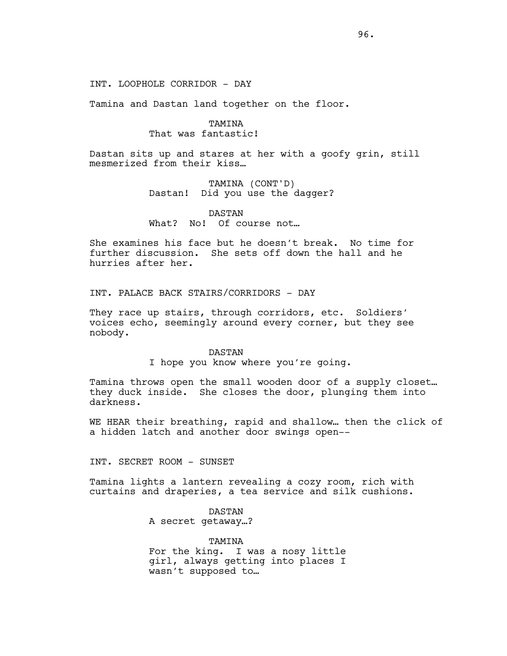INT. LOOPHOLE CORRIDOR - DAY

Tamina and Dastan land together on the floor.

## TAMINA That was fantastic!

Dastan sits up and stares at her with a goofy grin, still mesmerized from their kiss…

> TAMINA (CONT'D) Dastan! Did you use the dagger?

DASTAN What? No! Of course not...

She examines his face but he doesn't break. No time for further discussion. She sets off down the hall and he hurries after her.

INT. PALACE BACK STAIRS/CORRIDORS - DAY

They race up stairs, through corridors, etc. Soldiers' voices echo, seemingly around every corner, but they see nobody.

#### DASTAN

I hope you know where you're going.

Tamina throws open the small wooden door of a supply closet… they duck inside. She closes the door, plunging them into darkness.

WE HEAR their breathing, rapid and shallow... then the click of a hidden latch and another door swings open--

INT. SECRET ROOM - SUNSET

Tamina lights a lantern revealing a cozy room, rich with curtains and draperies, a tea service and silk cushions.

> DASTAN A secret getaway…?

TAMINA For the king. I was a nosy little girl, always getting into places I wasn't supposed to…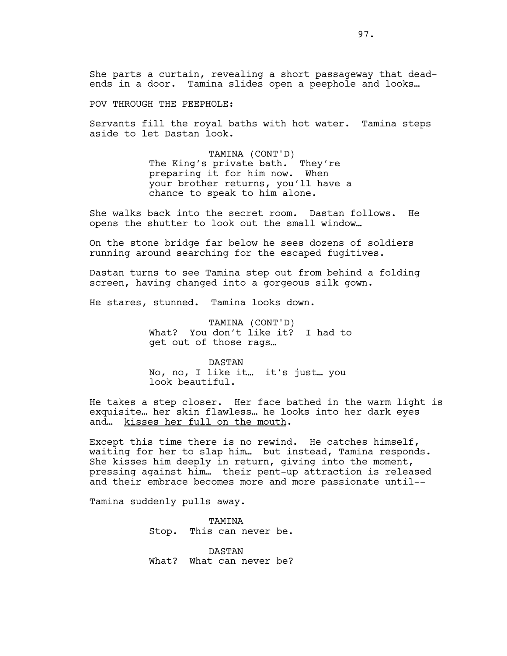She parts a curtain, revealing a short passageway that deadends in a door. Tamina slides open a peephole and looks…

POV THROUGH THE PEEPHOLE:

Servants fill the royal baths with hot water. Tamina steps aside to let Dastan look.

> TAMINA (CONT'D) The King's private bath. They're preparing it for him now. When your brother returns, you'll have a chance to speak to him alone.

She walks back into the secret room. Dastan follows. He opens the shutter to look out the small window…

On the stone bridge far below he sees dozens of soldiers running around searching for the escaped fugitives.

Dastan turns to see Tamina step out from behind a folding screen, having changed into a gorgeous silk gown.

He stares, stunned. Tamina looks down.

TAMINA (CONT'D) What? You don't like it? I had to get out of those rags…

DASTAN No, no, I like it… it's just… you look beautiful.

He takes a step closer. Her face bathed in the warm light is exquisite… her skin flawless… he looks into her dark eyes and… kisses her full on the mouth.

Except this time there is no rewind. He catches himself, waiting for her to slap him… but instead, Tamina responds. She kisses him deeply in return, giving into the moment, pressing against him… their pent-up attraction is released and their embrace becomes more and more passionate until--

Tamina suddenly pulls away.

TAMINA Stop. This can never be.

DASTAN What? What can never be?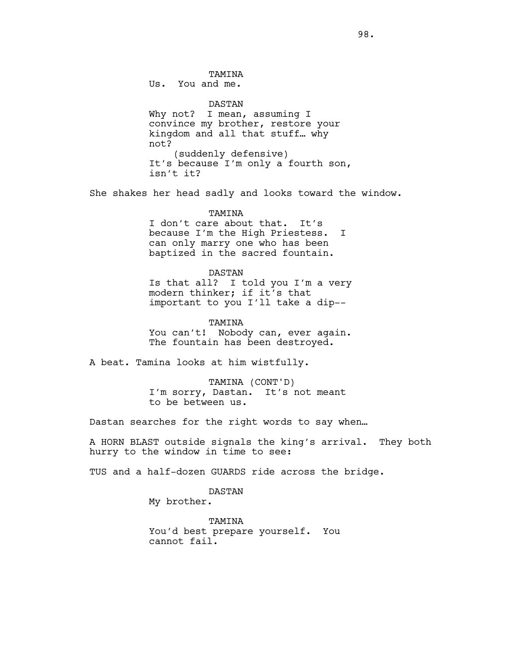## TAMINA

Us. You and me.

DASTAN Why not? I mean, assuming I convince my brother, restore your kingdom and all that stuff… why not? (suddenly defensive) It's because I'm only a fourth son, isn't it?

She shakes her head sadly and looks toward the window.

TAMINA I don't care about that. It's because I'm the High Priestess. I can only marry one who has been baptized in the sacred fountain.

#### DASTAN

Is that all? I told you I'm a very modern thinker; if it's that important to you I'll take a dip--

TAMINA You can't! Nobody can, ever again. The fountain has been destroyed.

A beat. Tamina looks at him wistfully.

TAMINA (CONT'D) I'm sorry, Dastan. It's not meant to be between us.

Dastan searches for the right words to say when…

A HORN BLAST outside signals the king's arrival. They both hurry to the window in time to see:

TUS and a half-dozen GUARDS ride across the bridge.

DASTAN

My brother.

TAMINA You'd best prepare yourself. You cannot fail.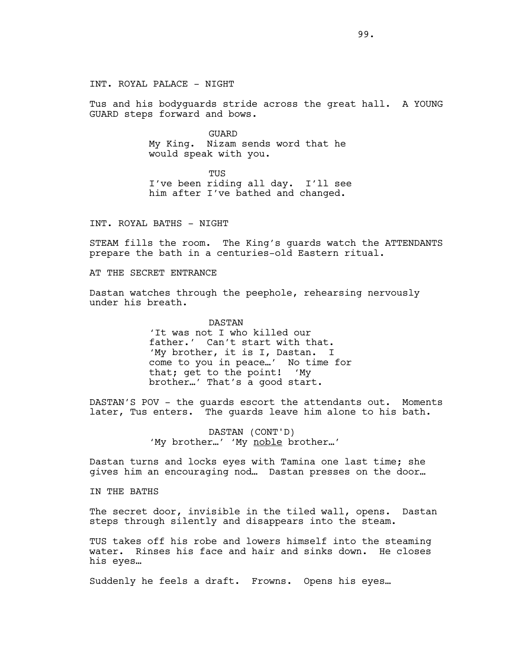INT. ROYAL PALACE - NIGHT

Tus and his bodyguards stride across the great hall. A YOUNG GUARD steps forward and bows.

> GUARD My King. Nizam sends word that he would speak with you.

**TUS** I've been riding all day. I'll see him after I've bathed and changed.

INT. ROYAL BATHS - NIGHT

STEAM fills the room. The King's guards watch the ATTENDANTS prepare the bath in a centuries-old Eastern ritual.

AT THE SECRET ENTRANCE

Dastan watches through the peephole, rehearsing nervously under his breath.

> DASTAN 'It was not I who killed our father.' Can't start with that. 'My brother, it is I, Dastan. I come to you in peace…' No time for that; get to the point! 'My brother…' That's a good start.

DASTAN'S POV - the guards escort the attendants out. Moments later, Tus enters. The guards leave him alone to his bath.

> DASTAN (CONT'D) 'My brother...' 'My noble brother...'

Dastan turns and locks eyes with Tamina one last time; she gives him an encouraging nod… Dastan presses on the door…

IN THE BATHS

The secret door, invisible in the tiled wall, opens. Dastan steps through silently and disappears into the steam.

TUS takes off his robe and lowers himself into the steaming water. Rinses his face and hair and sinks down. He closes his eyes…

Suddenly he feels a draft. Frowns. Opens his eyes…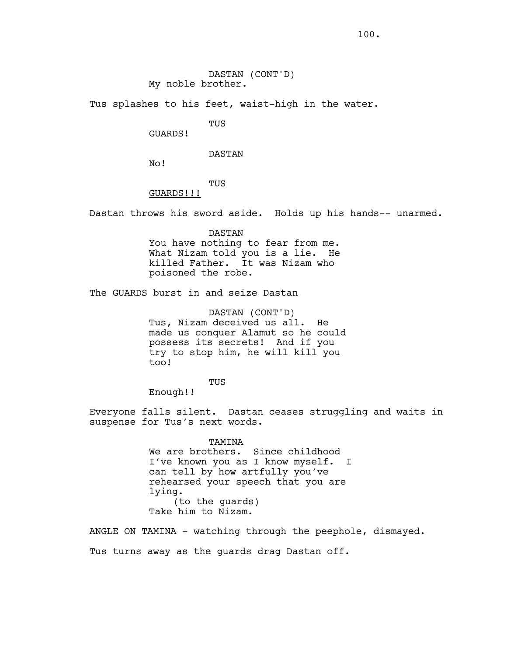## DASTAN (CONT'D) My noble brother.

Tus splashes to his feet, waist-high in the water.

TUS

GUARDS!

## DASTAN

No!

## TUS

## GUARDS!!!

Dastan throws his sword aside. Holds up his hands-- unarmed.

DASTAN You have nothing to fear from me. What Nizam told you is a lie. He killed Father. It was Nizam who poisoned the robe.

The GUARDS burst in and seize Dastan

DASTAN (CONT'D) Tus, Nizam deceived us all. He made us conquer Alamut so he could possess its secrets! And if you try to stop him, he will kill you too!

TUS

Enough!!

Everyone falls silent. Dastan ceases struggling and waits in suspense for Tus's next words.

> TAMINA We are brothers. Since childhood I've known you as I know myself. I can tell by how artfully you've rehearsed your speech that you are lying. (to the guards) Take him to Nizam.

ANGLE ON TAMINA - watching through the peephole, dismayed. Tus turns away as the guards drag Dastan off.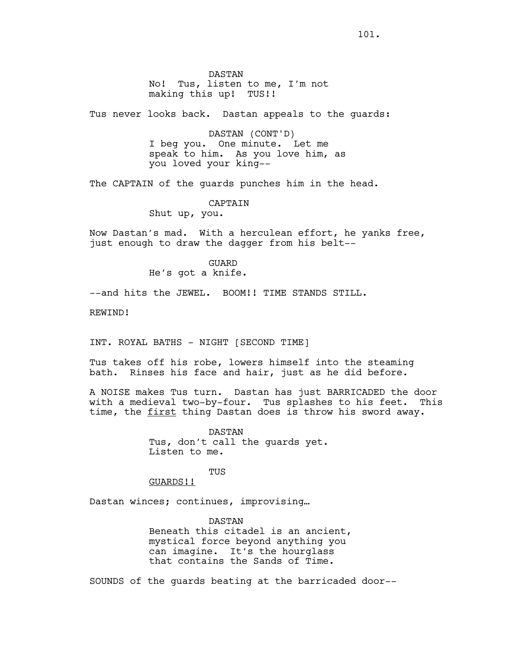DASTAN No! Tus, listen to me, I'm not making this up! TUS!!

Tus never looks back. Dastan appeals to the guards:

DASTAN (CONT'D) I beg you. One minute. Let me speak to him. As you love him, as you loved your king--

The CAPTAIN of the guards punches him in the head.

CAPTAIN

Shut up, you.

Now Dastan's mad. With a herculean effort, he yanks free, just enough to draw the dagger from his belt--

> GUARD He's got a knife.

--and hits the JEWEL. BOOM!! TIME STANDS STILL.

REWIND!

INT. ROYAL BATHS - NIGHT [SECOND TIME]

Tus takes off his robe, lowers himself into the steaming bath. Rinses his face and hair, just as he did before.

A NOISE makes Tus turn. Dastan has just BARRICADED the door with a medieval two-by-four. Tus splashes to his feet. This time, the first thing Dastan does is throw his sword away.

> DASTAN Tus, don't call the guards yet. Listen to me.

> > TUS

GUARDS!!

Dastan winces; continues, improvising…

DASTAN Beneath this citadel is an ancient, mystical force beyond anything you can imagine. It's the hourglass that contains the Sands of Time.

SOUNDS of the guards beating at the barricaded door--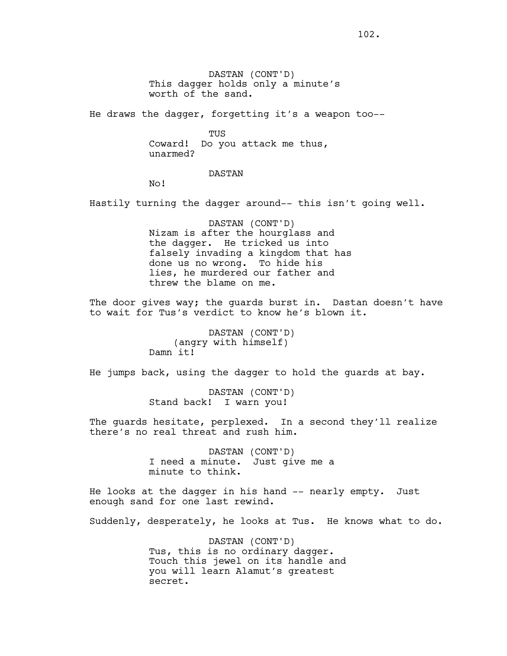DASTAN (CONT'D) This dagger holds only a minute's worth of the sand. He draws the dagger, forgetting it's a weapon too--

> TUS Coward! Do you attack me thus, unarmed?

#### DASTAN

No!

Hastily turning the dagger around-- this isn't going well.

DASTAN (CONT'D) Nizam is after the hourglass and the dagger. He tricked us into falsely invading a kingdom that has done us no wrong. To hide his lies, he murdered our father and threw the blame on me.

The door gives way; the guards burst in. Dastan doesn't have to wait for Tus's verdict to know he's blown it.

> DASTAN (CONT'D) (angry with himself) Damn it!

He jumps back, using the dagger to hold the guards at bay.

DASTAN (CONT'D) Stand back! I warn you!

The guards hesitate, perplexed. In a second they'll realize there's no real threat and rush him.

> DASTAN (CONT'D) I need a minute. Just give me a minute to think.

He looks at the dagger in his hand -- nearly empty. Just enough sand for one last rewind.

Suddenly, desperately, he looks at Tus. He knows what to do.

DASTAN (CONT'D) Tus, this is no ordinary dagger. Touch this jewel on its handle and you will learn Alamut's greatest secret.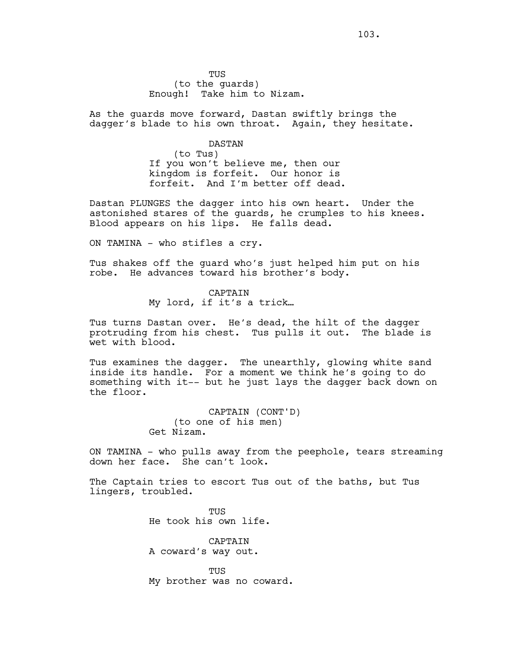As the guards move forward, Dastan swiftly brings the dagger's blade to his own throat. Again, they hesitate.

> DASTAN (to Tus) If you won't believe me, then our kingdom is forfeit. Our honor is forfeit. And I'm better off dead.

Dastan PLUNGES the dagger into his own heart. Under the astonished stares of the guards, he crumples to his knees. Blood appears on his lips. He falls dead.

ON TAMINA - who stifles a cry.

Tus shakes off the guard who's just helped him put on his robe. He advances toward his brother's body.

> CAPTAIN My lord, if it's a trick…

Tus turns Dastan over. He's dead, the hilt of the dagger protruding from his chest. Tus pulls it out. The blade is wet with blood.

Tus examines the dagger. The unearthly, glowing white sand inside its handle. For a moment we think he's going to do something with it-- but he just lays the dagger back down on the floor.

> CAPTAIN (CONT'D) (to one of his men) Get Nizam.

ON TAMINA - who pulls away from the peephole, tears streaming down her face. She can't look.

The Captain tries to escort Tus out of the baths, but Tus lingers, troubled.

> TUS He took his own life.

CAPTAIN A coward's way out.

TUS My brother was no coward.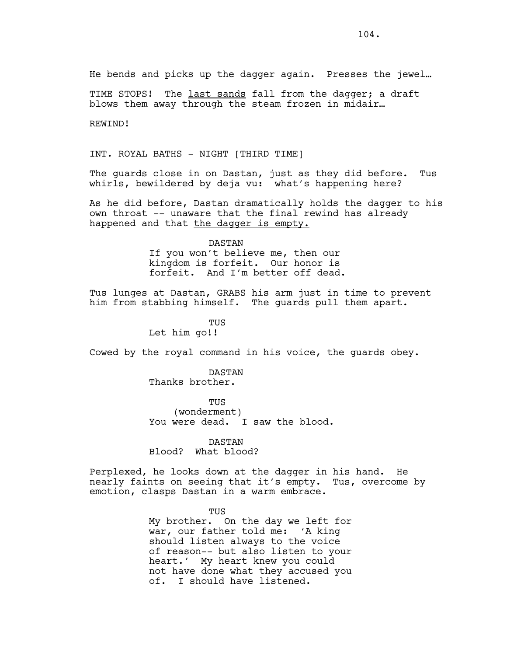TIME STOPS! The last sands fall from the dagger; a draft blows them away through the steam frozen in midair…

REWIND!

INT. ROYAL BATHS - NIGHT [THIRD TIME]

The guards close in on Dastan, just as they did before. Tus whirls, bewildered by deja vu: what's happening here?

As he did before, Dastan dramatically holds the dagger to his own throat -- unaware that the final rewind has already happened and that the dagger is empty.

> DASTAN If you won't believe me, then our kingdom is forfeit. Our honor is forfeit. And I'm better off dead.

Tus lunges at Dastan, GRABS his arm just in time to prevent him from stabbing himself. The guards pull them apart.

> **TUS** Let him go!!

Cowed by the royal command in his voice, the guards obey.

DASTAN Thanks brother.

TUS (wonderment) You were dead. I saw the blood.

DASTAN Blood? What blood?

Perplexed, he looks down at the dagger in his hand. He nearly faints on seeing that it's empty. Tus, overcome by emotion, clasps Dastan in a warm embrace.

> TUS My brother. On the day we left for war, our father told me: 'A king should listen always to the voice of reason-- but also listen to your heart.' My heart knew you could not have done what they accused you of. I should have listened.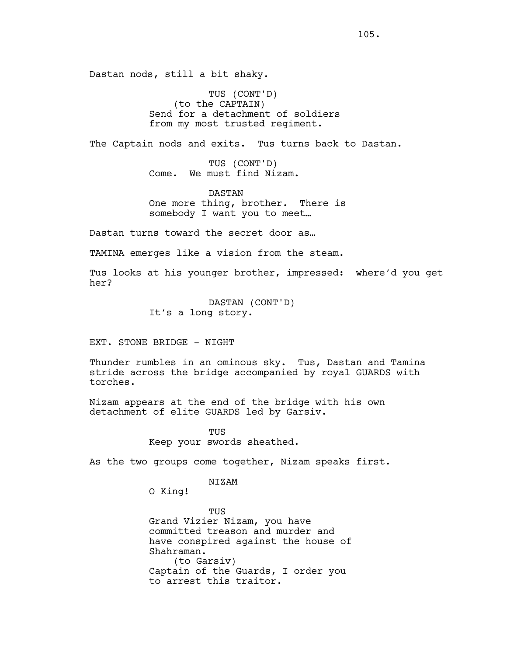Dastan nods, still a bit shaky.

TUS (CONT'D) (to the CAPTAIN) Send for a detachment of soldiers from my most trusted regiment.

The Captain nods and exits. Tus turns back to Dastan.

TUS (CONT'D) Come. We must find Nizam.

DASTAN One more thing, brother. There is somebody I want you to meet…

Dastan turns toward the secret door as…

TAMINA emerges like a vision from the steam.

Tus looks at his younger brother, impressed: where'd you get her?

> DASTAN (CONT'D) It's a long story.

EXT. STONE BRIDGE - NIGHT

Thunder rumbles in an ominous sky. Tus, Dastan and Tamina stride across the bridge accompanied by royal GUARDS with torches.

Nizam appears at the end of the bridge with his own detachment of elite GUARDS led by Garsiv.

> **TUS** Keep your swords sheathed.

As the two groups come together, Nizam speaks first.

#### NIZAM

O King!

TUS Grand Vizier Nizam, you have committed treason and murder and have conspired against the house of Shahraman. (to Garsiv) Captain of the Guards, I order you to arrest this traitor.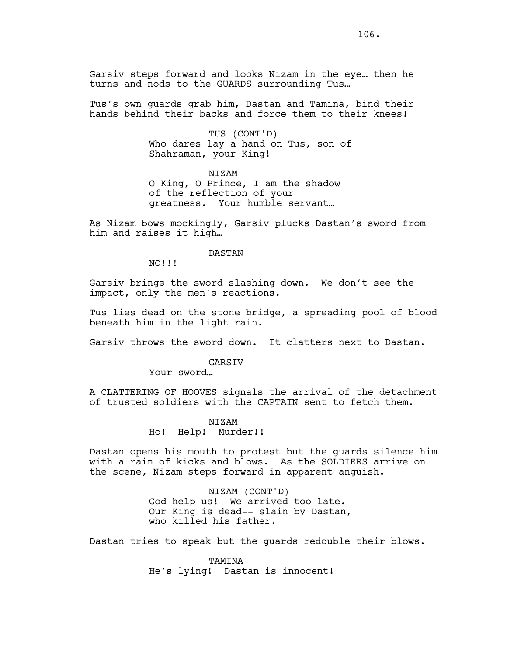Garsiv steps forward and looks Nizam in the eye… then he turns and nods to the GUARDS surrounding Tus…

Tus's own quards grab him, Dastan and Tamina, bind their hands behind their backs and force them to their knees!

> TUS (CONT'D) Who dares lay a hand on Tus, son of Shahraman, your King!

NIZAM O King, O Prince, I am the shadow of the reflection of your greatness. Your humble servant…

As Nizam bows mockingly, Garsiv plucks Dastan's sword from him and raises it high…

### DASTAN

NO!!!

Garsiv brings the sword slashing down. We don't see the impact, only the men's reactions.

Tus lies dead on the stone bridge, a spreading pool of blood beneath him in the light rain.

Garsiv throws the sword down. It clatters next to Dastan.

## GARSIV

Your sword…

A CLATTERING OF HOOVES signals the arrival of the detachment of trusted soldiers with the CAPTAIN sent to fetch them.

#### NIZAM

Ho! Help! Murder!!

Dastan opens his mouth to protest but the guards silence him with a rain of kicks and blows. As the SOLDIERS arrive on the scene, Nizam steps forward in apparent anguish.

> NIZAM (CONT'D) God help us! We arrived too late. Our King is dead-- slain by Dastan, who killed his father.

Dastan tries to speak but the guards redouble their blows.

TAMINA He's lying! Dastan is innocent!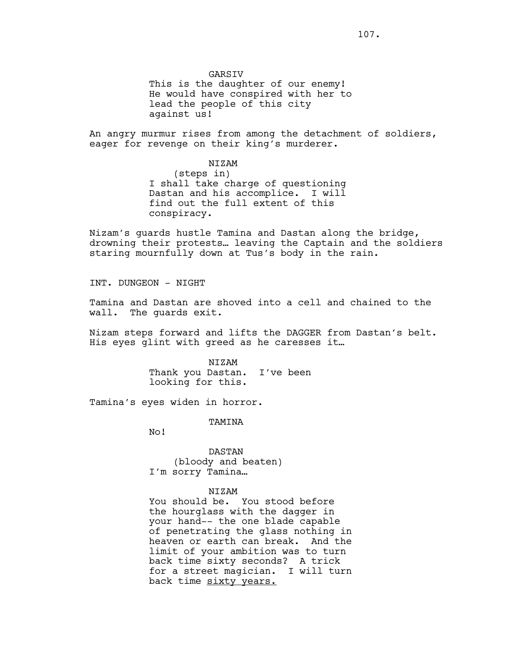An angry murmur rises from among the detachment of soldiers, eager for revenge on their king's murderer.

#### NIZAM

(steps in) I shall take charge of questioning Dastan and his accomplice. I will find out the full extent of this conspiracy.

Nizam's guards hustle Tamina and Dastan along the bridge, drowning their protests… leaving the Captain and the soldiers staring mournfully down at Tus's body in the rain.

INT. DUNGEON - NIGHT

Tamina and Dastan are shoved into a cell and chained to the wall. The guards exit.

Nizam steps forward and lifts the DAGGER from Dastan's belt. His eyes glint with greed as he caresses it…

> NIZAM Thank you Dastan. I've been looking for this.

Tamina's eyes widen in horror.

#### TAMINA

No!

DASTAN (bloody and beaten) I'm sorry Tamina…

### NIZAM

You should be. You stood before the hourglass with the dagger in your hand-- the one blade capable of penetrating the glass nothing in heaven or earth can break. And the limit of your ambition was to turn back time sixty seconds? A trick for a street magician. I will turn back time sixty years.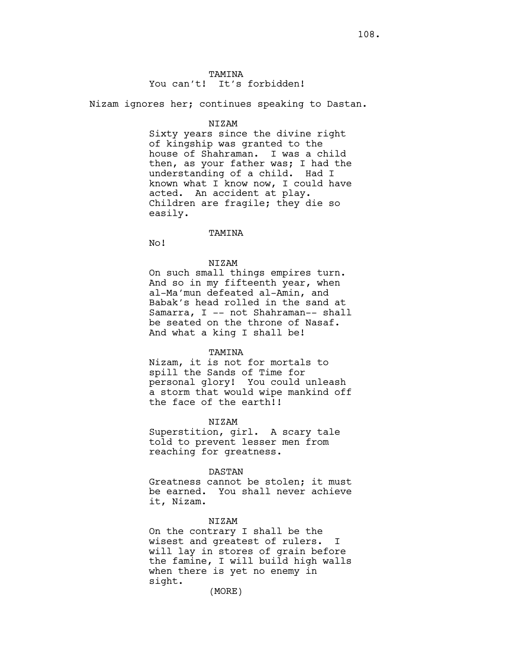## TAMINA You can't! It's forbidden!

Nizam ignores her; continues speaking to Dastan.

#### NIZAM

Sixty years since the divine right of kingship was granted to the house of Shahraman. I was a child then, as your father was; I had the understanding of a child. Had I known what I know now, I could have acted. An accident at play. Children are fragile; they die so easily.

### TAMINA

No!

### NIZAM

On such small things empires turn. And so in my fifteenth year, when al-Ma'mun defeated al-Amin, and Babak's head rolled in the sand at Samarra, I -- not Shahraman-- shall be seated on the throne of Nasaf. And what a king I shall be!

### TAMINA

Nizam, it is not for mortals to spill the Sands of Time for personal glory! You could unleash a storm that would wipe mankind off the face of the earth!!

#### NIZAM

Superstition, girl. A scary tale told to prevent lesser men from reaching for greatness.

#### DASTAN

Greatness cannot be stolen; it must be earned. You shall never achieve it, Nizam.

#### NIZAM

On the contrary I shall be the wisest and greatest of rulers. I will lay in stores of grain before the famine, I will build high walls when there is yet no enemy in sight.

(MORE)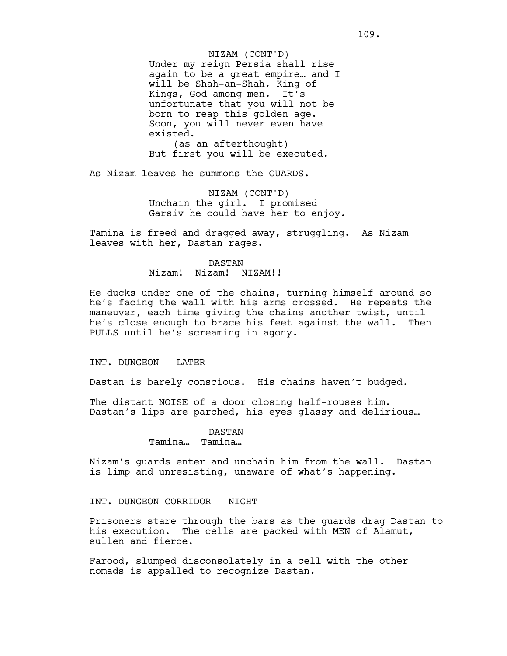Under my reign Persia shall rise again to be a great empire… and I will be Shah-an-Shah, King of Kings, God among men. It's unfortunate that you will not be born to reap this golden age. Soon, you will never even have existed. (as an afterthought) But first you will be executed. NIZAM (CONT'D)

As Nizam leaves he summons the GUARDS.

NIZAM (CONT'D) Unchain the girl. I promised Garsiv he could have her to enjoy.

Tamina is freed and dragged away, struggling. As Nizam leaves with her, Dastan rages.

> DASTAN Nizam! Nizam! NIZAM!!

He ducks under one of the chains, turning himself around so he's facing the wall with his arms crossed. He repeats the maneuver, each time giving the chains another twist, until he's close enough to brace his feet against the wall. Then PULLS until he's screaming in agony.

### INT. DUNGEON - LATER

Dastan is barely conscious. His chains haven't budged.

The distant NOISE of a door closing half-rouses him. Dastan's lips are parched, his eyes glassy and delirious…

### DASTAN

Tamina… Tamina…

Nizam's guards enter and unchain him from the wall. Dastan is limp and unresisting, unaware of what's happening.

INT. DUNGEON CORRIDOR - NIGHT

Prisoners stare through the bars as the guards drag Dastan to his execution. The cells are packed with MEN of Alamut, sullen and fierce.

Farood, slumped disconsolately in a cell with the other nomads is appalled to recognize Dastan.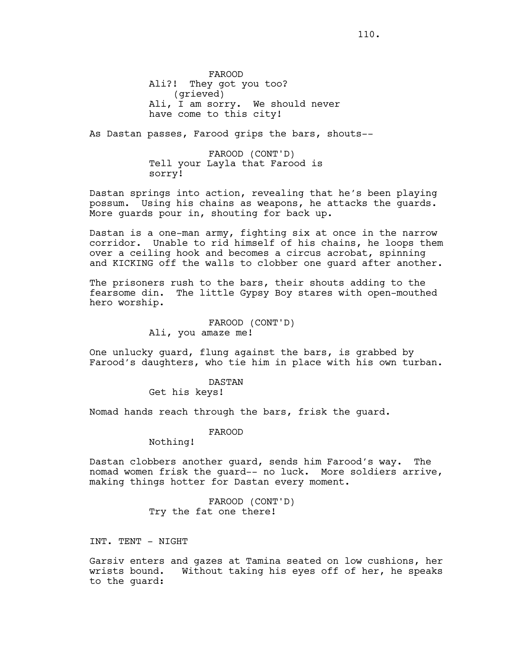FAROOD Ali?! They got you too? (grieved) Ali, I am sorry. We should never have come to this city!

As Dastan passes, Farood grips the bars, shouts--

FAROOD (CONT'D) Tell your Layla that Farood is sorry!

Dastan springs into action, revealing that he's been playing possum. Using his chains as weapons, he attacks the guards. More guards pour in, shouting for back up.

Dastan is a one-man army, fighting six at once in the narrow corridor. Unable to rid himself of his chains, he loops them over a ceiling hook and becomes a circus acrobat, spinning and KICKING off the walls to clobber one guard after another.

The prisoners rush to the bars, their shouts adding to the fearsome din. The little Gypsy Boy stares with open-mouthed hero worship.

> FAROOD (CONT'D) Ali, you amaze me!

One unlucky guard, flung against the bars, is grabbed by Farood's daughters, who tie him in place with his own turban.

DASTAN

Get his keys!

Nomad hands reach through the bars, frisk the guard.

FAROOD

Nothing!

Dastan clobbers another guard, sends him Farood's way. The nomad women frisk the guard-- no luck. More soldiers arrive, making things hotter for Dastan every moment.

> FAROOD (CONT'D) Try the fat one there!

INT. TENT - NIGHT

Garsiv enters and gazes at Tamina seated on low cushions, her wrists bound. Without taking his eyes off of her, he speaks to the guard: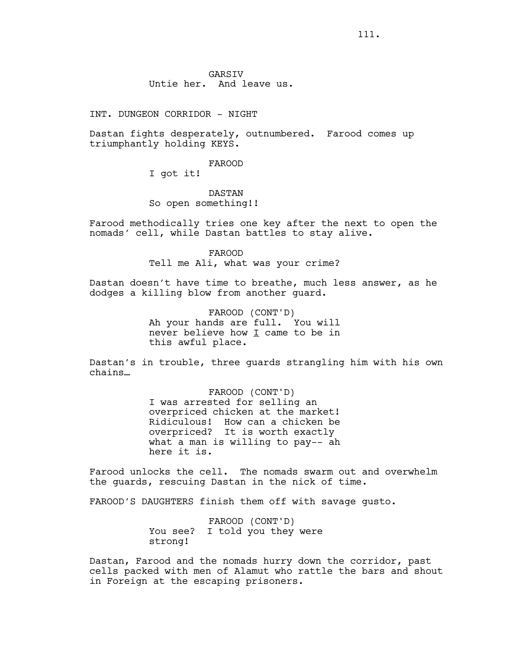111.

GARSIV Untie her. And leave us.

INT. DUNGEON CORRIDOR - NIGHT

Dastan fights desperately, outnumbered. Farood comes up triumphantly holding KEYS.

FAROOD

I got it!

DASTAN So open something!!

Farood methodically tries one key after the next to open the nomads' cell, while Dastan battles to stay alive.

> FAROOD Tell me Ali, what was your crime?

Dastan doesn't have time to breathe, much less answer, as he dodges a killing blow from another guard.

> FAROOD (CONT'D) Ah your hands are full. You will never believe how  $I$  came to be in this awful place.

Dastan's in trouble, three guards strangling him with his own chains…

> FAROOD (CONT'D) I was arrested for selling an overpriced chicken at the market! Ridiculous! How can a chicken be overpriced? It is worth exactly what a man is willing to pay-- ah here it is.

Farood unlocks the cell. The nomads swarm out and overwhelm the guards, rescuing Dastan in the nick of time.

FAROOD'S DAUGHTERS finish them off with savage gusto.

FAROOD (CONT'D) You see? I told you they were strong!

Dastan, Farood and the nomads hurry down the corridor, past cells packed with men of Alamut who rattle the bars and shout in Foreign at the escaping prisoners.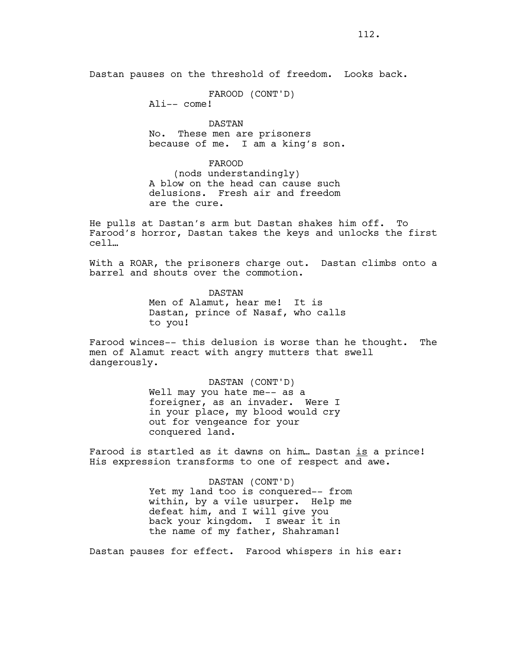Dastan pauses on the threshold of freedom. Looks back.

FAROOD (CONT'D)

Ali-- come!

DASTAN No. These men are prisoners because of me. I am a king's son.

FAROOD

(nods understandingly) A blow on the head can cause such delusions. Fresh air and freedom are the cure.

He pulls at Dastan's arm but Dastan shakes him off. To Farood's horror, Dastan takes the keys and unlocks the first cell…

With a ROAR, the prisoners charge out. Dastan climbs onto a barrel and shouts over the commotion.

> DASTAN Men of Alamut, hear me! It is Dastan, prince of Nasaf, who calls to you!

Farood winces-- this delusion is worse than he thought. The men of Alamut react with angry mutters that swell dangerously.

> DASTAN (CONT'D) Well may you hate me-- as a foreigner, as an invader. Were I in your place, my blood would cry out for vengeance for your conquered land.

Farood is startled as it dawns on him… Dastan is a prince! His expression transforms to one of respect and awe.

> DASTAN (CONT'D) Yet my land too is conquered-- from within, by a vile usurper. Help me defeat him, and I will give you back your kingdom. I swear it in the name of my father, Shahraman!

Dastan pauses for effect. Farood whispers in his ear: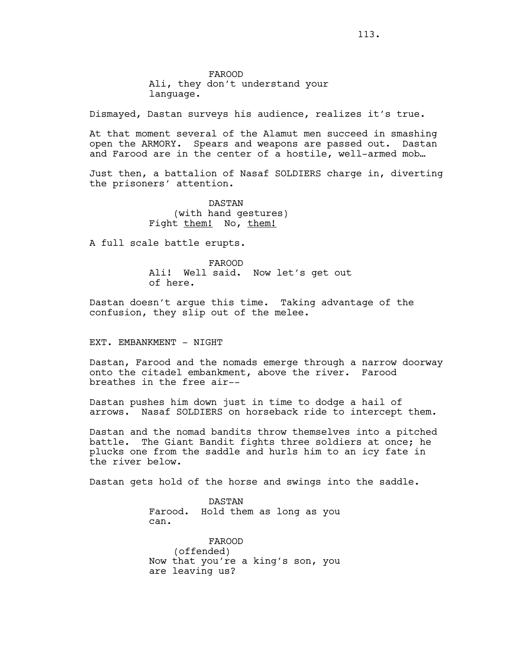FAROOD Ali, they don't understand your language.

Dismayed, Dastan surveys his audience, realizes it's true.

At that moment several of the Alamut men succeed in smashing open the ARMORY. Spears and weapons are passed out. Dastan and Farood are in the center of a hostile, well-armed mob…

Just then, a battalion of Nasaf SOLDIERS charge in, diverting the prisoners' attention.

> DASTAN (with hand gestures) Fight them! No, them!

A full scale battle erupts.

FAROOD Ali! Well said. Now let's get out of here.

Dastan doesn't argue this time. Taking advantage of the confusion, they slip out of the melee.

EXT. EMBANKMENT - NIGHT

Dastan, Farood and the nomads emerge through a narrow doorway onto the citadel embankment, above the river. Farood breathes in the free air--

Dastan pushes him down just in time to dodge a hail of arrows. Nasaf SOLDIERS on horseback ride to intercept them.

Dastan and the nomad bandits throw themselves into a pitched battle. The Giant Bandit fights three soldiers at once; he plucks one from the saddle and hurls him to an icy fate in the river below.

Dastan gets hold of the horse and swings into the saddle.

DASTAN Farood. Hold them as long as you can.

FAROOD (offended) Now that you're a king's son, you are leaving us?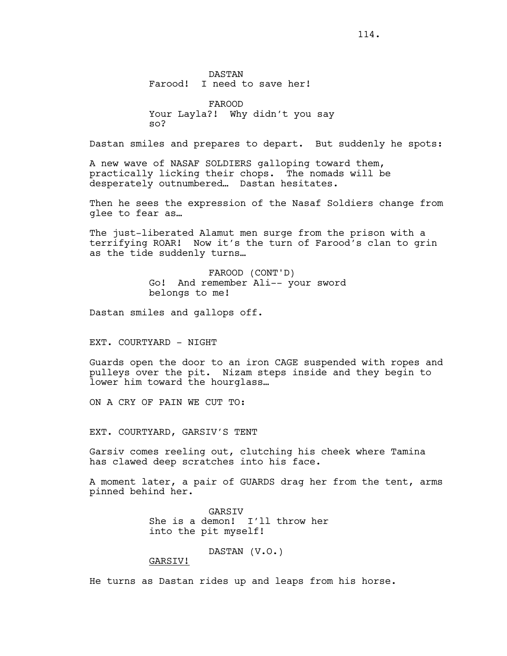DASTAN Farood! I need to save her!

FAROOD Your Layla?! Why didn't you say so?

Dastan smiles and prepares to depart. But suddenly he spots:

A new wave of NASAF SOLDIERS galloping toward them, practically licking their chops. The nomads will be desperately outnumbered… Dastan hesitates.

Then he sees the expression of the Nasaf Soldiers change from glee to fear as…

The just-liberated Alamut men surge from the prison with a terrifying ROAR! Now it's the turn of Farood's clan to grin as the tide suddenly turns…

> FAROOD (CONT'D) Go! And remember Ali-- your sword belongs to me!

Dastan smiles and gallops off.

EXT. COURTYARD - NIGHT

Guards open the door to an iron CAGE suspended with ropes and pulleys over the pit. Nizam steps inside and they begin to lower him toward the hourglass…

ON A CRY OF PAIN WE CUT TO:

EXT. COURTYARD, GARSIV'S TENT

Garsiv comes reeling out, clutching his cheek where Tamina has clawed deep scratches into his face.

A moment later, a pair of GUARDS drag her from the tent, arms pinned behind her.

> GARSIV She is a demon! I'll throw her into the pit myself!

> > DASTAN (V.O.)

GARSIV!

He turns as Dastan rides up and leaps from his horse.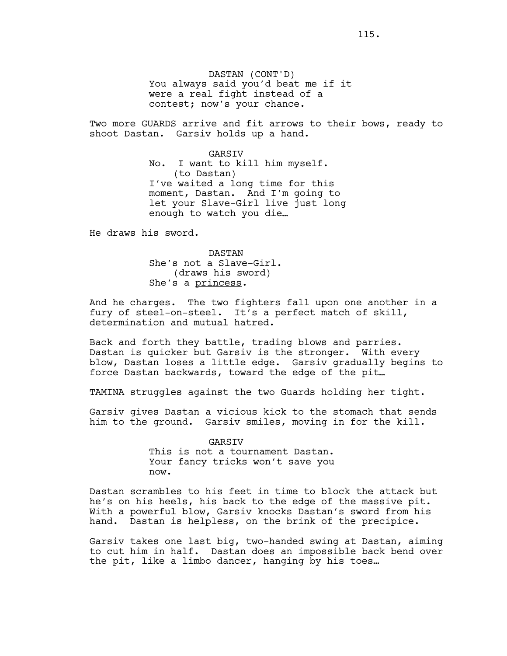DASTAN (CONT'D) You always said you'd beat me if it were a real fight instead of a contest; now's your chance.

Two more GUARDS arrive and fit arrows to their bows, ready to shoot Dastan. Garsiv holds up a hand.

> GARSIV No. I want to kill him myself. (to Dastan) I've waited a long time for this moment, Dastan. And I'm going to let your Slave-Girl live just long enough to watch you die…

He draws his sword.

DASTAN She's not a Slave-Girl. (draws his sword) She's a princess.

And he charges. The two fighters fall upon one another in a fury of steel-on-steel. It's a perfect match of skill, determination and mutual hatred.

Back and forth they battle, trading blows and parries. Dastan is quicker but Garsiv is the stronger. With every blow, Dastan loses a little edge. Garsiv gradually begins to force Dastan backwards, toward the edge of the pit…

TAMINA struggles against the two Guards holding her tight.

Garsiv gives Dastan a vicious kick to the stomach that sends him to the ground. Garsiv smiles, moving in for the kill.

> GARSIV This is not a tournament Dastan. Your fancy tricks won't save you now.

Dastan scrambles to his feet in time to block the attack but he's on his heels, his back to the edge of the massive pit. With a powerful blow, Garsiv knocks Dastan's sword from his hand. Dastan is helpless, on the brink of the precipice.

Garsiv takes one last big, two-handed swing at Dastan, aiming to cut him in half. Dastan does an impossible back bend over the pit, like a limbo dancer, hanging by his toes…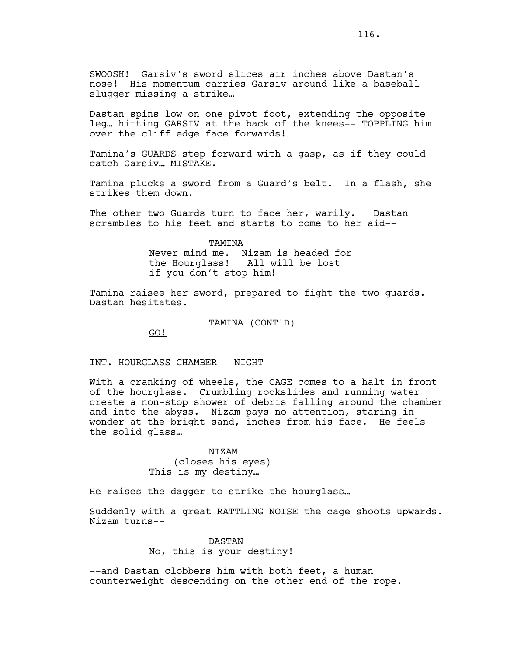SWOOSH! Garsiv's sword slices air inches above Dastan's nose! His momentum carries Garsiv around like a baseball slugger missing a strike…

Dastan spins low on one pivot foot, extending the opposite leg… hitting GARSIV at the back of the knees-- TOPPLING him over the cliff edge face forwards!

Tamina's GUARDS step forward with a gasp, as if they could catch Garsiv… MISTAKE.

Tamina plucks a sword from a Guard's belt. In a flash, she strikes them down.

The other two Guards turn to face her, warily. Dastan scrambles to his feet and starts to come to her aid--

#### TAMINA

Never mind me. Nizam is headed for the Hourglass! All will be lost if you don't stop him!

Tamina raises her sword, prepared to fight the two guards. Dastan hesitates.

TAMINA (CONT'D)

GO!

INT. HOURGLASS CHAMBER - NIGHT

With a cranking of wheels, the CAGE comes to a halt in front of the hourglass. Crumbling rockslides and running water create a non-stop shower of debris falling around the chamber and into the abyss. Nizam pays no attention, staring in wonder at the bright sand, inches from his face. He feels the solid glass…

# NIZAM (closes his eyes) This is my destiny…

He raises the dagger to strike the hourglass…

Suddenly with a great RATTLING NOISE the cage shoots upwards. Nizam turns--

# DASTAN No, this is your destiny!

--and Dastan clobbers him with both feet, a human counterweight descending on the other end of the rope.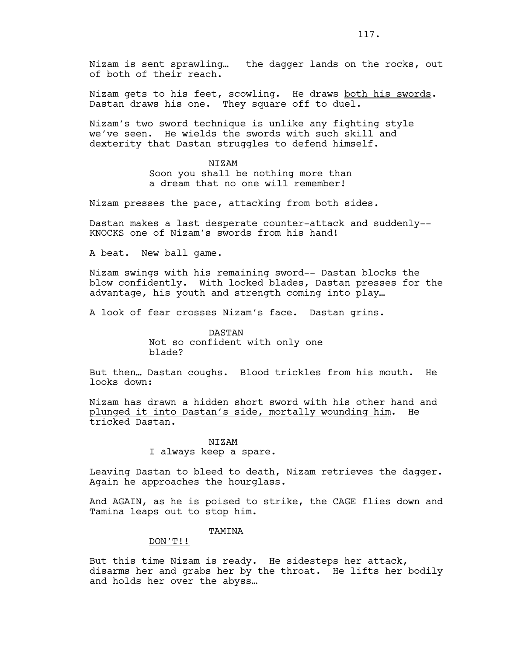Nizam is sent sprawling… the dagger lands on the rocks, out of both of their reach.

Nizam gets to his feet, scowling. He draws both his swords. Dastan draws his one. They square off to duel.

Nizam's two sword technique is unlike any fighting style we've seen. He wields the swords with such skill and dexterity that Dastan struggles to defend himself.

#### NIZAM

Soon you shall be nothing more than a dream that no one will remember!

Nizam presses the pace, attacking from both sides.

Dastan makes a last desperate counter-attack and suddenly-- KNOCKS one of Nizam's swords from his hand!

A beat. New ball game.

Nizam swings with his remaining sword-- Dastan blocks the blow confidently. With locked blades, Dastan presses for the advantage, his youth and strength coming into play…

A look of fear crosses Nizam's face. Dastan grins.

DASTAN Not so confident with only one blade?

But then… Dastan coughs. Blood trickles from his mouth. He looks down:

Nizam has drawn a hidden short sword with his other hand and plunged it into Dastan's side, mortally wounding him. He tricked Dastan.

#### NIZAM

I always keep a spare.

Leaving Dastan to bleed to death, Nizam retrieves the dagger. Again he approaches the hourglass.

And AGAIN, as he is poised to strike, the CAGE flies down and Tamina leaps out to stop him.

#### TAMINA

# DON'T!!

But this time Nizam is ready. He sidesteps her attack, disarms her and grabs her by the throat. He lifts her bodily and holds her over the abyss…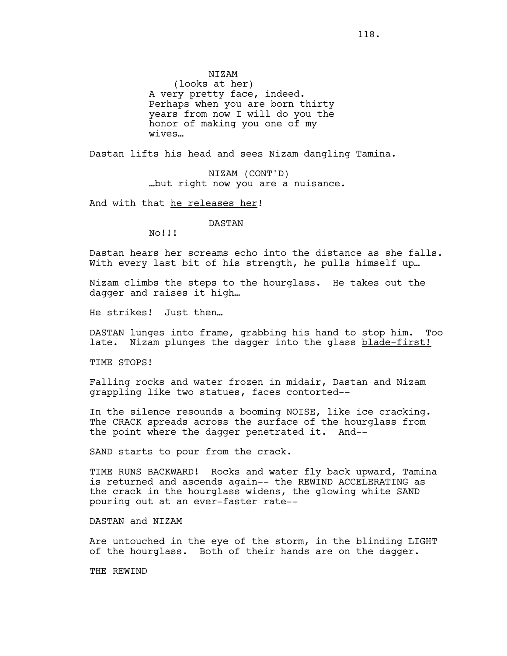#### NIZAM

(looks at her) A very pretty face, indeed. Perhaps when you are born thirty years from now I will do you the honor of making you one of my wives…

Dastan lifts his head and sees Nizam dangling Tamina.

NIZAM (CONT'D) …but right now you are a nuisance.

And with that he releases her!

### DASTAN

No!!!

Dastan hears her screams echo into the distance as she falls. With every last bit of his strength, he pulls himself up...

Nizam climbs the steps to the hourglass. He takes out the dagger and raises it high...

He strikes! Just then…

DASTAN lunges into frame, grabbing his hand to stop him. Too late. Nizam plunges the dagger into the glass blade-first!

TIME STOPS!

Falling rocks and water frozen in midair, Dastan and Nizam grappling like two statues, faces contorted--

In the silence resounds a booming NOISE, like ice cracking. The CRACK spreads across the surface of the hourglass from the point where the dagger penetrated it. And--

SAND starts to pour from the crack.

TIME RUNS BACKWARD! Rocks and water fly back upward, Tamina is returned and ascends again-- the REWIND ACCELERATING as the crack in the hourglass widens, the glowing white SAND pouring out at an ever-faster rate--

DASTAN and NIZAM

Are untouched in the eye of the storm, in the blinding LIGHT of the hourglass. Both of their hands are on the dagger.

THE REWIND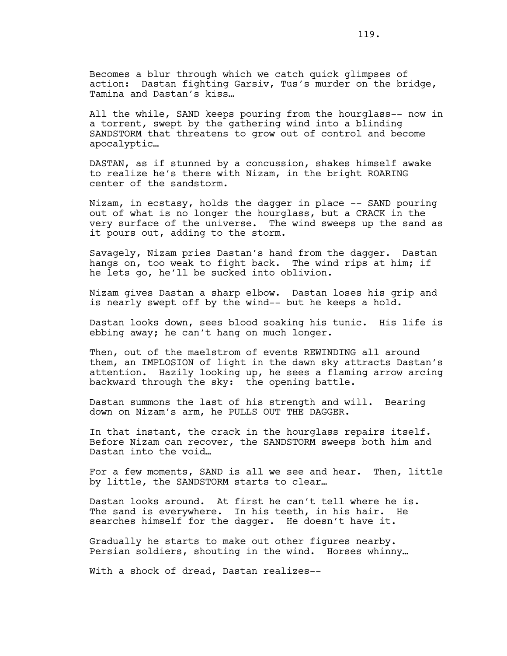Becomes a blur through which we catch quick glimpses of action: Dastan fighting Garsiv, Tus's murder on the bridge, Tamina and Dastan's kiss…

All the while, SAND keeps pouring from the hourglass-- now in a torrent, swept by the gathering wind into a blinding SANDSTORM that threatens to grow out of control and become apocalyptic…

DASTAN, as if stunned by a concussion, shakes himself awake to realize he's there with Nizam, in the bright ROARING center of the sandstorm.

Nizam, in ecstasy, holds the dagger in place -- SAND pouring out of what is no longer the hourglass, but a CRACK in the very surface of the universe. The wind sweeps up the sand as it pours out, adding to the storm.

Savagely, Nizam pries Dastan's hand from the dagger. Dastan hangs on, too weak to fight back. The wind rips at him; if he lets go, he'll be sucked into oblivion.

Nizam gives Dastan a sharp elbow. Dastan loses his grip and is nearly swept off by the wind-- but he keeps a hold.

Dastan looks down, sees blood soaking his tunic. His life is ebbing away; he can't hang on much longer.

Then, out of the maelstrom of events REWINDING all around them, an IMPLOSION of light in the dawn sky attracts Dastan's attention. Hazily looking up, he sees a flaming arrow arcing backward through the sky: the opening battle.

Dastan summons the last of his strength and will. Bearing down on Nizam's arm, he PULLS OUT THE DAGGER.

In that instant, the crack in the hourglass repairs itself. Before Nizam can recover, the SANDSTORM sweeps both him and Dastan into the void…

For a few moments, SAND is all we see and hear. Then, little by little, the SANDSTORM starts to clear…

Dastan looks around. At first he can't tell where he is. The sand is everywhere. In his teeth, in his hair. He searches himself for the dagger. He doesn't have it.

Gradually he starts to make out other figures nearby. Persian soldiers, shouting in the wind. Horses whinny…

With a shock of dread, Dastan realizes--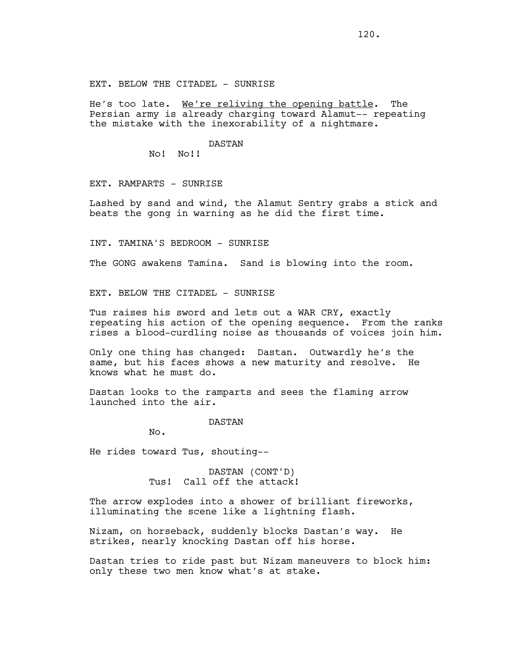EXT. BELOW THE CITADEL - SUNRISE

He's too late. We're reliving the opening battle. The Persian army is already charging toward Alamut-- repeating the mistake with the inexorability of a nightmare.

#### DASTAN

No! No!!

EXT. RAMPARTS - SUNRISE

Lashed by sand and wind, the Alamut Sentry grabs a stick and beats the gong in warning as he did the first time.

INT. TAMINA'S BEDROOM - SUNRISE

The GONG awakens Tamina. Sand is blowing into the room.

EXT. BELOW THE CITADEL - SUNRISE

Tus raises his sword and lets out a WAR CRY, exactly repeating his action of the opening sequence. From the ranks rises a blood-curdling noise as thousands of voices join him.

Only one thing has changed: Dastan. Outwardly he's the same, but his faces shows a new maturity and resolve. He knows what he must do.

Dastan looks to the ramparts and sees the flaming arrow launched into the air.

DASTAN

No.

He rides toward Tus, shouting--

DASTAN (CONT'D) Tus! Call off the attack!

The arrow explodes into a shower of brilliant fireworks, illuminating the scene like a lightning flash.

Nizam, on horseback, suddenly blocks Dastan's way. He strikes, nearly knocking Dastan off his horse.

Dastan tries to ride past but Nizam maneuvers to block him: only these two men know what's at stake.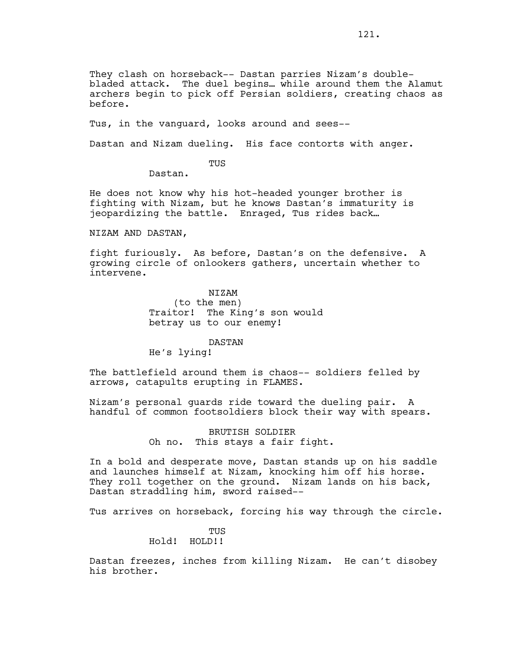They clash on horseback-- Dastan parries Nizam's doublebladed attack. The duel begins… while around them the Alamut archers begin to pick off Persian soldiers, creating chaos as before.

Tus, in the vanguard, looks around and sees--

Dastan and Nizam dueling. His face contorts with anger.

TUS

Dastan.

He does not know why his hot-headed younger brother is fighting with Nizam, but he knows Dastan's immaturity is jeopardizing the battle. Enraged, Tus rides back…

NIZAM AND DASTAN,

fight furiously. As before, Dastan's on the defensive. A growing circle of onlookers gathers, uncertain whether to intervene.

### NIZAM

(to the men) Traitor! The King's son would betray us to our enemy!

DASTAN

He's lying!

The battlefield around them is chaos-- soldiers felled by arrows, catapults erupting in FLAMES.

Nizam's personal guards ride toward the dueling pair. A handful of common footsoldiers block their way with spears.

> BRUTISH SOLDIER Oh no. This stays a fair fight.

In a bold and desperate move, Dastan stands up on his saddle and launches himself at Nizam, knocking him off his horse. They roll together on the ground. Nizam lands on his back, Dastan straddling him, sword raised--

Tus arrives on horseback, forcing his way through the circle.

# TUS Hold! HOLD!!

Dastan freezes, inches from killing Nizam. He can't disobey his brother.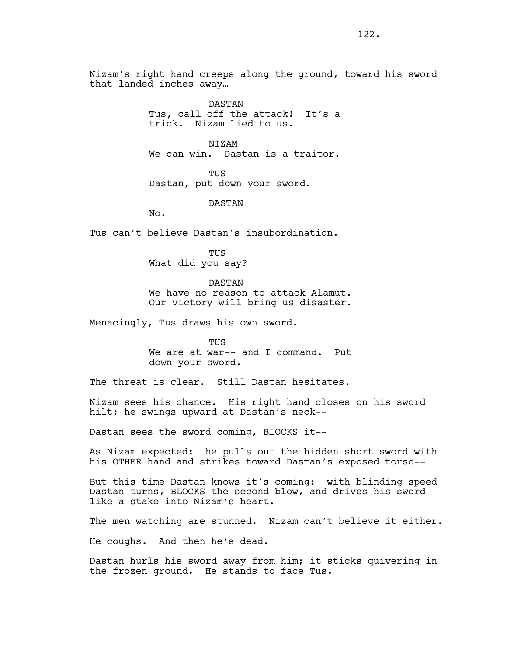DASTAN Tus, call off the attack! It's a trick. Nizam lied to us.

NIZAM We can win. Dastan is a traitor.

**TUS** Dastan, put down your sword.

DASTAN

No.

Tus can't believe Dastan's insubordination.

TUS What did you say?

DASTAN We have no reason to attack Alamut. Our victory will bring us disaster.

Menacingly, Tus draws his own sword.

TUS We are at war-- and  $I$  command. Put down your sword.

The threat is clear. Still Dastan hesitates.

Nizam sees his chance. His right hand closes on his sword hilt; he swings upward at Dastan's neck--

Dastan sees the sword coming, BLOCKS it--

As Nizam expected: he pulls out the hidden short sword with his OTHER hand and strikes toward Dastan's exposed torso--

But this time Dastan knows it's coming: with blinding speed Dastan turns, BLOCKS the second blow, and drives his sword like a stake into Nizam's heart.

The men watching are stunned. Nizam can't believe it either.

He coughs. And then he's dead.

Dastan hurls his sword away from him; it sticks quivering in the frozen ground. He stands to face Tus.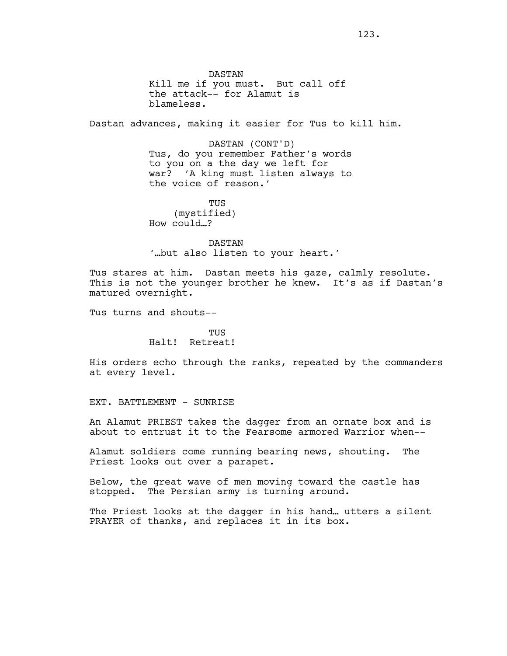DASTAN Kill me if you must. But call off the attack-- for Alamut is blameless.

Dastan advances, making it easier for Tus to kill him.

DASTAN (CONT'D) Tus, do you remember Father's words to you on a the day we left for war? 'A king must listen always to the voice of reason.'

**TUS** (mystified) How could…?

DASTAN '…but also listen to your heart.'

Tus stares at him. Dastan meets his gaze, calmly resolute. This is not the younger brother he knew. It's as if Dastan's matured overnight.

Tus turns and shouts--

# **TUS** Halt! Retreat!

His orders echo through the ranks, repeated by the commanders at every level.

EXT. BATTLEMENT - SUNRISE

An Alamut PRIEST takes the dagger from an ornate box and is about to entrust it to the Fearsome armored Warrior when--

Alamut soldiers come running bearing news, shouting. The Priest looks out over a parapet.

Below, the great wave of men moving toward the castle has stopped. The Persian army is turning around.

The Priest looks at the dagger in his hand… utters a silent PRAYER of thanks, and replaces it in its box.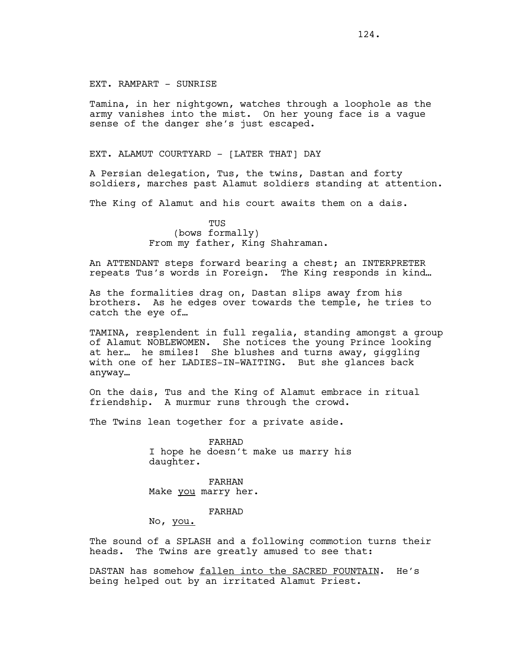### EXT. RAMPART - SUNRISE

Tamina, in her nightgown, watches through a loophole as the army vanishes into the mist. On her young face is a vague sense of the danger she's just escaped.

EXT. ALAMUT COURTYARD - [LATER THAT] DAY

A Persian delegation, Tus, the twins, Dastan and forty soldiers, marches past Alamut soldiers standing at attention.

The King of Alamut and his court awaits them on a dais.

TUS (bows formally) From my father, King Shahraman.

An ATTENDANT steps forward bearing a chest; an INTERPRETER repeats Tus's words in Foreign. The King responds in kind…

As the formalities drag on, Dastan slips away from his brothers. As he edges over towards the temple, he tries to catch the eye of…

TAMINA, resplendent in full regalia, standing amongst a group of Alamut NOBLEWOMEN. She notices the young Prince looking at her… he smiles! She blushes and turns away, giggling with one of her LADIES-IN-WAITING. But she glances back anyway…

On the dais, Tus and the King of Alamut embrace in ritual friendship. A murmur runs through the crowd.

The Twins lean together for a private aside.

FARHAD I hope he doesn't make us marry his daughter.

FARHAN Make you marry her.

FARHAD

No, you.

The sound of a SPLASH and a following commotion turns their heads. The Twins are greatly amused to see that:

DASTAN has somehow fallen into the SACRED FOUNTAIN. He's being helped out by an irritated Alamut Priest.